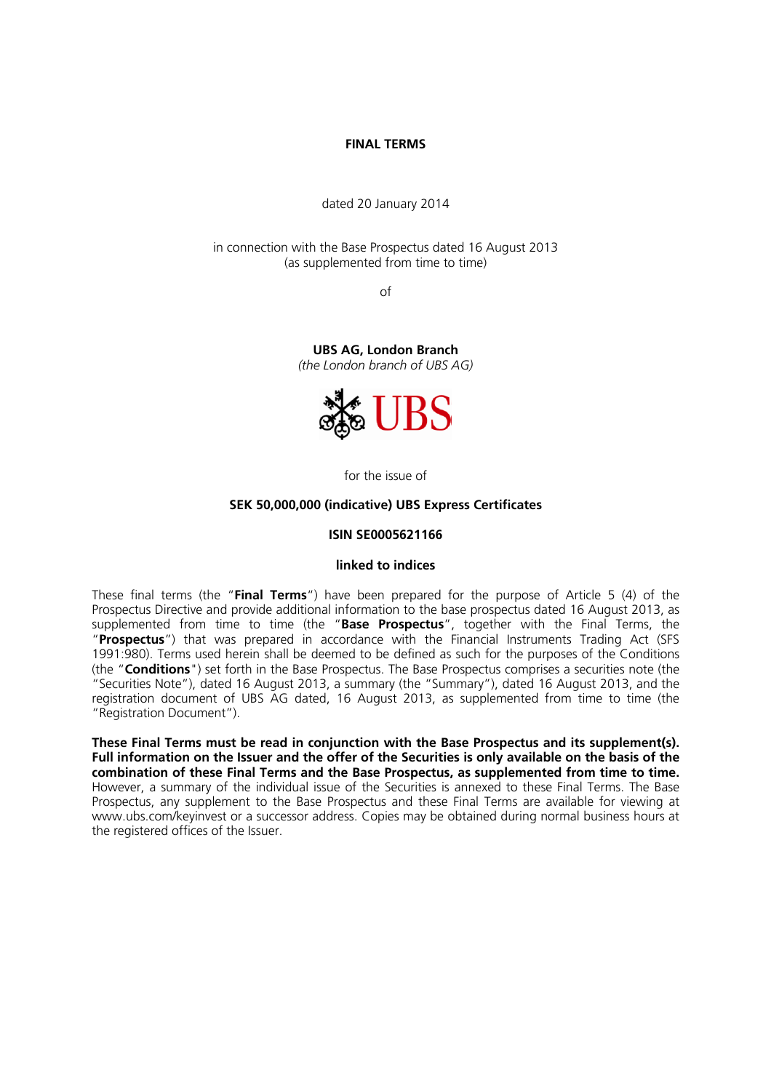#### **FINAL TERMS**

dated 20 January 2014

in connection with the Base Prospectus dated 16 August 2013 (as supplemented from time to time)

of

**UBS AG, London Branch**  *(the London branch of UBS AG)*



for the issue of

#### **SEK 50,000,000 (indicative) UBS Express Certificates**

#### **ISIN SE0005621166**

#### **linked to indices**

These final terms (the "**Final Terms**") have been prepared for the purpose of Article 5 (4) of the Prospectus Directive and provide additional information to the base prospectus dated 16 August 2013, as supplemented from time to time (the "**Base Prospectus**", together with the Final Terms, the "**Prospectus**") that was prepared in accordance with the Financial Instruments Trading Act (SFS 1991:980). Terms used herein shall be deemed to be defined as such for the purposes of the Conditions (the "**Conditions**") set forth in the Base Prospectus. The Base Prospectus comprises a securities note (the "Securities Note"), dated 16 August 2013, a summary (the "Summary"), dated 16 August 2013, and the registration document of UBS AG dated, 16 August 2013, as supplemented from time to time (the "Registration Document").

**These Final Terms must be read in conjunction with the Base Prospectus and its supplement(s). Full information on the Issuer and the offer of the Securities is only available on the basis of the combination of these Final Terms and the Base Prospectus, as supplemented from time to time.** However, a summary of the individual issue of the Securities is annexed to these Final Terms. The Base Prospectus, any supplement to the Base Prospectus and these Final Terms are available for viewing at www.ubs.com/keyinvest or a successor address. Copies may be obtained during normal business hours at the registered offices of the Issuer.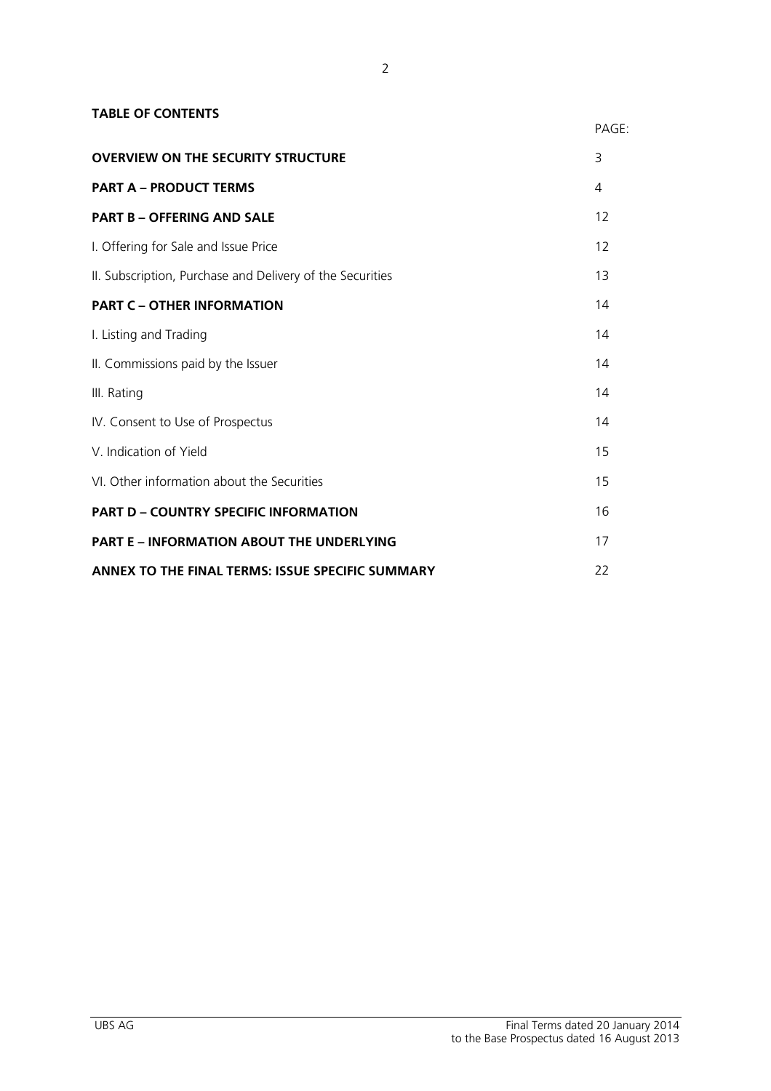| <b>TABLE OF CONTENTS</b>                                  |       |
|-----------------------------------------------------------|-------|
|                                                           | PAGE: |
| <b>OVERVIEW ON THE SECURITY STRUCTURE</b>                 | 3     |
| <b>PART A - PRODUCT TERMS</b>                             | 4     |
| <b>PART B - OFFERING AND SALE</b>                         | 12    |
| I. Offering for Sale and Issue Price                      | 12    |
| II. Subscription, Purchase and Delivery of the Securities | 13    |
| <b>PART C - OTHER INFORMATION</b>                         | 14    |
| I. Listing and Trading                                    | 14    |
| II. Commissions paid by the Issuer                        | 14    |
| III. Rating                                               | 14    |
| IV. Consent to Use of Prospectus                          | 14    |
| V. Indication of Yield                                    | 15    |
| VI. Other information about the Securities                | 15    |
| <b>PART D - COUNTRY SPECIFIC INFORMATION</b>              | 16    |
| <b>PART E - INFORMATION ABOUT THE UNDERLYING</b>          | 17    |
| ANNEX TO THE FINAL TERMS: ISSUE SPECIFIC SUMMARY          | 22    |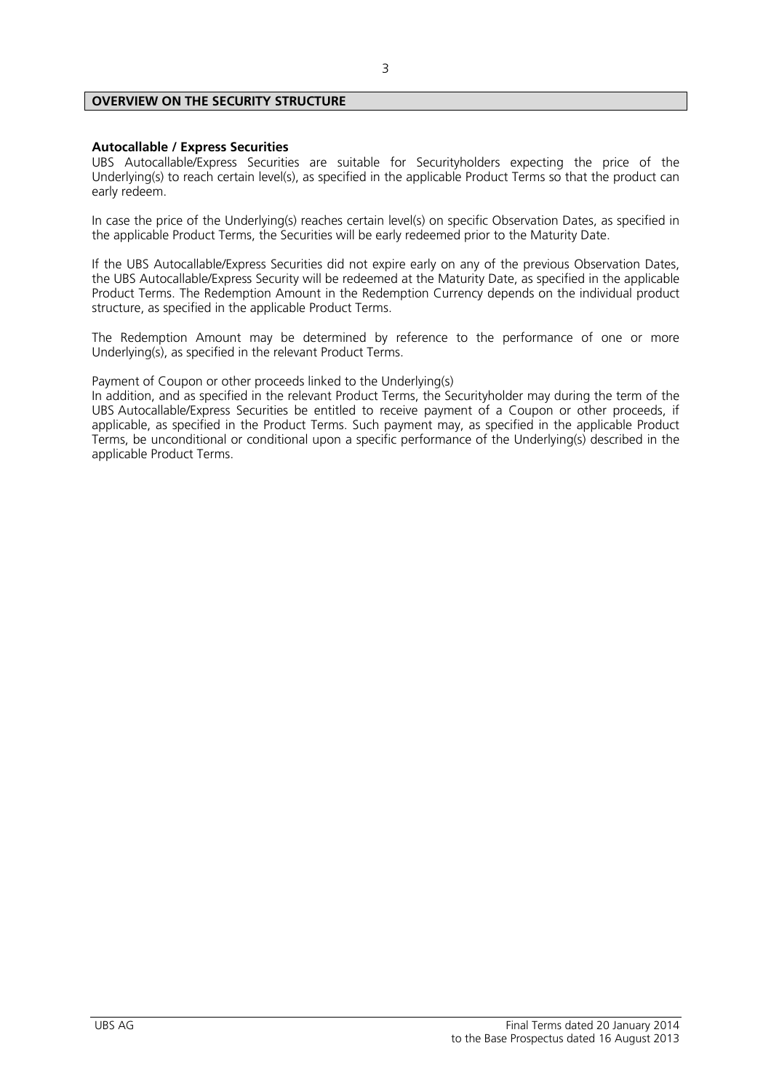# **OVERVIEW ON THE SECURITY STRUCTURE**

#### **Autocallable / Express Securities**

UBS Autocallable/Express Securities are suitable for Securityholders expecting the price of the Underlying(s) to reach certain level(s), as specified in the applicable Product Terms so that the product can early redeem.

In case the price of the Underlying(s) reaches certain level(s) on specific Observation Dates, as specified in the applicable Product Terms, the Securities will be early redeemed prior to the Maturity Date.

If the UBS Autocallable/Express Securities did not expire early on any of the previous Observation Dates, the UBS Autocallable/Express Security will be redeemed at the Maturity Date, as specified in the applicable Product Terms. The Redemption Amount in the Redemption Currency depends on the individual product structure, as specified in the applicable Product Terms.

The Redemption Amount may be determined by reference to the performance of one or more Underlying(s), as specified in the relevant Product Terms.

Payment of Coupon or other proceeds linked to the Underlying(s)

In addition, and as specified in the relevant Product Terms, the Securityholder may during the term of the UBS Autocallable/Express Securities be entitled to receive payment of a Coupon or other proceeds, if applicable, as specified in the Product Terms. Such payment may, as specified in the applicable Product Terms, be unconditional or conditional upon a specific performance of the Underlying(s) described in the applicable Product Terms.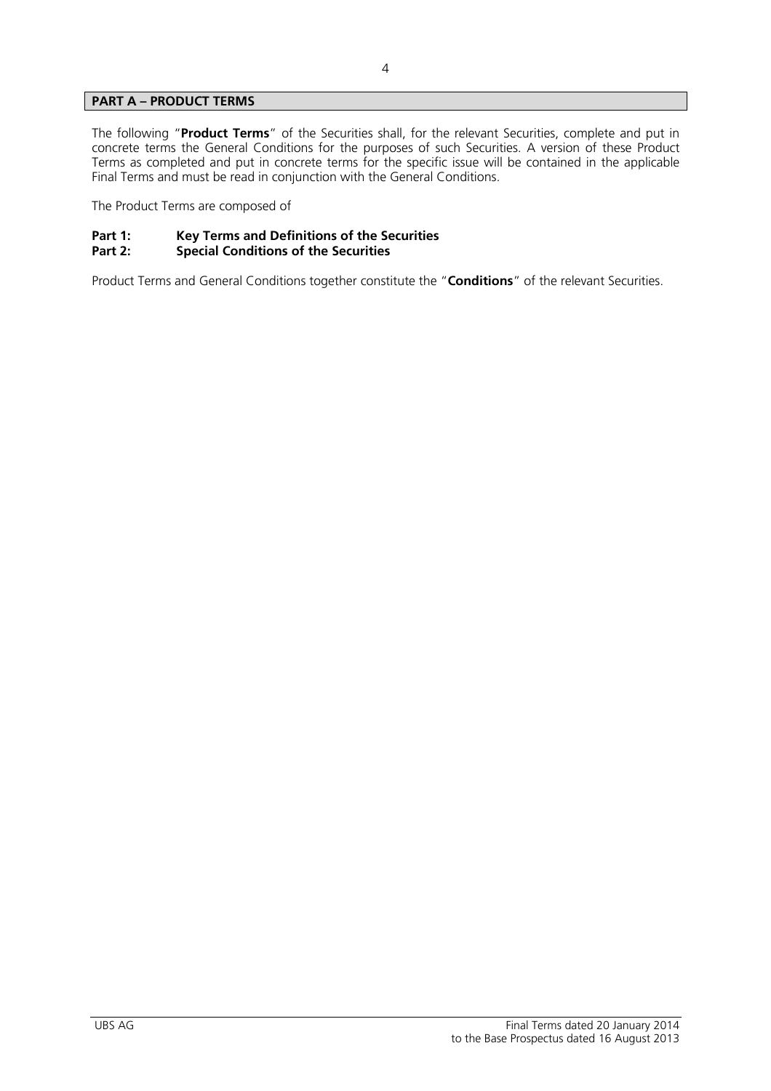# **PART A – PRODUCT TERMS**

The following "**Product Terms**" of the Securities shall, for the relevant Securities, complete and put in concrete terms the General Conditions for the purposes of such Securities. A version of these Product Terms as completed and put in concrete terms for the specific issue will be contained in the applicable Final Terms and must be read in conjunction with the General Conditions.

The Product Terms are composed of

# Part 1: Key Terms and Definitions of the Securities<br>Part 2: Special Conditions of the Securities

# **Special Conditions of the Securities**

Product Terms and General Conditions together constitute the "**Conditions**" of the relevant Securities.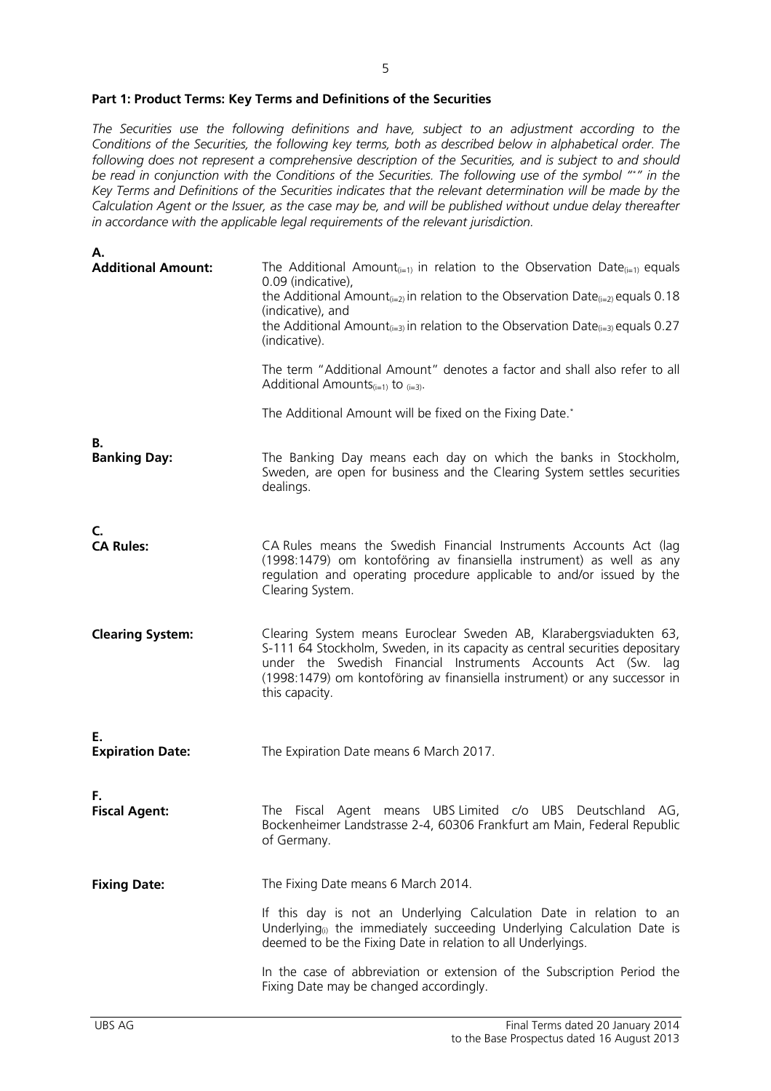#### **Part 1: Product Terms: Key Terms and Definitions of the Securities**

*The Securities use the following definitions and have, subject to an adjustment according to the Conditions of the Securities, the following key terms, both as described below in alphabetical order. The following does not represent a comprehensive description of the Securities, and is subject to and should be read in conjunction with the Conditions of the Securities. The following use of the symbol "\*" in the Key Terms and Definitions of the Securities indicates that the relevant determination will be made by the Calculation Agent or the Issuer, as the case may be, and will be published without undue delay thereafter in accordance with the applicable legal requirements of the relevant jurisdiction.* 

| А.                               |                                                                                                                                                                                                                                                                                                                                                                                      |
|----------------------------------|--------------------------------------------------------------------------------------------------------------------------------------------------------------------------------------------------------------------------------------------------------------------------------------------------------------------------------------------------------------------------------------|
| <b>Additional Amount:</b>        | The Additional Amount <sub>(i=1)</sub> in relation to the Observation Date <sub>(i=1)</sub> equals<br>0.09 (indicative),<br>the Additional Amount <sub>(i=2)</sub> in relation to the Observation Date <sub>(i=2)</sub> equals 0.18<br>(indicative), and<br>the Additional Amount <sub>(i=3)</sub> in relation to the Observation Date <sub>(i=3)</sub> equals 0.27<br>(indicative). |
|                                  | The term "Additional Amount" denotes a factor and shall also refer to all<br>Additional Amounts $_{(i=1)}$ to $_{(i=3)}$ .                                                                                                                                                                                                                                                           |
|                                  | The Additional Amount will be fixed on the Fixing Date.*                                                                                                                                                                                                                                                                                                                             |
| В.<br><b>Banking Day:</b>        | The Banking Day means each day on which the banks in Stockholm,<br>Sweden, are open for business and the Clearing System settles securities<br>dealings.                                                                                                                                                                                                                             |
| $\mathsf{C}$<br><b>CA Rules:</b> | CA Rules means the Swedish Financial Instruments Accounts Act (lag<br>(1998:1479) om kontoföring av finansiella instrument) as well as any<br>regulation and operating procedure applicable to and/or issued by the<br>Clearing System.                                                                                                                                              |
| <b>Clearing System:</b>          | Clearing System means Euroclear Sweden AB, Klarabergsviadukten 63,<br>S-111 64 Stockholm, Sweden, in its capacity as central securities depositary<br>under the Swedish Financial Instruments Accounts Act (Sw. lag<br>(1998:1479) om kontoföring av finansiella instrument) or any successor in<br>this capacity.                                                                   |
| Е.<br><b>Expiration Date:</b>    | The Expiration Date means 6 March 2017.                                                                                                                                                                                                                                                                                                                                              |
| Е.<br><b>Fiscal Agent:</b>       | The Fiscal Agent means UBS Limited c/o UBS Deutschland AG,<br>Bockenheimer Landstrasse 2-4, 60306 Frankfurt am Main, Federal Republic<br>of Germany.                                                                                                                                                                                                                                 |
| <b>Fixing Date:</b>              | The Fixing Date means 6 March 2014.                                                                                                                                                                                                                                                                                                                                                  |
|                                  | If this day is not an Underlying Calculation Date in relation to an<br>Underlying <sup>®</sup> the immediately succeeding Underlying Calculation Date is<br>deemed to be the Fixing Date in relation to all Underlyings.                                                                                                                                                             |
|                                  | In the case of abbreviation or extension of the Subscription Period the<br>Fixing Date may be changed accordingly.                                                                                                                                                                                                                                                                   |
|                                  |                                                                                                                                                                                                                                                                                                                                                                                      |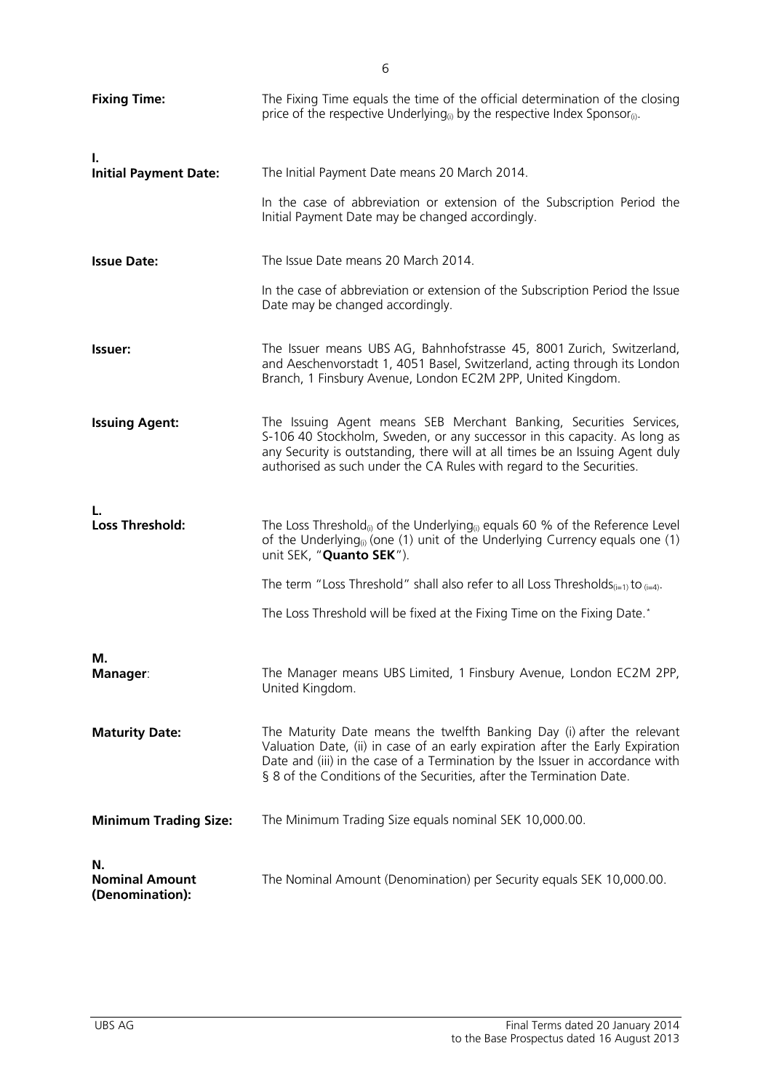| <b>Fixing Time:</b>                            | The Fixing Time equals the time of the official determination of the closing<br>price of the respective Underlying <sub>(i)</sub> by the respective Index Sponsor <sub>(i)</sub> .                                                                                                                               |
|------------------------------------------------|------------------------------------------------------------------------------------------------------------------------------------------------------------------------------------------------------------------------------------------------------------------------------------------------------------------|
| ı.<br><b>Initial Payment Date:</b>             | The Initial Payment Date means 20 March 2014.<br>In the case of abbreviation or extension of the Subscription Period the                                                                                                                                                                                         |
| <b>Issue Date:</b>                             | Initial Payment Date may be changed accordingly.<br>The Issue Date means 20 March 2014.                                                                                                                                                                                                                          |
|                                                | In the case of abbreviation or extension of the Subscription Period the Issue<br>Date may be changed accordingly.                                                                                                                                                                                                |
| Issuer:                                        | The Issuer means UBS AG, Bahnhofstrasse 45, 8001 Zurich, Switzerland,<br>and Aeschenvorstadt 1, 4051 Basel, Switzerland, acting through its London<br>Branch, 1 Finsbury Avenue, London EC2M 2PP, United Kingdom.                                                                                                |
| <b>Issuing Agent:</b>                          | The Issuing Agent means SEB Merchant Banking, Securities Services,<br>S-106 40 Stockholm, Sweden, or any successor in this capacity. As long as<br>any Security is outstanding, there will at all times be an Issuing Agent duly<br>authorised as such under the CA Rules with regard to the Securities.         |
| <b>Loss Threshold:</b>                         | The Loss Threshold <sub>(i)</sub> of the Underlying <sub>(i)</sub> equals 60 % of the Reference Level<br>of the Underlying <sub>(i)</sub> (one (1) unit of the Underlying Currency equals one (1)<br>unit SEK, "Quanto SEK").                                                                                    |
|                                                | The term "Loss Threshold" shall also refer to all Loss Thresholds $(i=1)$ to $(i=4)$ .                                                                                                                                                                                                                           |
|                                                | The Loss Threshold will be fixed at the Fixing Time on the Fixing Date.*                                                                                                                                                                                                                                         |
| М.<br><b>Manager:</b>                          | The Manager means UBS Limited, 1 Finsbury Avenue, London EC2M 2PP,<br>United Kingdom.                                                                                                                                                                                                                            |
| <b>Maturity Date:</b>                          | The Maturity Date means the twelfth Banking Day (i) after the relevant<br>Valuation Date, (ii) in case of an early expiration after the Early Expiration<br>Date and (iii) in the case of a Termination by the Issuer in accordance with<br>§ 8 of the Conditions of the Securities, after the Termination Date. |
| <b>Minimum Trading Size:</b>                   | The Minimum Trading Size equals nominal SEK 10,000.00.                                                                                                                                                                                                                                                           |
| N.<br><b>Nominal Amount</b><br>(Denomination): | The Nominal Amount (Denomination) per Security equals SEK 10,000.00.                                                                                                                                                                                                                                             |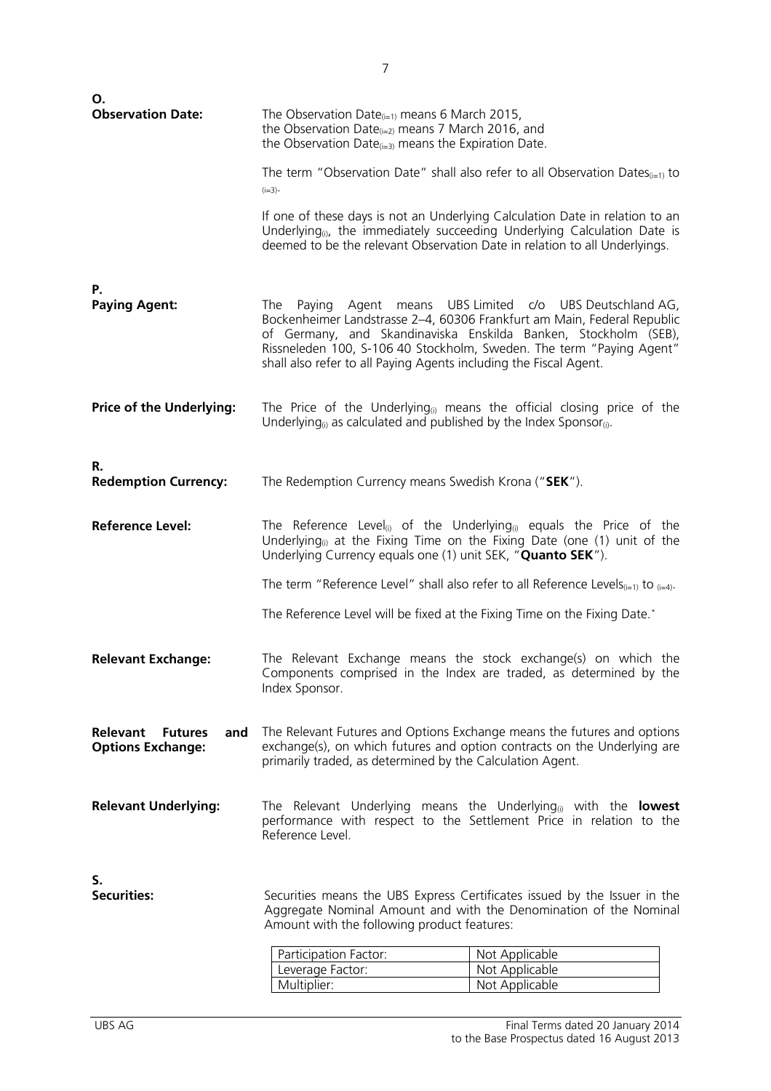| Ο.<br><b>Observation Date:</b>                                       |                                                                                                                                                                                                                                                      |                                                                                                                                                                                                                                                                              |
|----------------------------------------------------------------------|------------------------------------------------------------------------------------------------------------------------------------------------------------------------------------------------------------------------------------------------------|------------------------------------------------------------------------------------------------------------------------------------------------------------------------------------------------------------------------------------------------------------------------------|
|                                                                      | The Observation Date $_{(i=1)}$ means 6 March 2015,<br>the Observation Date $_{(i=2)}$ means 7 March 2016, and<br>the Observation Date $_{(i=3)}$ means the Expiration Date.                                                                         |                                                                                                                                                                                                                                                                              |
|                                                                      | $(i=3)$ .                                                                                                                                                                                                                                            | The term "Observation Date" shall also refer to all Observation Dates $_{(i=1)}$ to                                                                                                                                                                                          |
|                                                                      | deemed to be the relevant Observation Date in relation to all Underlyings.                                                                                                                                                                           | If one of these days is not an Underlying Calculation Date in relation to an<br>Underlying <sub>(i)</sub> , the immediately succeeding Underlying Calculation Date is                                                                                                        |
| Р.                                                                   |                                                                                                                                                                                                                                                      |                                                                                                                                                                                                                                                                              |
| <b>Paying Agent:</b>                                                 | The<br>shall also refer to all Paying Agents including the Fiscal Agent.                                                                                                                                                                             | Paying Agent means UBS Limited c/o UBS Deutschland AG,<br>Bockenheimer Landstrasse 2-4, 60306 Frankfurt am Main, Federal Republic<br>of Germany, and Skandinaviska Enskilda Banken, Stockholm (SEB),<br>Rissneleden 100, S-106 40 Stockholm, Sweden. The term "Paying Agent" |
| <b>Price of the Underlying:</b>                                      | The Price of the Underlying <sub>(i)</sub> means the official closing price of the<br>Underlying <sub>(i)</sub> as calculated and published by the Index Sponsor <sub>(i)</sub> .                                                                    |                                                                                                                                                                                                                                                                              |
|                                                                      |                                                                                                                                                                                                                                                      |                                                                                                                                                                                                                                                                              |
| R.<br><b>Redemption Currency:</b>                                    | The Redemption Currency means Swedish Krona ("SEK").                                                                                                                                                                                                 |                                                                                                                                                                                                                                                                              |
| <b>Reference Level:</b>                                              | The Reference Level <sub>(i)</sub> of the Underlying <sub>(i)</sub> equals the Price of the<br>Underlying <sub>(i)</sub> at the Fixing Time on the Fixing Date (one $(1)$ unit of the<br>Underlying Currency equals one (1) unit SEK, "Quanto SEK"). |                                                                                                                                                                                                                                                                              |
|                                                                      | The term "Reference Level" shall also refer to all Reference Levels <sub>(i=1)</sub> to $_{(i=4)}$ .                                                                                                                                                 |                                                                                                                                                                                                                                                                              |
|                                                                      | The Reference Level will be fixed at the Fixing Time on the Fixing Date.*                                                                                                                                                                            |                                                                                                                                                                                                                                                                              |
| <b>Relevant Exchange:</b>                                            | The Relevant Exchange means the stock exchange(s) on which the<br>Components comprised in the Index are traded, as determined by the<br>Index Sponsor.                                                                                               |                                                                                                                                                                                                                                                                              |
| <b>Relevant</b><br><b>Futures</b><br>and<br><b>Options Exchange:</b> | The Relevant Futures and Options Exchange means the futures and options<br>exchange(s), on which futures and option contracts on the Underlying are<br>primarily traded, as determined by the Calculation Agent.                                     |                                                                                                                                                                                                                                                                              |
| <b>Relevant Underlying:</b>                                          | The Relevant Underlying means the Underlying <sub>(i)</sub> with the <b>lowest</b><br>performance with respect to the Settlement Price in relation to the<br>Reference Level.                                                                        |                                                                                                                                                                                                                                                                              |
| S.                                                                   |                                                                                                                                                                                                                                                      |                                                                                                                                                                                                                                                                              |
| <b>Securities:</b>                                                   | Securities means the UBS Express Certificates issued by the Issuer in the<br>Aggregate Nominal Amount and with the Denomination of the Nominal<br>Amount with the following product features:                                                        |                                                                                                                                                                                                                                                                              |
|                                                                      | Participation Factor:                                                                                                                                                                                                                                | Not Applicable                                                                                                                                                                                                                                                               |
|                                                                      | Leverage Factor:                                                                                                                                                                                                                                     | Not Applicable                                                                                                                                                                                                                                                               |
|                                                                      | Multiplier:                                                                                                                                                                                                                                          | Not Applicable                                                                                                                                                                                                                                                               |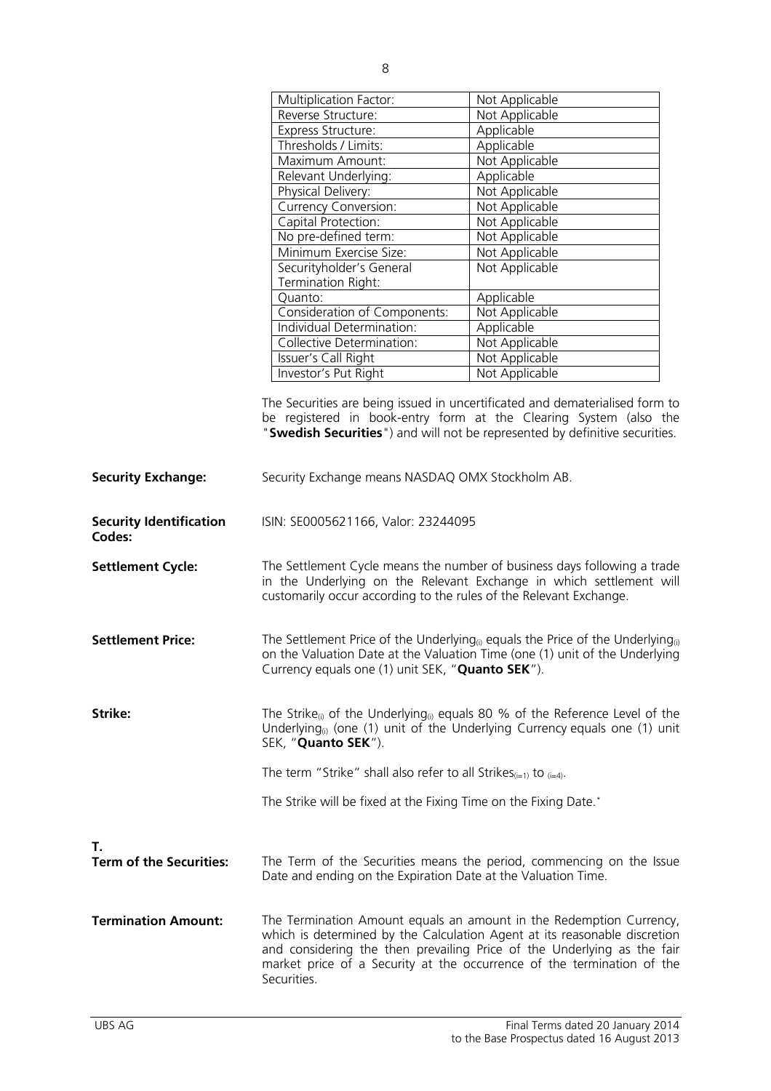|                                          | <b>Multiplication Factor:</b>                                                                                                                                                                                                                                                                                        | Not Applicable                                                               |
|------------------------------------------|----------------------------------------------------------------------------------------------------------------------------------------------------------------------------------------------------------------------------------------------------------------------------------------------------------------------|------------------------------------------------------------------------------|
|                                          | Reverse Structure:                                                                                                                                                                                                                                                                                                   | Not Applicable                                                               |
|                                          | Express Structure:                                                                                                                                                                                                                                                                                                   | Applicable                                                                   |
|                                          | Thresholds / Limits:                                                                                                                                                                                                                                                                                                 | Applicable                                                                   |
|                                          | Maximum Amount:                                                                                                                                                                                                                                                                                                      | Not Applicable                                                               |
|                                          | Relevant Underlying:                                                                                                                                                                                                                                                                                                 | Applicable                                                                   |
|                                          | Physical Delivery:                                                                                                                                                                                                                                                                                                   | Not Applicable                                                               |
|                                          | <b>Currency Conversion:</b>                                                                                                                                                                                                                                                                                          | Not Applicable                                                               |
|                                          | Capital Protection:                                                                                                                                                                                                                                                                                                  | Not Applicable                                                               |
|                                          | No pre-defined term:                                                                                                                                                                                                                                                                                                 | Not Applicable                                                               |
|                                          | Minimum Exercise Size:                                                                                                                                                                                                                                                                                               | Not Applicable                                                               |
|                                          | Securityholder's General<br>Termination Right:                                                                                                                                                                                                                                                                       | Not Applicable                                                               |
|                                          | Quanto:                                                                                                                                                                                                                                                                                                              | Applicable                                                                   |
|                                          | Consideration of Components:                                                                                                                                                                                                                                                                                         | Not Applicable                                                               |
|                                          | Individual Determination:                                                                                                                                                                                                                                                                                            | Applicable                                                                   |
|                                          | Collective Determination:                                                                                                                                                                                                                                                                                            | Not Applicable                                                               |
|                                          | Issuer's Call Right                                                                                                                                                                                                                                                                                                  | Not Applicable                                                               |
|                                          | Investor's Put Right                                                                                                                                                                                                                                                                                                 | Not Applicable                                                               |
|                                          |                                                                                                                                                                                                                                                                                                                      | The Securities are being issued in uncertificated and dematerialised form to |
|                                          |                                                                                                                                                                                                                                                                                                                      | be registered in book-entry form at the Clearing System (also the            |
|                                          |                                                                                                                                                                                                                                                                                                                      | "Swedish Securities") and will not be represented by definitive securities.  |
|                                          |                                                                                                                                                                                                                                                                                                                      |                                                                              |
| <b>Security Exchange:</b>                | Security Exchange means NASDAQ OMX Stockholm AB.                                                                                                                                                                                                                                                                     |                                                                              |
| <b>Security Identification</b><br>Codes: | ISIN: SE0005621166, Valor: 23244095                                                                                                                                                                                                                                                                                  |                                                                              |
| <b>Settlement Cycle:</b>                 | The Settlement Cycle means the number of business days following a trade<br>in the Underlying on the Relevant Exchange in which settlement will<br>customarily occur according to the rules of the Relevant Exchange.                                                                                                |                                                                              |
| <b>Settlement Price:</b>                 | The Settlement Price of the Underlying <sub>(i)</sub> equals the Price of the Underlying <sub>(i)</sub><br>on the Valuation Date at the Valuation Time (one (1) unit of the Underlying<br>Currency equals one (1) unit SEK, "Quanto SEK").                                                                           |                                                                              |
| Strike:                                  | The Strike <sub>(i)</sub> of the Underlying <sub>(i)</sub> equals 80 % of the Reference Level of the<br>Underlying <sub>(i)</sub> (one (1) unit of the Underlying Currency equals one (1) unit<br>SEK, "Quanto SEK").                                                                                                |                                                                              |
|                                          | The term "Strike" shall also refer to all Strikes $(i=1)$ to $(i=4)$ .                                                                                                                                                                                                                                               |                                                                              |
|                                          | The Strike will be fixed at the Fixing Time on the Fixing Date.*                                                                                                                                                                                                                                                     |                                                                              |
|                                          |                                                                                                                                                                                                                                                                                                                      |                                                                              |
| Τ.<br><b>Term of the Securities:</b>     | The Term of the Securities means the period, commencing on the Issue<br>Date and ending on the Expiration Date at the Valuation Time.                                                                                                                                                                                |                                                                              |
| <b>Termination Amount:</b>               | The Termination Amount equals an amount in the Redemption Currency,<br>which is determined by the Calculation Agent at its reasonable discretion<br>and considering the then prevailing Price of the Underlying as the fair<br>market price of a Security at the occurrence of the termination of the<br>Securities. |                                                                              |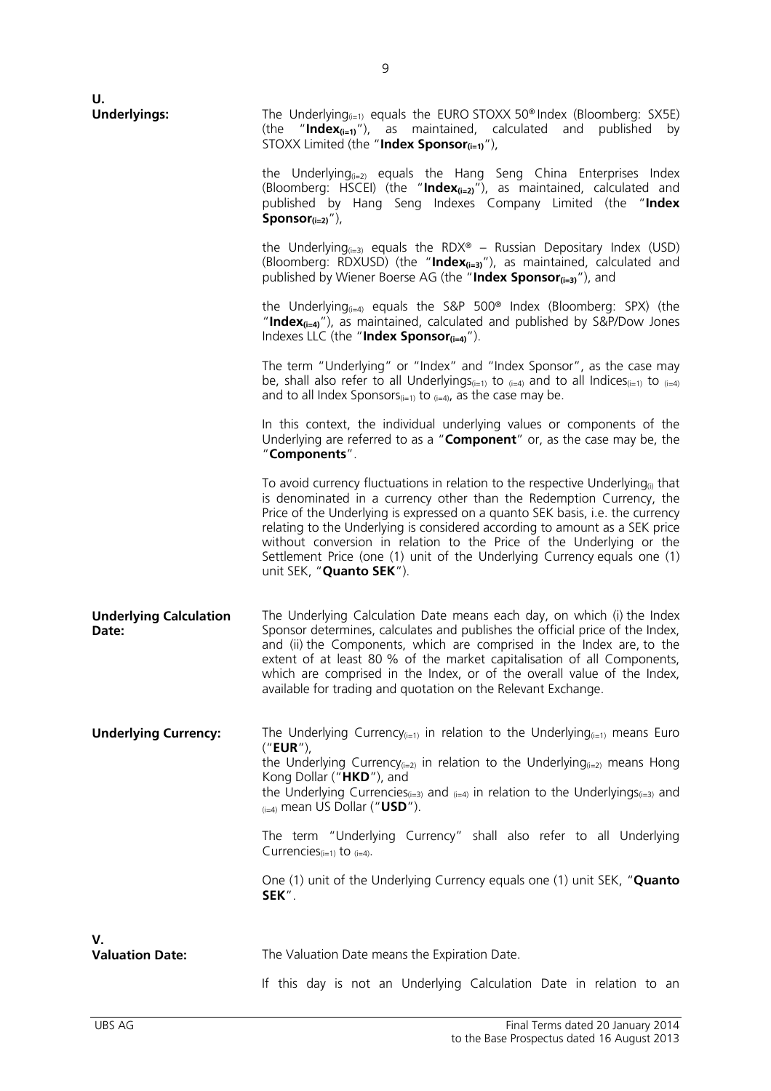| U.                                     |                                                                                                                                                                                                                                                                                                                                                                                                                                                                                                                     |
|----------------------------------------|---------------------------------------------------------------------------------------------------------------------------------------------------------------------------------------------------------------------------------------------------------------------------------------------------------------------------------------------------------------------------------------------------------------------------------------------------------------------------------------------------------------------|
| <b>Underlyings:</b>                    | The Underlying $_{(i=1)}$ equals the EURO STOXX 50 <sup>®</sup> Index (Bloomberg: SX5E)<br>(the "Index <sub>(i=1)</sub> "), as maintained, calculated and published by<br>STOXX Limited (the "Index Sponsor $(i=1)$ "),                                                                                                                                                                                                                                                                                             |
|                                        | the Underlying <sub><math>(i=2)</math></sub> equals the Hang Seng China Enterprises Index<br>(Bloomberg: HSCEI) (the "Index $_{\text{(i=2)}}$ "), as maintained, calculated and<br>published by Hang Seng Indexes Company Limited (the "Index<br>Sponsor $(i=2)^{''}$ ),                                                                                                                                                                                                                                            |
|                                        | the Underlying <sub><math>(i=3)</math></sub> equals the RDX® – Russian Depositary Index (USD)<br>(Bloomberg: RDXUSD) (the "Index $_{(i=3)}$ "), as maintained, calculated and<br>published by Wiener Boerse AG (the "Index Sponsor <sub>(i=3)</sub> "), and                                                                                                                                                                                                                                                         |
|                                        | the Underlying $_{(i=4)}$ equals the S&P 500 <sup>®</sup> Index (Bloomberg: SPX) (the<br>"Index $_{(i=4)}$ "), as maintained, calculated and published by S&P/Dow Jones<br>Indexes LLC (the "Index Sponsor $_{(i=4)}$ ").                                                                                                                                                                                                                                                                                           |
|                                        | The term "Underlying" or "Index" and "Index Sponsor", as the case may<br>be, shall also refer to all Underlyings <sub>(i=1)</sub> to $_{(i=4)}$ and to all Indices <sub>(i=1)</sub> to $_{(i=4)}$<br>and to all Index Sponsors $(i=1)$ to $(i=4)$ , as the case may be.                                                                                                                                                                                                                                             |
|                                        | In this context, the individual underlying values or components of the<br>Underlying are referred to as a "Component" or, as the case may be, the<br>"Components".                                                                                                                                                                                                                                                                                                                                                  |
|                                        | To avoid currency fluctuations in relation to the respective Underlying <sup>(i)</sup> that<br>is denominated in a currency other than the Redemption Currency, the<br>Price of the Underlying is expressed on a quanto SEK basis, i.e. the currency<br>relating to the Underlying is considered according to amount as a SEK price<br>without conversion in relation to the Price of the Underlying or the<br>Settlement Price (one (1) unit of the Underlying Currency equals one (1)<br>unit SEK, "Quanto SEK"). |
| <b>Underlying Calculation</b><br>Date: | The Underlying Calculation Date means each day, on which (i) the Index<br>Sponsor determines, calculates and publishes the official price of the Index,<br>and (ii) the Components, which are comprised in the Index are, to the<br>extent of at least 80 % of the market capitalisation of all Components,<br>which are comprised in the Index, or of the overall value of the Index,<br>available for trading and quotation on the Relevant Exchange.                                                             |
| <b>Underlying Currency:</b>            | The Underlying Currency <sub>(i=1)</sub> in relation to the Underlying <sub>(i=1)</sub> means Euro<br>("EUR"),<br>the Underlying Currency $(i=2)$ in relation to the Underlying $(i=2)$ means Hong<br>Kong Dollar ("HKD"), and<br>the Underlying Currencies $(i=3)$ and $(i=4)$ in relation to the Underlyings $(i=3)$ and<br>$_{(i=4)}$ mean US Dollar ("USD").                                                                                                                                                    |
|                                        | The term "Underlying Currency" shall also refer to all Underlying<br>Currencies $(i=1)$ to $(i=4)$ .                                                                                                                                                                                                                                                                                                                                                                                                                |
|                                        | One (1) unit of the Underlying Currency equals one (1) unit SEK, " <b>Quanto</b><br>SEK".                                                                                                                                                                                                                                                                                                                                                                                                                           |
| V.                                     |                                                                                                                                                                                                                                                                                                                                                                                                                                                                                                                     |
| <b>Valuation Date:</b>                 | The Valuation Date means the Expiration Date.                                                                                                                                                                                                                                                                                                                                                                                                                                                                       |
|                                        | If this day is not an Underlying Calculation Date in relation to an                                                                                                                                                                                                                                                                                                                                                                                                                                                 |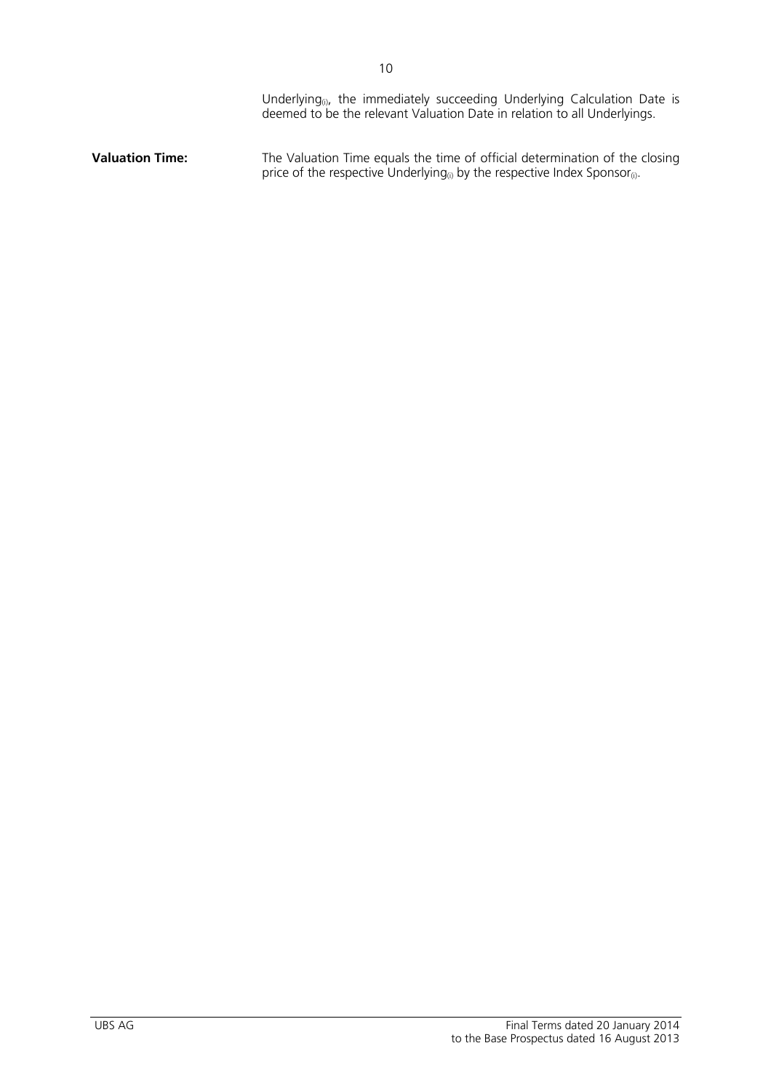|                        | Underlying <sub>(i)</sub> , the immediately succeeding Underlying Calculation Date is<br>deemed to be the relevant Valuation Date in relation to all Underlyings.                 |
|------------------------|-----------------------------------------------------------------------------------------------------------------------------------------------------------------------------------|
| <b>Valuation Time:</b> | The Valuation Time equals the time of official determination of the closing<br>price of the respective Underlying <sub>(i)</sub> by the respective Index Sponsor <sub>(i)</sub> . |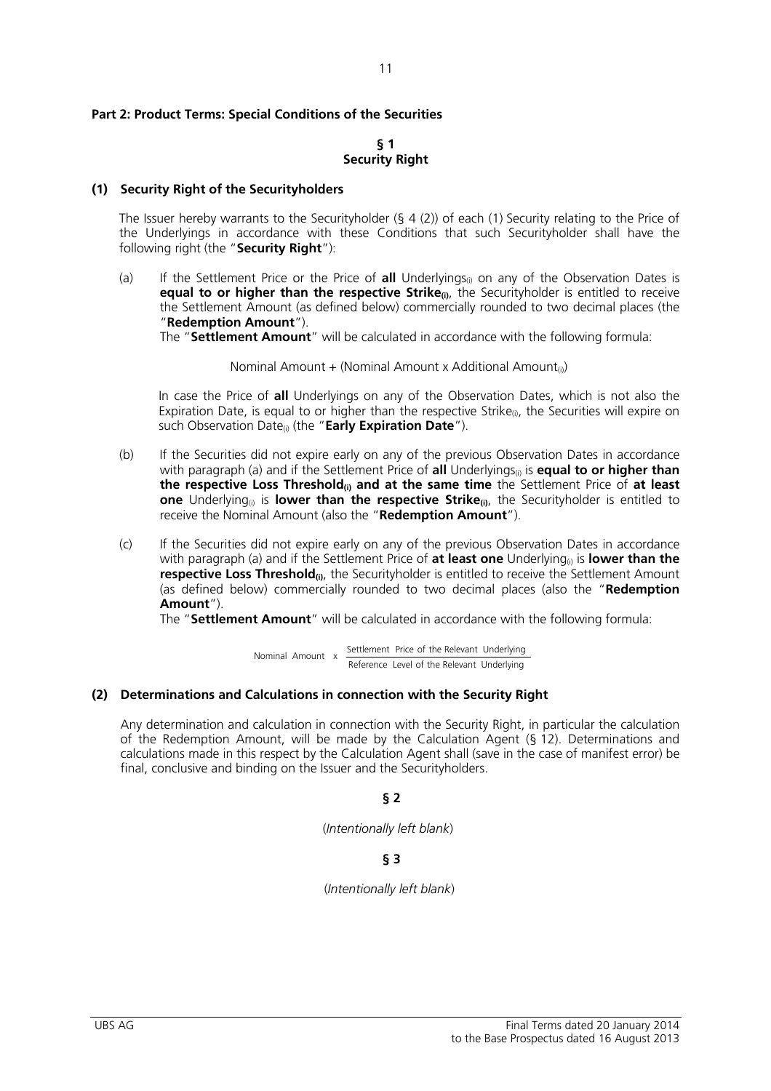#### **Part 2: Product Terms: Special Conditions of the Securities**

#### **§ 1 Security Right**

#### **(1) Security Right of the Securityholders**

The Issuer hereby warrants to the Securityholder  $(§ 4 (2))$  of each  $(1)$  Security relating to the Price of the Underlyings in accordance with these Conditions that such Securityholder shall have the following right (the "**Security Right**"):

(a) If the Settlement Price or the Price of **all** Underlyings<sub>(i)</sub> on any of the Observation Dates is **equal to or higher than the respective Strike**<sub>(i)</sub>, the Securityholder is entitled to receive the Settlement Amount (as defined below) commercially rounded to two decimal places (the "**Redemption Amount**").

The "**Settlement Amount**" will be calculated in accordance with the following formula:

Nominal Amount + (Nominal Amount x Additional Amount<sub>(i)</sub>)

 In case the Price of **all** Underlyings on any of the Observation Dates, which is not also the Expiration Date, is equal to or higher than the respective Strike<sub>(i)</sub>, the Securities will expire on such Observation Date(i) (the "**Early Expiration Date**").

- (b) If the Securities did not expire early on any of the previous Observation Dates in accordance with paragraph (a) and if the Settlement Price of **all** Underlyings<sub>(i)</sub> is **equal to or higher than the respective Loss Threshold(i) and at the same time** the Settlement Price of **at least one** Underlying<sub>(i)</sub> is **lower than the respective Strike**<sub>(i)</sub>, the Securityholder is entitled to receive the Nominal Amount (also the "**Redemption Amount**").
- (c) If the Securities did not expire early on any of the previous Observation Dates in accordance with paragraph (a) and if the Settlement Price of **at least one** Underlying<sub>(i)</sub> is **lower than the respective Loss Threshold**<sup>(i)</sup>, the Securityholder is entitled to receive the Settlement Amount (as defined below) commercially rounded to two decimal places (also the "**Redemption Amount**").

The "**Settlement Amount**" will be calculated in accordance with the following formula:

 Reference Level of the Relevant Underlying Nominal Amount x Settlement Price of the Relevant Underlying

#### **(2) Determinations and Calculations in connection with the Security Right**

Any determination and calculation in connection with the Security Right, in particular the calculation of the Redemption Amount, will be made by the Calculation Agent (§ 12). Determinations and calculations made in this respect by the Calculation Agent shall (save in the case of manifest error) be final, conclusive and binding on the Issuer and the Securityholders.

#### **§ 2**

(*Intentionally left blank*)

# **§ 3**

(*Intentionally left blank*)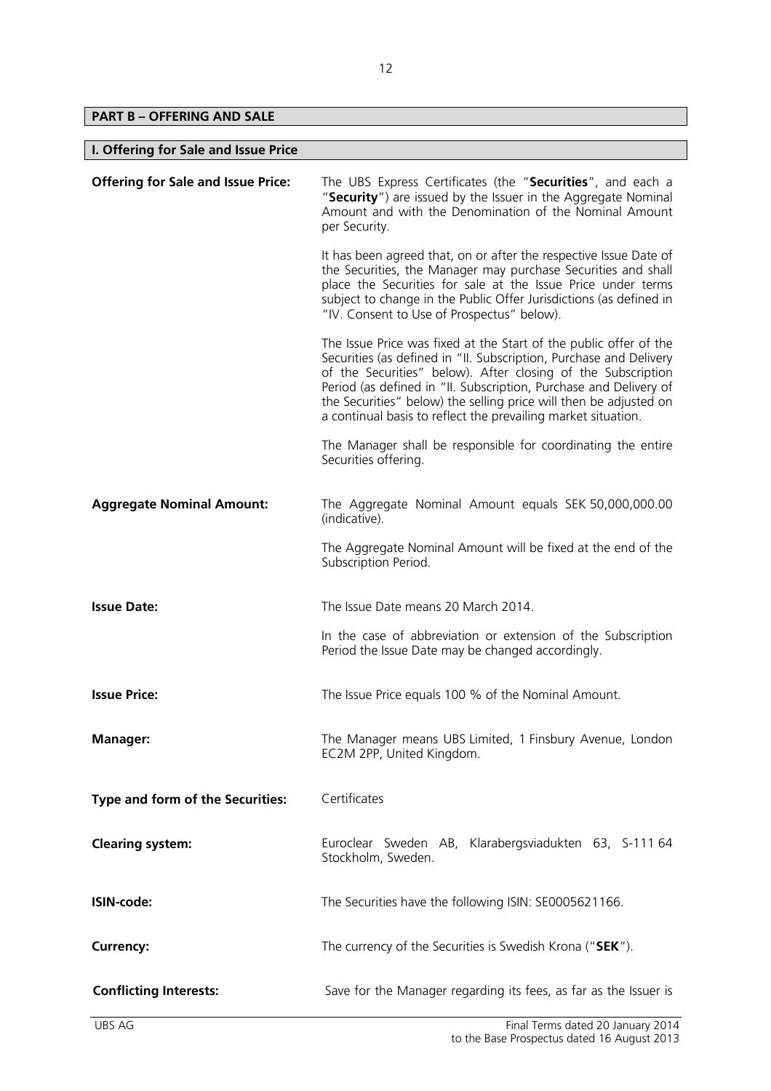**PART B – OFFERING AND SALE** 

| I. Offering for Sale and Issue Price      |                                                                                                                                                                                                                                                                                                                                                                                                                    |  |
|-------------------------------------------|--------------------------------------------------------------------------------------------------------------------------------------------------------------------------------------------------------------------------------------------------------------------------------------------------------------------------------------------------------------------------------------------------------------------|--|
| <b>Offering for Sale and Issue Price:</b> | The UBS Express Certificates (the "Securities", and each a<br>"Security") are issued by the Issuer in the Aggregate Nominal<br>Amount and with the Denomination of the Nominal Amount<br>per Security.                                                                                                                                                                                                             |  |
|                                           | It has been agreed that, on or after the respective Issue Date of<br>the Securities, the Manager may purchase Securities and shall<br>place the Securities for sale at the Issue Price under terms<br>subject to change in the Public Offer Jurisdictions (as defined in<br>"IV. Consent to Use of Prospectus" below).                                                                                             |  |
|                                           | The Issue Price was fixed at the Start of the public offer of the<br>Securities (as defined in "II. Subscription, Purchase and Delivery<br>of the Securities" below). After closing of the Subscription<br>Period (as defined in "II. Subscription, Purchase and Delivery of<br>the Securities" below) the selling price will then be adjusted on<br>a continual basis to reflect the prevailing market situation. |  |
|                                           | The Manager shall be responsible for coordinating the entire<br>Securities offering.                                                                                                                                                                                                                                                                                                                               |  |
| <b>Aggregate Nominal Amount:</b>          | The Aggregate Nominal Amount equals SEK 50,000,000.00<br>(indicative).                                                                                                                                                                                                                                                                                                                                             |  |
|                                           | The Aggregate Nominal Amount will be fixed at the end of the<br>Subscription Period.                                                                                                                                                                                                                                                                                                                               |  |
| <b>Issue Date:</b>                        | The Issue Date means 20 March 2014.                                                                                                                                                                                                                                                                                                                                                                                |  |
|                                           | In the case of abbreviation or extension of the Subscription<br>Period the Issue Date may be changed accordingly.                                                                                                                                                                                                                                                                                                  |  |
| <b>Issue Price:</b>                       | The Issue Price equals 100 % of the Nominal Amount.                                                                                                                                                                                                                                                                                                                                                                |  |
| <b>Manager:</b>                           | The Manager means UBS Limited, 1 Finsbury Avenue, London<br>EC2M 2PP, United Kingdom.                                                                                                                                                                                                                                                                                                                              |  |
| Type and form of the Securities:          | Certificates                                                                                                                                                                                                                                                                                                                                                                                                       |  |
| <b>Clearing system:</b>                   | Euroclear Sweden AB, Klarabergsviadukten 63, S-111 64<br>Stockholm, Sweden.                                                                                                                                                                                                                                                                                                                                        |  |
| ISIN-code:                                | The Securities have the following ISIN: SE0005621166.                                                                                                                                                                                                                                                                                                                                                              |  |
| <b>Currency:</b>                          | The currency of the Securities is Swedish Krona ("SEK").                                                                                                                                                                                                                                                                                                                                                           |  |
| <b>Conflicting Interests:</b>             | Save for the Manager regarding its fees, as far as the Issuer is                                                                                                                                                                                                                                                                                                                                                   |  |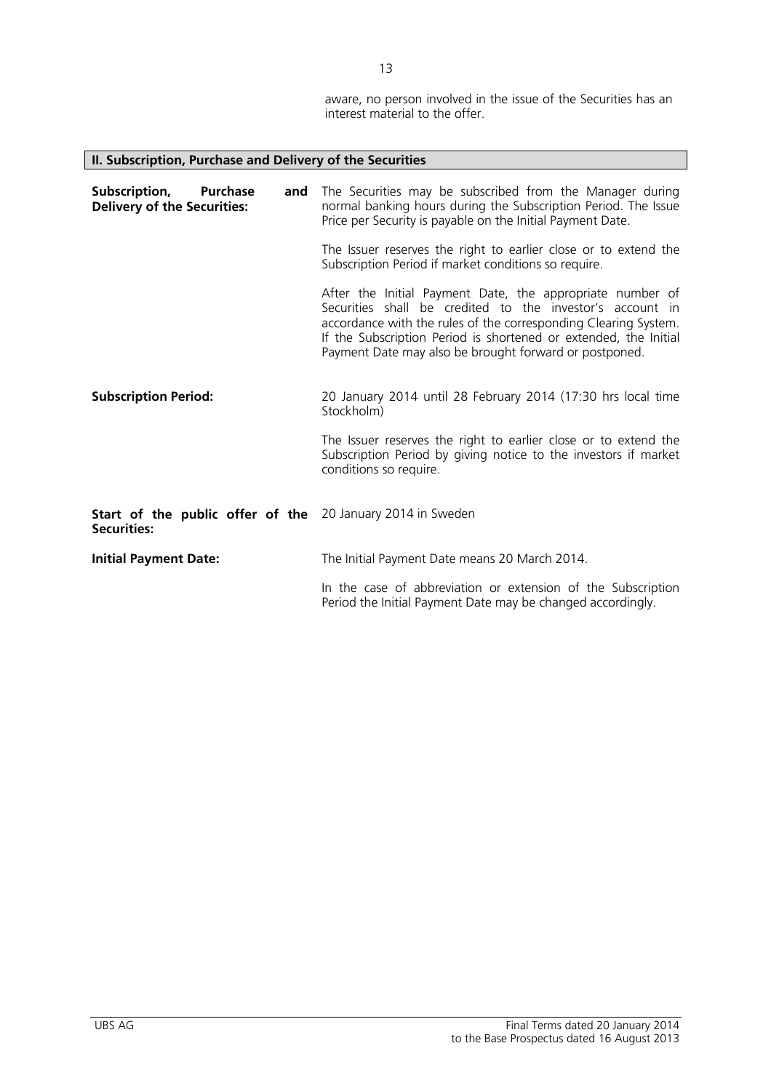aware, no person involved in the issue of the Securities has an interest material to the offer.

| II. Subscription, Purchase and Delivery of the Securities                               |                                                                                                                                                                                                                                                                                                                         |  |
|-----------------------------------------------------------------------------------------|-------------------------------------------------------------------------------------------------------------------------------------------------------------------------------------------------------------------------------------------------------------------------------------------------------------------------|--|
| Subscription,<br><b>Purchase</b><br>and<br><b>Delivery of the Securities:</b>           | The Securities may be subscribed from the Manager during<br>normal banking hours during the Subscription Period. The Issue<br>Price per Security is payable on the Initial Payment Date.                                                                                                                                |  |
|                                                                                         | The Issuer reserves the right to earlier close or to extend the<br>Subscription Period if market conditions so require.                                                                                                                                                                                                 |  |
|                                                                                         | After the Initial Payment Date, the appropriate number of<br>Securities shall be credited to the investor's account in<br>accordance with the rules of the corresponding Clearing System.<br>If the Subscription Period is shortened or extended, the Initial<br>Payment Date may also be brought forward or postponed. |  |
| <b>Subscription Period:</b>                                                             | 20 January 2014 until 28 February 2014 (17:30 hrs local time<br>Stockholm)                                                                                                                                                                                                                                              |  |
|                                                                                         | The Issuer reserves the right to earlier close or to extend the<br>Subscription Period by giving notice to the investors if market<br>conditions so require.                                                                                                                                                            |  |
| <b>Start of the public offer of the</b> 20 January 2014 in Sweden<br><b>Securities:</b> |                                                                                                                                                                                                                                                                                                                         |  |
| <b>Initial Payment Date:</b>                                                            | The Initial Payment Date means 20 March 2014.                                                                                                                                                                                                                                                                           |  |
|                                                                                         | In the case of abbreviation or extension of the Subscription<br>Period the Initial Payment Date may be changed accordingly.                                                                                                                                                                                             |  |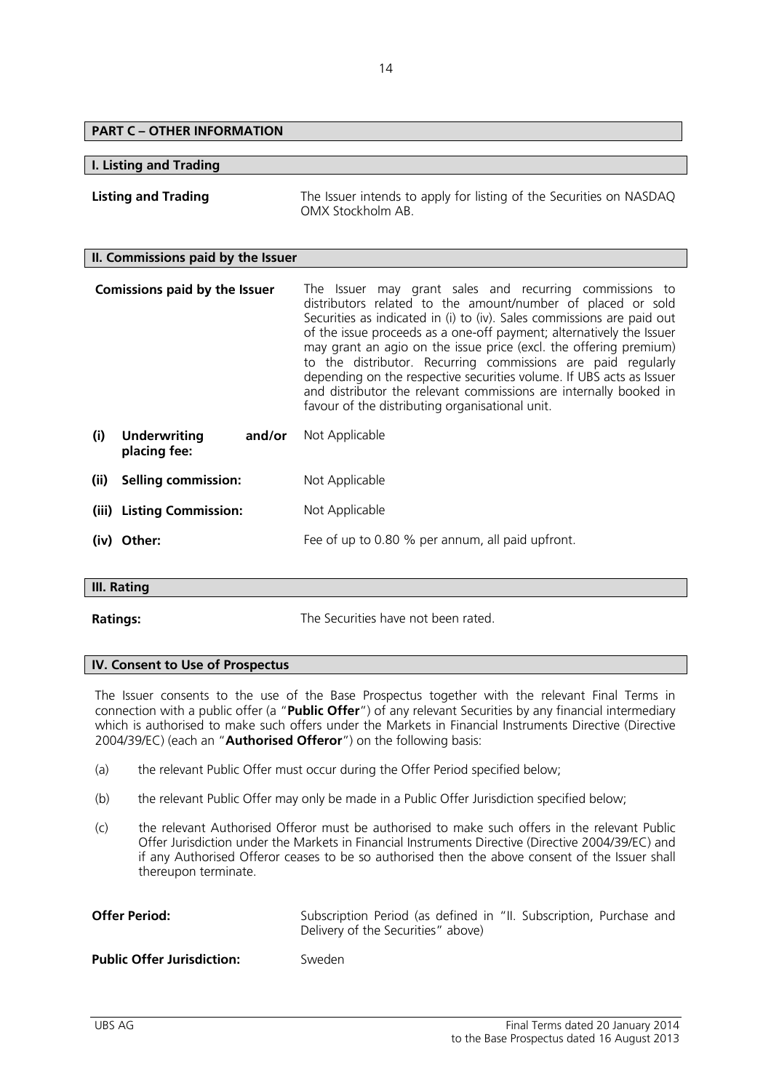# **PART C – OTHER INFORMATION**

#### **I. Listing and Trading**

**Listing and Trading** The Issuer intends to apply for listing of the Securities on NASDAQ OMX Stockholm AB.

#### **II. Commissions paid by the Issuer**

|      | <b>Comissions paid by the Issuer</b>          | The Issuer may grant sales and recurring commissions to<br>distributors related to the amount/number of placed or sold<br>Securities as indicated in (i) to (iv). Sales commissions are paid out<br>of the issue proceeds as a one-off payment; alternatively the Issuer<br>may grant an agio on the issue price (excl. the offering premium)<br>to the distributor. Recurring commissions are paid regularly<br>depending on the respective securities volume. If UBS acts as Issuer<br>and distributor the relevant commissions are internally booked in<br>favour of the distributing organisational unit. |
|------|-----------------------------------------------|---------------------------------------------------------------------------------------------------------------------------------------------------------------------------------------------------------------------------------------------------------------------------------------------------------------------------------------------------------------------------------------------------------------------------------------------------------------------------------------------------------------------------------------------------------------------------------------------------------------|
| (i)  | <b>Underwriting</b><br>and/or<br>placing fee: | Not Applicable                                                                                                                                                                                                                                                                                                                                                                                                                                                                                                                                                                                                |
| (ii) | <b>Selling commission:</b>                    | Not Applicable                                                                                                                                                                                                                                                                                                                                                                                                                                                                                                                                                                                                |
|      | (iii) Listing Commission:                     | Not Applicable                                                                                                                                                                                                                                                                                                                                                                                                                                                                                                                                                                                                |
|      | (iv) Other:                                   | Fee of up to 0.80 % per annum, all paid upfront.                                                                                                                                                                                                                                                                                                                                                                                                                                                                                                                                                              |

#### **III. Rating**

**Ratings:** The Securities have not been rated.

#### **IV. Consent to Use of Prospectus**

The Issuer consents to the use of the Base Prospectus together with the relevant Final Terms in connection with a public offer (a "**Public Offer**") of any relevant Securities by any financial intermediary which is authorised to make such offers under the Markets in Financial Instruments Directive (Directive 2004/39/EC) (each an "**Authorised Offeror**") on the following basis:

- (a) the relevant Public Offer must occur during the Offer Period specified below;
- (b) the relevant Public Offer may only be made in a Public Offer Jurisdiction specified below;
- (c) the relevant Authorised Offeror must be authorised to make such offers in the relevant Public Offer Jurisdiction under the Markets in Financial Instruments Directive (Directive 2004/39/EC) and if any Authorised Offeror ceases to be so authorised then the above consent of the Issuer shall thereupon terminate.

| <b>Offer Period:</b> | Subscription Period (as defined in "II. Subscription, Purchase and |
|----------------------|--------------------------------------------------------------------|
|                      | Delivery of the Securities" above)                                 |
|                      |                                                                    |

**Public Offer Jurisdiction:** Sweden

14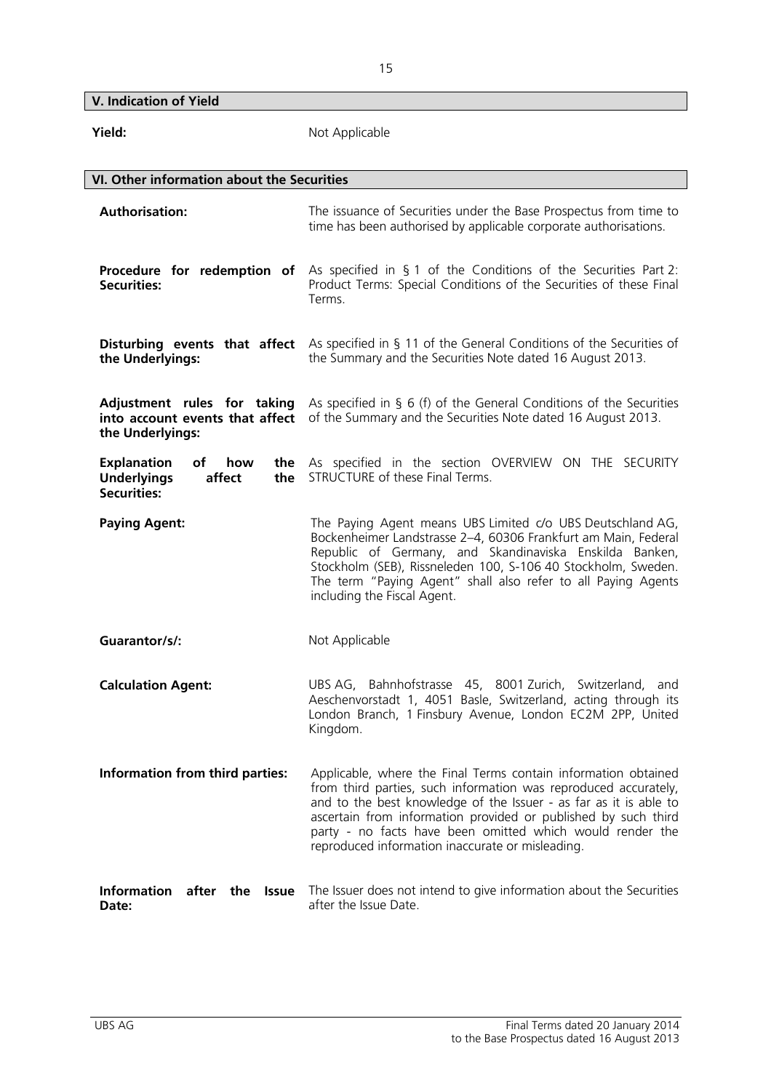**V. Indication of Yield** 

| Yield:                                                                                              | Not Applicable                                                                                                                                                                                                                                                                                                                                                                            |
|-----------------------------------------------------------------------------------------------------|-------------------------------------------------------------------------------------------------------------------------------------------------------------------------------------------------------------------------------------------------------------------------------------------------------------------------------------------------------------------------------------------|
| VI. Other information about the Securities                                                          |                                                                                                                                                                                                                                                                                                                                                                                           |
| <b>Authorisation:</b>                                                                               | The issuance of Securities under the Base Prospectus from time to<br>time has been authorised by applicable corporate authorisations.                                                                                                                                                                                                                                                     |
| Procedure for redemption of<br><b>Securities:</b>                                                   | As specified in $\S$ 1 of the Conditions of the Securities Part 2:<br>Product Terms: Special Conditions of the Securities of these Final<br>Terms.                                                                                                                                                                                                                                        |
| the Underlyings:                                                                                    | <b>Disturbing events that affect</b> As specified in § 11 of the General Conditions of the Securities of<br>the Summary and the Securities Note dated 16 August 2013.                                                                                                                                                                                                                     |
| Adjustment rules for taking<br>into account events that affect<br>the Underlyings:                  | As specified in $\S$ 6 (f) of the General Conditions of the Securities<br>of the Summary and the Securities Note dated 16 August 2013.                                                                                                                                                                                                                                                    |
| <b>Explanation</b><br>of<br>how<br>the<br><b>Underlyings</b><br>affect<br>the<br><b>Securities:</b> | As specified in the section OVERVIEW ON THE SECURITY<br>STRUCTURE of these Final Terms.                                                                                                                                                                                                                                                                                                   |
| <b>Paying Agent:</b>                                                                                | The Paying Agent means UBS Limited c/o UBS Deutschland AG,<br>Bockenheimer Landstrasse 2-4, 60306 Frankfurt am Main, Federal<br>Republic of Germany, and Skandinaviska Enskilda Banken,<br>Stockholm (SEB), Rissneleden 100, S-106 40 Stockholm, Sweden.<br>The term "Paying Agent" shall also refer to all Paying Agents<br>including the Fiscal Agent.                                  |
| Guarantor/s/:                                                                                       | Not Applicable                                                                                                                                                                                                                                                                                                                                                                            |
| <b>Calculation Agent:</b>                                                                           | Bahnhofstrasse 45, 8001 Zurich,<br>Switzerland,<br>UBS AG,<br>and<br>Aeschenvorstadt 1, 4051 Basle, Switzerland, acting through its<br>London Branch, 1 Finsbury Avenue, London EC2M 2PP, United<br>Kingdom.                                                                                                                                                                              |
| Information from third parties:                                                                     | Applicable, where the Final Terms contain information obtained<br>from third parties, such information was reproduced accurately,<br>and to the best knowledge of the Issuer - as far as it is able to<br>ascertain from information provided or published by such third<br>party - no facts have been omitted which would render the<br>reproduced information inaccurate or misleading. |
| <b>Information</b><br>after the<br><b>Issue</b><br>Date:                                            | The Issuer does not intend to give information about the Securities<br>after the Issue Date.                                                                                                                                                                                                                                                                                              |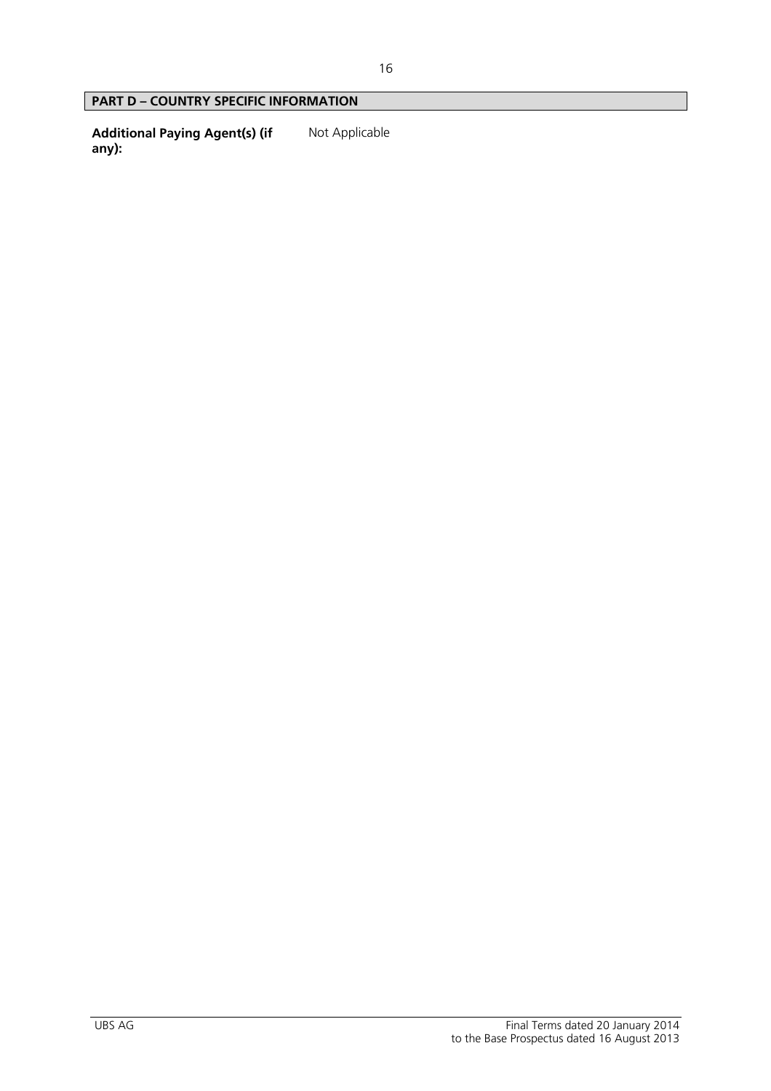# **PART D – COUNTRY SPECIFIC INFORMATION**

**Additional Paying Agent(s) (if any):**  Not Applicable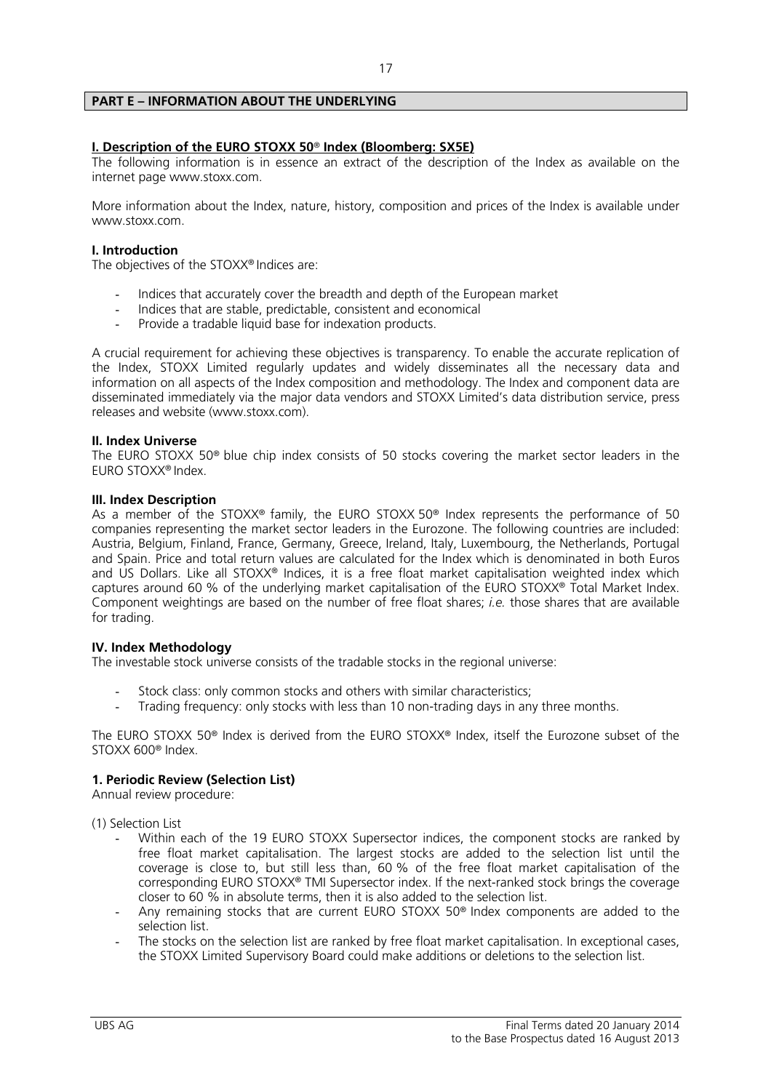# **PART E – INFORMATION ABOUT THE UNDERLYING**

# **I. Description of the EURO STOXX 50**® **Index (Bloomberg: SX5E)**

The following information is in essence an extract of the description of the Index as available on the internet page www.stoxx.com.

More information about the Index, nature, history, composition and prices of the Index is available under www.stoxx.com.

# **I. Introduction**

The objectives of the STOXX® Indices are:

- Indices that accurately cover the breadth and depth of the European market
- Indices that are stable, predictable, consistent and economical
- Provide a tradable liquid base for indexation products.

A crucial requirement for achieving these objectives is transparency. To enable the accurate replication of the Index, STOXX Limited regularly updates and widely disseminates all the necessary data and information on all aspects of the Index composition and methodology. The Index and component data are disseminated immediately via the major data vendors and STOXX Limited's data distribution service, press releases and website (www.stoxx.com).

#### **II. Index Universe**

The EURO STOXX 50® blue chip index consists of 50 stocks covering the market sector leaders in the EURO STOXX® Index.

#### **III. Index Description**

As a member of the STOXX® family, the EURO STOXX 50® Index represents the performance of 50 companies representing the market sector leaders in the Eurozone. The following countries are included: Austria, Belgium, Finland, France, Germany, Greece, Ireland, Italy, Luxembourg, the Netherlands, Portugal and Spain. Price and total return values are calculated for the Index which is denominated in both Euros and US Dollars. Like all STOXX® Indices, it is a free float market capitalisation weighted index which captures around 60 % of the underlying market capitalisation of the EURO STOXX® Total Market Index. Component weightings are based on the number of free float shares; *i.e.* those shares that are available for trading.

#### **IV. Index Methodology**

The investable stock universe consists of the tradable stocks in the regional universe:

- Stock class: only common stocks and others with similar characteristics;
- Trading frequency: only stocks with less than 10 non-trading days in any three months.

The EURO STOXX 50® Index is derived from the EURO STOXX® Index, itself the Eurozone subset of the STOXX 600® Index.

#### **1. Periodic Review (Selection List)**

Annual review procedure:

(1) Selection List

- Within each of the 19 EURO STOXX Supersector indices, the component stocks are ranked by free float market capitalisation. The largest stocks are added to the selection list until the coverage is close to, but still less than, 60 % of the free float market capitalisation of the corresponding EURO STOXX® TMI Supersector index. If the next-ranked stock brings the coverage closer to 60 % in absolute terms, then it is also added to the selection list.
- Any remaining stocks that are current EURO STOXX 50<sup>®</sup> Index components are added to the selection list.
- The stocks on the selection list are ranked by free float market capitalisation. In exceptional cases, the STOXX Limited Supervisory Board could make additions or deletions to the selection list.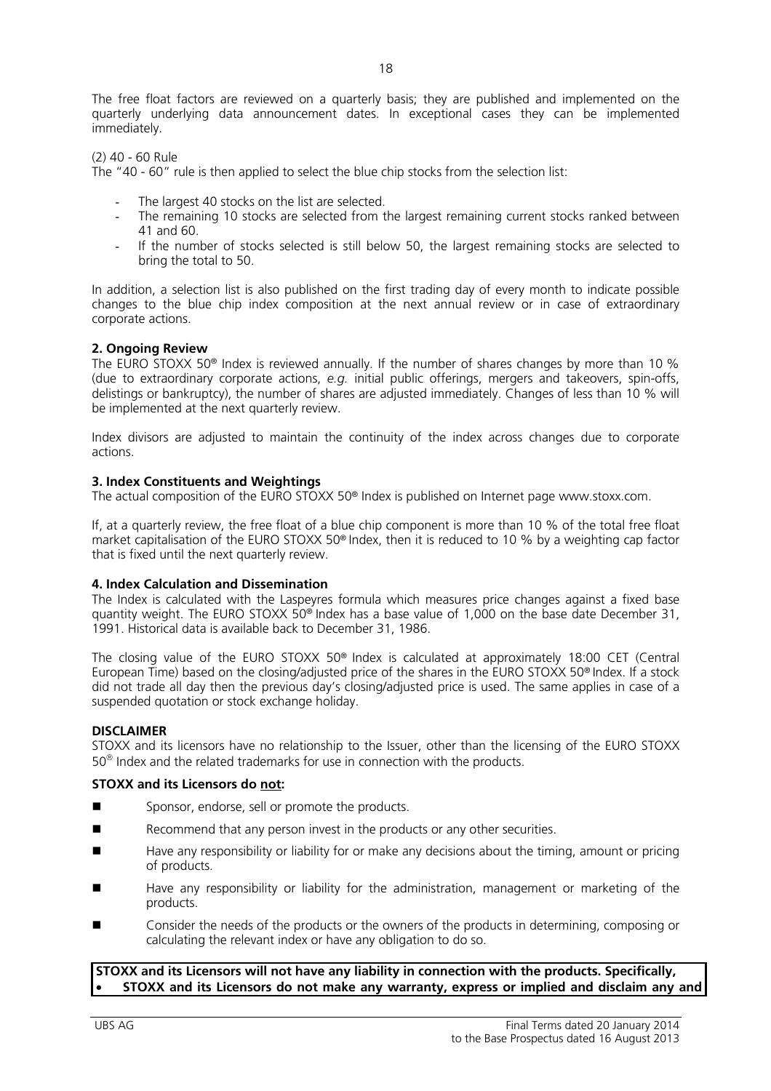The free float factors are reviewed on a quarterly basis; they are published and implemented on the quarterly underlying data announcement dates. In exceptional cases they can be implemented immediately.

(2) 40 - 60 Rule

The "40 - 60" rule is then applied to select the blue chip stocks from the selection list:

- The largest 40 stocks on the list are selected.
- The remaining 10 stocks are selected from the largest remaining current stocks ranked between 41 and 60.
- If the number of stocks selected is still below 50, the largest remaining stocks are selected to bring the total to 50.

In addition, a selection list is also published on the first trading day of every month to indicate possible changes to the blue chip index composition at the next annual review or in case of extraordinary corporate actions.

# **2. Ongoing Review**

The EURO STOXX 50® Index is reviewed annually. If the number of shares changes by more than 10 % (due to extraordinary corporate actions, *e.g.* initial public offerings, mergers and takeovers, spin-offs, delistings or bankruptcy), the number of shares are adjusted immediately. Changes of less than 10 % will be implemented at the next quarterly review.

Index divisors are adjusted to maintain the continuity of the index across changes due to corporate actions.

# **3. Index Constituents and Weightings**

The actual composition of the EURO STOXX 50® Index is published on Internet page www.stoxx.com.

If, at a quarterly review, the free float of a blue chip component is more than 10 % of the total free float market capitalisation of the EURO STOXX 50® Index, then it is reduced to 10 % by a weighting cap factor that is fixed until the next quarterly review.

# **4. Index Calculation and Dissemination**

The Index is calculated with the Laspeyres formula which measures price changes against a fixed base quantity weight. The EURO STOXX 50® Index has a base value of 1,000 on the base date December 31, 1991. Historical data is available back to December 31, 1986.

The closing value of the EURO STOXX 50® Index is calculated at approximately 18:00 CET (Central European Time) based on the closing/adjusted price of the shares in the EURO STOXX 50® Index. If a stock did not trade all day then the previous day's closing/adjusted price is used. The same applies in case of a suspended quotation or stock exchange holiday.

# **DISCLAIMER**

STOXX and its licensors have no relationship to the Issuer, other than the licensing of the EURO STOXX  $50^\circ$  Index and the related trademarks for use in connection with the products.

# **STOXX and its Licensors do not:**

- Sponsor, endorse, sell or promote the products.
- Recommend that any person invest in the products or any other securities.
- Have any responsibility or liability for or make any decisions about the timing, amount or pricing of products.
- Have any responsibility or liability for the administration, management or marketing of the products.
- Consider the needs of the products or the owners of the products in determining, composing or calculating the relevant index or have any obligation to do so.

# **STOXX and its Licensors will not have any liability in connection with the products. Specifically,** • **STOXX and its Licensors do not make any warranty, express or implied and disclaim any and**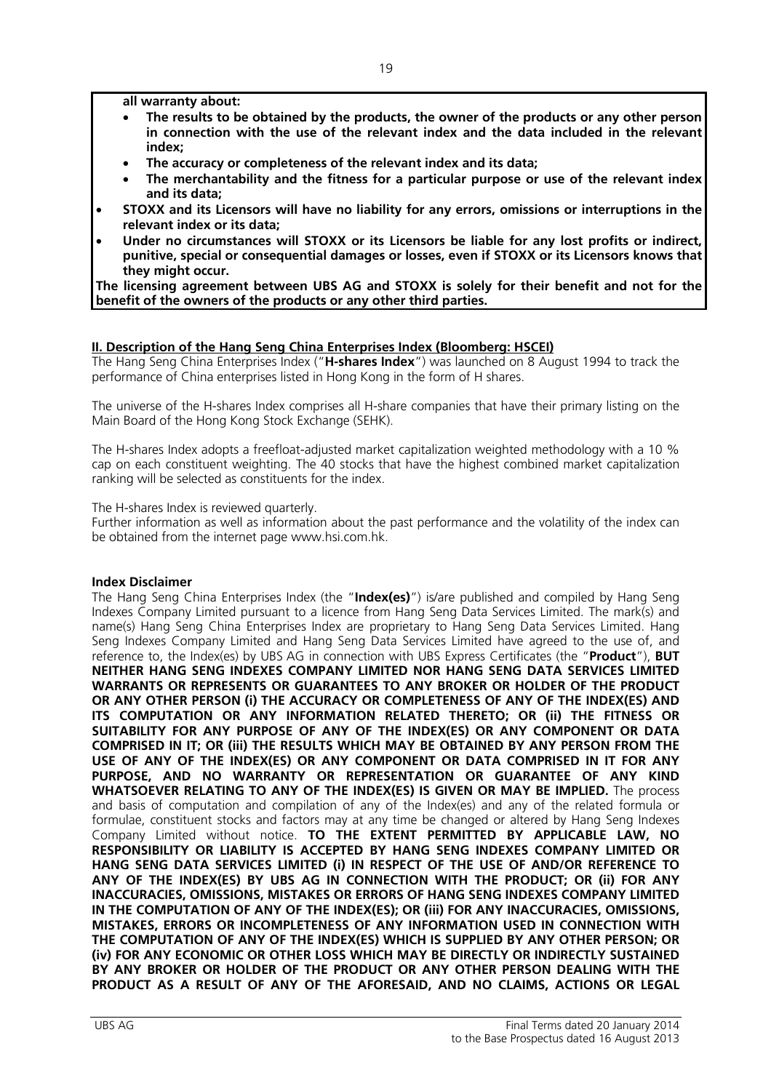**all warranty about:** 

- **The results to be obtained by the products, the owner of the products or any other person in connection with the use of the relevant index and the data included in the relevant index;**
- **The accuracy or completeness of the relevant index and its data;**
- **The merchantability and the fitness for a particular purpose or use of the relevant index and its data;**
- **STOXX and its Licensors will have no liability for any errors, omissions or interruptions in the relevant index or its data;**
- **Under no circumstances will STOXX or its Licensors be liable for any lost profits or indirect, punitive, special or consequential damages or losses, even if STOXX or its Licensors knows that they might occur.**

**The licensing agreement between UBS AG and STOXX is solely for their benefit and not for the benefit of the owners of the products or any other third parties.**

# **II. Description of the Hang Seng China Enterprises Index (Bloomberg: HSCEI)**

The Hang Seng China Enterprises Index ("**H-shares Index**") was launched on 8 August 1994 to track the performance of China enterprises listed in Hong Kong in the form of H shares.

The universe of the H-shares Index comprises all H-share companies that have their primary listing on the Main Board of the Hong Kong Stock Exchange (SEHK).

The H-shares Index adopts a freefloat-adjusted market capitalization weighted methodology with a 10 % cap on each constituent weighting. The 40 stocks that have the highest combined market capitalization ranking will be selected as constituents for the index.

The H-shares Index is reviewed quarterly.

Further information as well as information about the past performance and the volatility of the index can be obtained from the internet page www.hsi.com.hk.

# **Index Disclaimer**

The Hang Seng China Enterprises Index (the "**Index(es)**") is/are published and compiled by Hang Seng Indexes Company Limited pursuant to a licence from Hang Seng Data Services Limited. The mark(s) and name(s) Hang Seng China Enterprises Index are proprietary to Hang Seng Data Services Limited. Hang Seng Indexes Company Limited and Hang Seng Data Services Limited have agreed to the use of, and reference to, the Index(es) by UBS AG in connection with UBS Express Certificates (the "**Product**"), **BUT NEITHER HANG SENG INDEXES COMPANY LIMITED NOR HANG SENG DATA SERVICES LIMITED WARRANTS OR REPRESENTS OR GUARANTEES TO ANY BROKER OR HOLDER OF THE PRODUCT OR ANY OTHER PERSON (i) THE ACCURACY OR COMPLETENESS OF ANY OF THE INDEX(ES) AND ITS COMPUTATION OR ANY INFORMATION RELATED THERETO; OR (ii) THE FITNESS OR SUITABILITY FOR ANY PURPOSE OF ANY OF THE INDEX(ES) OR ANY COMPONENT OR DATA COMPRISED IN IT; OR (iii) THE RESULTS WHICH MAY BE OBTAINED BY ANY PERSON FROM THE USE OF ANY OF THE INDEX(ES) OR ANY COMPONENT OR DATA COMPRISED IN IT FOR ANY PURPOSE, AND NO WARRANTY OR REPRESENTATION OR GUARANTEE OF ANY KIND WHATSOEVER RELATING TO ANY OF THE INDEX(ES) IS GIVEN OR MAY BE IMPLIED.** The process and basis of computation and compilation of any of the Index(es) and any of the related formula or formulae, constituent stocks and factors may at any time be changed or altered by Hang Seng Indexes Company Limited without notice. **TO THE EXTENT PERMITTED BY APPLICABLE LAW, NO RESPONSIBILITY OR LIABILITY IS ACCEPTED BY HANG SENG INDEXES COMPANY LIMITED OR HANG SENG DATA SERVICES LIMITED (i) IN RESPECT OF THE USE OF AND/OR REFERENCE TO ANY OF THE INDEX(ES) BY UBS AG IN CONNECTION WITH THE PRODUCT; OR (ii) FOR ANY INACCURACIES, OMISSIONS, MISTAKES OR ERRORS OF HANG SENG INDEXES COMPANY LIMITED IN THE COMPUTATION OF ANY OF THE INDEX(ES); OR (iii) FOR ANY INACCURACIES, OMISSIONS, MISTAKES, ERRORS OR INCOMPLETENESS OF ANY INFORMATION USED IN CONNECTION WITH THE COMPUTATION OF ANY OF THE INDEX(ES) WHICH IS SUPPLIED BY ANY OTHER PERSON; OR (iv) FOR ANY ECONOMIC OR OTHER LOSS WHICH MAY BE DIRECTLY OR INDIRECTLY SUSTAINED BY ANY BROKER OR HOLDER OF THE PRODUCT OR ANY OTHER PERSON DEALING WITH THE PRODUCT AS A RESULT OF ANY OF THE AFORESAID, AND NO CLAIMS, ACTIONS OR LEGAL**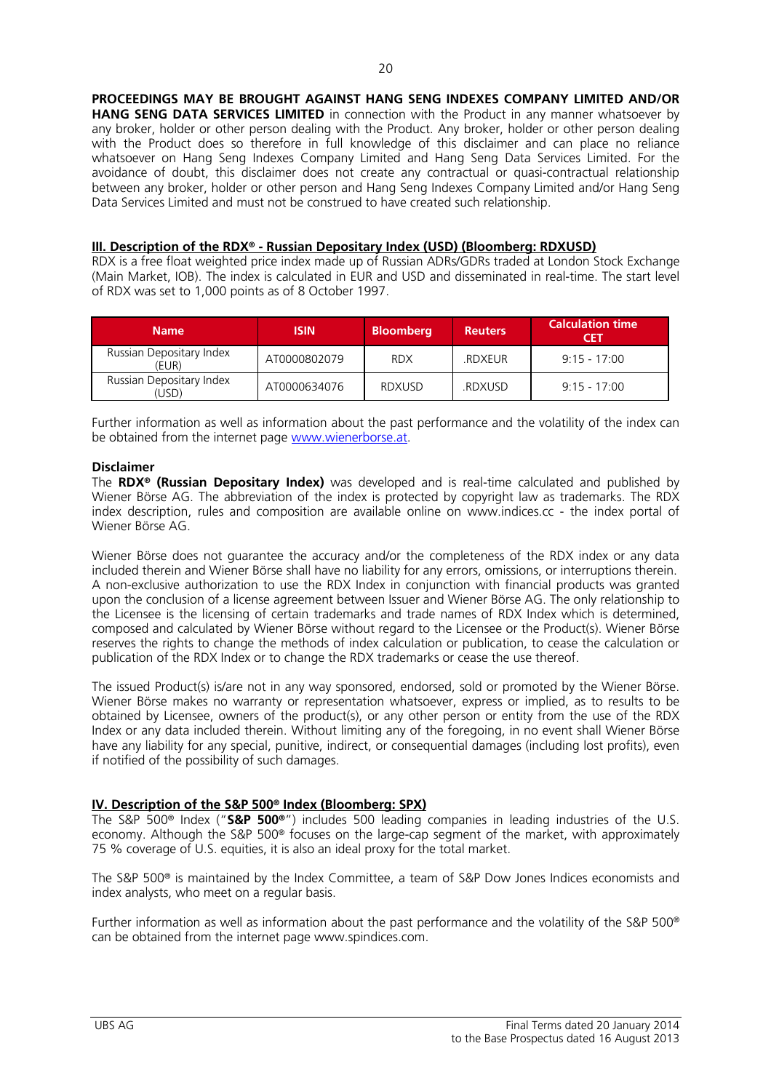**PROCEEDINGS MAY BE BROUGHT AGAINST HANG SENG INDEXES COMPANY LIMITED AND/OR** 

**HANG SENG DATA SERVICES LIMITED** in connection with the Product in any manner whatsoever by any broker, holder or other person dealing with the Product. Any broker, holder or other person dealing with the Product does so therefore in full knowledge of this disclaimer and can place no reliance whatsoever on Hang Seng Indexes Company Limited and Hang Seng Data Services Limited. For the avoidance of doubt, this disclaimer does not create any contractual or quasi-contractual relationship between any broker, holder or other person and Hang Seng Indexes Company Limited and/or Hang Seng Data Services Limited and must not be construed to have created such relationship.

#### **III. Description of the RDX® - Russian Depositary Index (USD) (Bloomberg: RDXUSD)**

RDX is a free float weighted price index made up of Russian ADRs/GDRs traded at London Stock Exchange (Main Market, IOB). The index is calculated in EUR and USD and disseminated in real-time. The start level of RDX was set to 1,000 points as of 8 October 1997.

| <b>Name</b>                       | <b>ISIN</b>  | <b>Bloomberg</b> | <b>Reuters</b> | <b>Calculation time</b><br>CET |
|-----------------------------------|--------------|------------------|----------------|--------------------------------|
| Russian Depositary Index<br>(EUR) | AT0000802079 | <b>RDX</b>       | .RDXEUR        | $9.15 - 17.00$                 |
| Russian Depositary Index<br>USD)  | AT0000634076 | <b>RDXUSD</b>    | .RDXUSD        | $9.15 - 17.00$                 |

Further information as well as information about the past performance and the volatility of the index can be obtained from the internet page www.wienerborse.at.

#### **Disclaimer**

The **RDX® (Russian Depositary Index)** was developed and is real-time calculated and published by Wiener Börse AG. The abbreviation of the index is protected by copyright law as trademarks. The RDX index description, rules and composition are available online on www.indices.cc - the index portal of Wiener Börse AG.

Wiener Börse does not guarantee the accuracy and/or the completeness of the RDX index or any data included therein and Wiener Börse shall have no liability for any errors, omissions, or interruptions therein. A non-exclusive authorization to use the RDX Index in conjunction with financial products was granted upon the conclusion of a license agreement between Issuer and Wiener Börse AG. The only relationship to the Licensee is the licensing of certain trademarks and trade names of RDX Index which is determined, composed and calculated by Wiener Börse without regard to the Licensee or the Product(s). Wiener Börse reserves the rights to change the methods of index calculation or publication, to cease the calculation or publication of the RDX Index or to change the RDX trademarks or cease the use thereof.

The issued Product(s) is/are not in any way sponsored, endorsed, sold or promoted by the Wiener Börse. Wiener Börse makes no warranty or representation whatsoever, express or implied, as to results to be obtained by Licensee, owners of the product(s), or any other person or entity from the use of the RDX Index or any data included therein. Without limiting any of the foregoing, in no event shall Wiener Börse have any liability for any special, punitive, indirect, or consequential damages (including lost profits), even if notified of the possibility of such damages.

# **IV. Description of the S&P 500® Index (Bloomberg: SPX)**

The S&P 500® Index ("**S&P 500®**") includes 500 leading companies in leading industries of the U.S. economy. Although the S&P 500® focuses on the large-cap segment of the market, with approximately 75 % coverage of U.S. equities, it is also an ideal proxy for the total market.

The S&P 500® is maintained by the Index Committee, a team of S&P Dow Jones Indices economists and index analysts, who meet on a regular basis.

Further information as well as information about the past performance and the volatility of the S&P 500® can be obtained from the internet page www.spindices.com.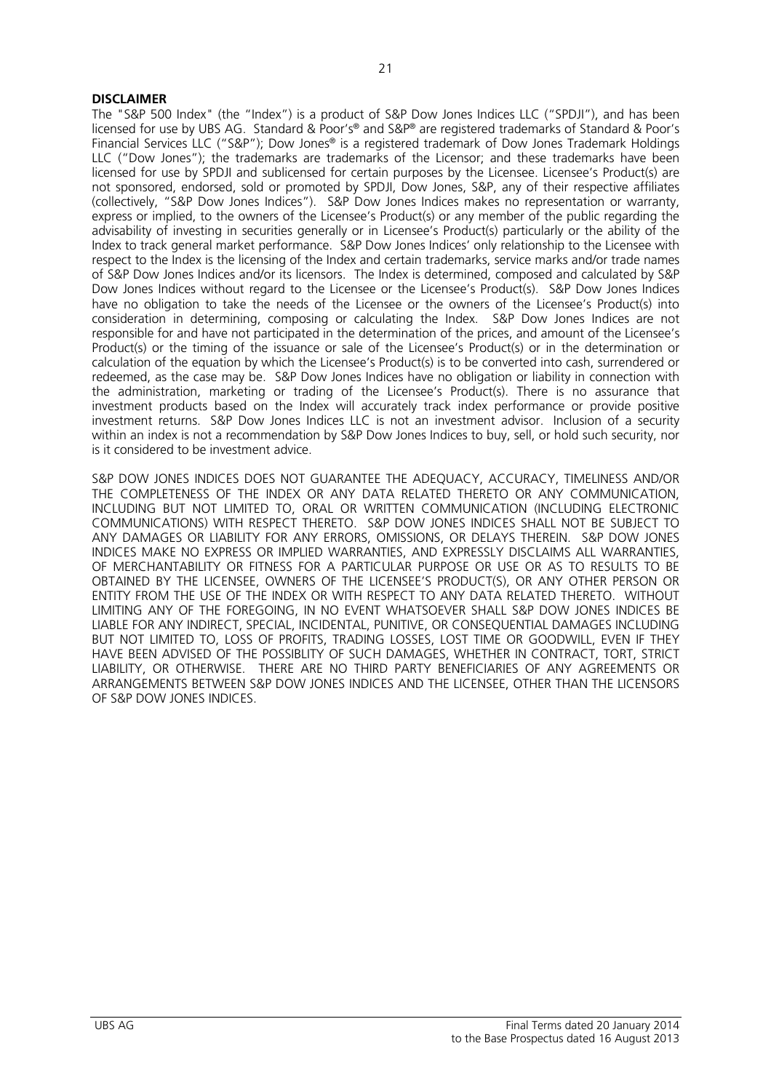#### **DISCLAIMER**

The "S&P 500 Index" (the "Index") is a product of S&P Dow Jones Indices LLC ("SPDJI"), and has been licensed for use by UBS AG. Standard & Poor's® and S&P® are registered trademarks of Standard & Poor's Financial Services LLC ("S&P"); Dow Jones® is a registered trademark of Dow Jones Trademark Holdings LLC ("Dow Jones"); the trademarks are trademarks of the Licensor; and these trademarks have been licensed for use by SPDJI and sublicensed for certain purposes by the Licensee. Licensee's Product(s) are not sponsored, endorsed, sold or promoted by SPDJI, Dow Jones, S&P, any of their respective affiliates (collectively, "S&P Dow Jones Indices"). S&P Dow Jones Indices makes no representation or warranty, express or implied, to the owners of the Licensee's Product(s) or any member of the public regarding the advisability of investing in securities generally or in Licensee's Product(s) particularly or the ability of the Index to track general market performance. S&P Dow Jones Indices' only relationship to the Licensee with respect to the Index is the licensing of the Index and certain trademarks, service marks and/or trade names of S&P Dow Jones Indices and/or its licensors. The Index is determined, composed and calculated by S&P Dow Jones Indices without regard to the Licensee or the Licensee's Product(s). S&P Dow Jones Indices have no obligation to take the needs of the Licensee or the owners of the Licensee's Product(s) into consideration in determining, composing or calculating the Index. S&P Dow Jones Indices are not responsible for and have not participated in the determination of the prices, and amount of the Licensee's Product(s) or the timing of the issuance or sale of the Licensee's Product(s) or in the determination or calculation of the equation by which the Licensee's Product(s) is to be converted into cash, surrendered or redeemed, as the case may be. S&P Dow Jones Indices have no obligation or liability in connection with the administration, marketing or trading of the Licensee's Product(s). There is no assurance that investment products based on the Index will accurately track index performance or provide positive investment returns. S&P Dow Jones Indices LLC is not an investment advisor. Inclusion of a security within an index is not a recommendation by S&P Dow Jones Indices to buy, sell, or hold such security, nor is it considered to be investment advice.

S&P DOW JONES INDICES DOES NOT GUARANTEE THE ADEQUACY, ACCURACY, TIMELINESS AND/OR THE COMPLETENESS OF THE INDEX OR ANY DATA RELATED THERETO OR ANY COMMUNICATION, INCLUDING BUT NOT LIMITED TO, ORAL OR WRITTEN COMMUNICATION (INCLUDING ELECTRONIC COMMUNICATIONS) WITH RESPECT THERETO. S&P DOW JONES INDICES SHALL NOT BE SUBJECT TO ANY DAMAGES OR LIABILITY FOR ANY ERRORS, OMISSIONS, OR DELAYS THEREIN. S&P DOW JONES INDICES MAKE NO EXPRESS OR IMPLIED WARRANTIES, AND EXPRESSLY DISCLAIMS ALL WARRANTIES, OF MERCHANTABILITY OR FITNESS FOR A PARTICULAR PURPOSE OR USE OR AS TO RESULTS TO BE OBTAINED BY THE LICENSEE, OWNERS OF THE LICENSEE'S PRODUCT(S), OR ANY OTHER PERSON OR ENTITY FROM THE USE OF THE INDEX OR WITH RESPECT TO ANY DATA RELATED THERETO. WITHOUT LIMITING ANY OF THE FOREGOING, IN NO EVENT WHATSOEVER SHALL S&P DOW JONES INDICES BE LIABLE FOR ANY INDIRECT, SPECIAL, INCIDENTAL, PUNITIVE, OR CONSEQUENTIAL DAMAGES INCLUDING BUT NOT LIMITED TO, LOSS OF PROFITS, TRADING LOSSES, LOST TIME OR GOODWILL, EVEN IF THEY HAVE BEEN ADVISED OF THE POSSIBLITY OF SUCH DAMAGES, WHETHER IN CONTRACT, TORT, STRICT LIABILITY, OR OTHERWISE. THERE ARE NO THIRD PARTY BENEFICIARIES OF ANY AGREEMENTS OR ARRANGEMENTS BETWEEN S&P DOW JONES INDICES AND THE LICENSEE, OTHER THAN THE LICENSORS OF S&P DOW JONES INDICES.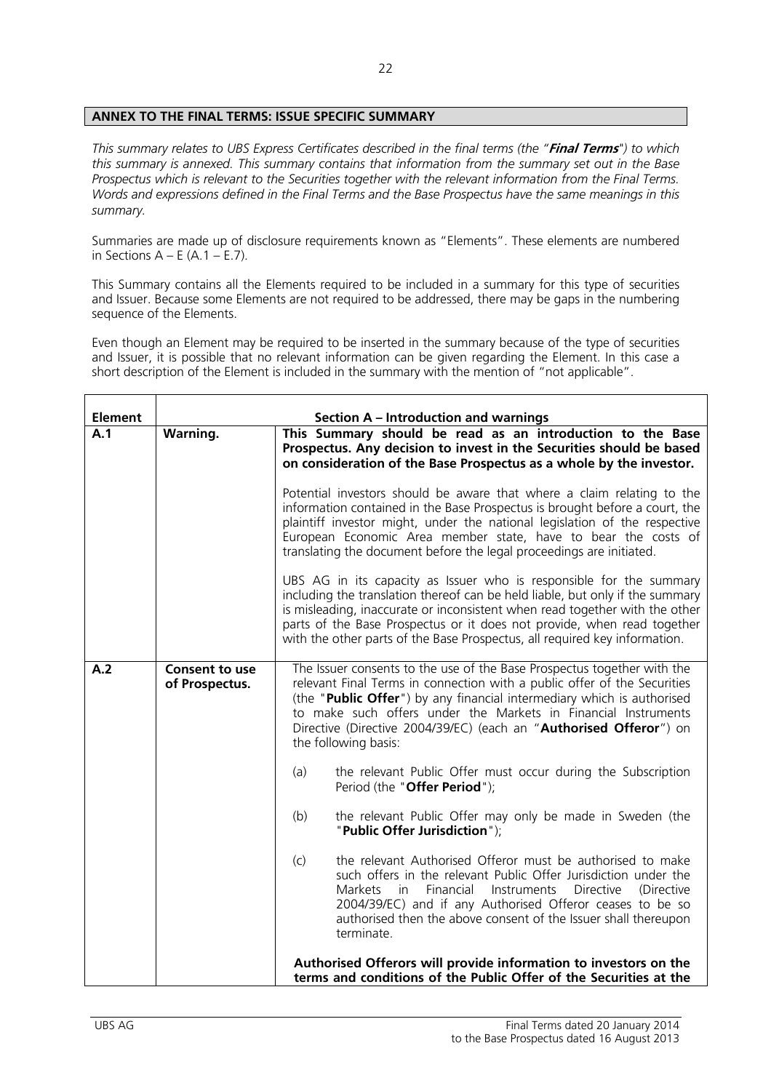# **ANNEX TO THE FINAL TERMS: ISSUE SPECIFIC SUMMARY**

*This summary relates to UBS Express Certificates described in the final terms (the "***Final Terms***") to which this summary is annexed. This summary contains that information from the summary set out in the Base Prospectus which is relevant to the Securities together with the relevant information from the Final Terms. Words and expressions defined in the Final Terms and the Base Prospectus have the same meanings in this summary.* 

Summaries are made up of disclosure requirements known as "Elements". These elements are numbered in Sections  $A - E(A.1 - E.7)$ .

This Summary contains all the Elements required to be included in a summary for this type of securities and Issuer. Because some Elements are not required to be addressed, there may be gaps in the numbering sequence of the Elements.

Even though an Element may be required to be inserted in the summary because of the type of securities and Issuer, it is possible that no relevant information can be given regarding the Element. In this case a short description of the Element is included in the summary with the mention of "not applicable".

| <b>Element</b> |                                         | <b>Section A - Introduction and warnings</b>                                                                                                                                                                                                                                                                                                                                                  |
|----------------|-----------------------------------------|-----------------------------------------------------------------------------------------------------------------------------------------------------------------------------------------------------------------------------------------------------------------------------------------------------------------------------------------------------------------------------------------------|
| A.1            | <b>Warning.</b>                         | This Summary should be read as an introduction to the Base<br>Prospectus. Any decision to invest in the Securities should be based<br>on consideration of the Base Prospectus as a whole by the investor.                                                                                                                                                                                     |
|                |                                         | Potential investors should be aware that where a claim relating to the<br>information contained in the Base Prospectus is brought before a court, the<br>plaintiff investor might, under the national legislation of the respective<br>European Economic Area member state, have to bear the costs of<br>translating the document before the legal proceedings are initiated.                 |
|                |                                         | UBS AG in its capacity as Issuer who is responsible for the summary<br>including the translation thereof can be held liable, but only if the summary<br>is misleading, inaccurate or inconsistent when read together with the other<br>parts of the Base Prospectus or it does not provide, when read together<br>with the other parts of the Base Prospectus, all required key information.  |
| A.2            | <b>Consent to use</b><br>of Prospectus. | The Issuer consents to the use of the Base Prospectus together with the<br>relevant Final Terms in connection with a public offer of the Securities<br>(the "Public Offer") by any financial intermediary which is authorised<br>to make such offers under the Markets in Financial Instruments<br>Directive (Directive 2004/39/EC) (each an "Authorised Offeror") on<br>the following basis: |
|                |                                         | (a)<br>the relevant Public Offer must occur during the Subscription<br>Period (the "Offer Period");                                                                                                                                                                                                                                                                                           |
|                |                                         | the relevant Public Offer may only be made in Sweden (the<br>(b)<br>"Public Offer Jurisdiction");                                                                                                                                                                                                                                                                                             |
|                |                                         | the relevant Authorised Offeror must be authorised to make<br>(c)<br>such offers in the relevant Public Offer Jurisdiction under the<br>Markets in Financial<br>Instruments Directive<br>(Directive<br>2004/39/EC) and if any Authorised Offeror ceases to be so<br>authorised then the above consent of the Issuer shall thereupon<br>terminate.                                             |
|                |                                         | Authorised Offerors will provide information to investors on the<br>terms and conditions of the Public Offer of the Securities at the                                                                                                                                                                                                                                                         |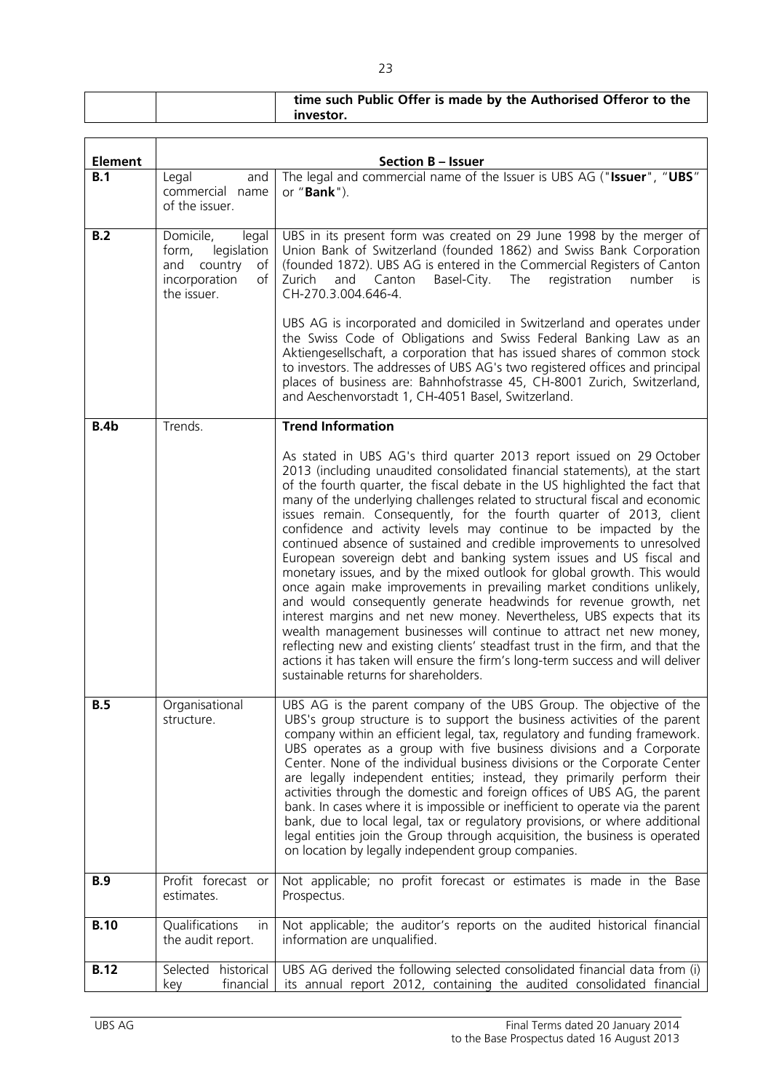|                |                                                                                                         | investor.                                                                                                                                                                                                                                                                                                                                                                                                                                |
|----------------|---------------------------------------------------------------------------------------------------------|------------------------------------------------------------------------------------------------------------------------------------------------------------------------------------------------------------------------------------------------------------------------------------------------------------------------------------------------------------------------------------------------------------------------------------------|
|                |                                                                                                         |                                                                                                                                                                                                                                                                                                                                                                                                                                          |
| <b>Element</b> |                                                                                                         | <b>Section B - Issuer</b>                                                                                                                                                                                                                                                                                                                                                                                                                |
| B.1            | Legal<br>and<br>commercial name<br>of the issuer.                                                       | The legal and commercial name of the Issuer is UBS AG ("Issuer", "UBS"<br>or " <b>Bank</b> ").                                                                                                                                                                                                                                                                                                                                           |
| B.2            | Domicile,<br>legal<br>legislation<br>form,<br>country of<br>and<br>incorporation<br>of l<br>the issuer. | UBS in its present form was created on 29 June 1998 by the merger of<br>Union Bank of Switzerland (founded 1862) and Swiss Bank Corporation<br>(founded 1872). UBS AG is entered in the Commercial Registers of Canton<br>Zurich and Canton Basel-City. The registration number<br>is.<br>CH-270.3.004.646-4.                                                                                                                            |
|                |                                                                                                         | UBS AG is incorporated and domiciled in Switzerland and operates under<br>the Swiss Code of Obligations and Swiss Federal Banking Law as an<br>Aktiengesellschaft, a corporation that has issued shares of common stock<br>to investors. The addresses of UBS AG's two registered offices and principal<br>places of business are: Bahnhofstrasse 45, CH-8001 Zurich, Switzerland,<br>and Aeschenvorstadt 1, CH-4051 Basel, Switzerland. |

| B.4b | Trends.                      | <b>Trend Information</b>                                                                                                                                                                                                                                                                                                                                                                                                                                                                                                                                                                                                                                                                                                                                                                                                                                                                                                                                                                                                                                                                                                                                                                                |
|------|------------------------------|---------------------------------------------------------------------------------------------------------------------------------------------------------------------------------------------------------------------------------------------------------------------------------------------------------------------------------------------------------------------------------------------------------------------------------------------------------------------------------------------------------------------------------------------------------------------------------------------------------------------------------------------------------------------------------------------------------------------------------------------------------------------------------------------------------------------------------------------------------------------------------------------------------------------------------------------------------------------------------------------------------------------------------------------------------------------------------------------------------------------------------------------------------------------------------------------------------|
|      |                              | As stated in UBS AG's third quarter 2013 report issued on 29 October<br>2013 (including unaudited consolidated financial statements), at the start<br>of the fourth quarter, the fiscal debate in the US highlighted the fact that<br>many of the underlying challenges related to structural fiscal and economic<br>issues remain. Consequently, for the fourth quarter of 2013, client<br>confidence and activity levels may continue to be impacted by the<br>continued absence of sustained and credible improvements to unresolved<br>European sovereign debt and banking system issues and US fiscal and<br>monetary issues, and by the mixed outlook for global growth. This would<br>once again make improvements in prevailing market conditions unlikely,<br>and would consequently generate headwinds for revenue growth, net<br>interest margins and net new money. Nevertheless, UBS expects that its<br>wealth management businesses will continue to attract net new money,<br>reflecting new and existing clients' steadfast trust in the firm, and that the<br>actions it has taken will ensure the firm's long-term success and will deliver<br>sustainable returns for shareholders. |
| B.5  | Organisational<br>structure. | UBS AG is the parent company of the UBS Group. The objective of the<br>UBS's group structure is to support the business activities of the parent<br>company within an efficient legal, tax, regulatory and funding framework.<br>UBS operates as a group with five business divisions and a Corporate<br>Center. None of the individual business divisions or the Corporate Center<br>are legally independent entities; instead, they primarily perform their<br>activities through the domestic and foreign offices of UBS AG, the parent<br>bank. In cases where it is impossible or inefficient to operate via the parent<br>bank, due to local legal, tax or regulatory provisions, or where additional<br>legal entities join the Group through acquisition, the business is operated<br>on location by legally independent group companies.                                                                                                                                                                                                                                                                                                                                                       |

| <b>B.9</b>  | estimates. | Profit forecast or Not applicable; no profit forecast or estimates is made in the Base<br>Prospectus.                                                                                             |
|-------------|------------|---------------------------------------------------------------------------------------------------------------------------------------------------------------------------------------------------|
| <b>B.10</b> |            | Qualifications in   Not applicable; the auditor's reports on the audited historical financial<br>the audit report. $\vert$ information are unqualified.                                           |
| B.12        | kev        | Selected historical   UBS AG derived the following selected consolidated financial data from (i)<br>$\frac{1}{2}$ financial its annual report 2012, containing the audited consolidated financial |

**time such Public Offer is made by the Authorised Offeror to the**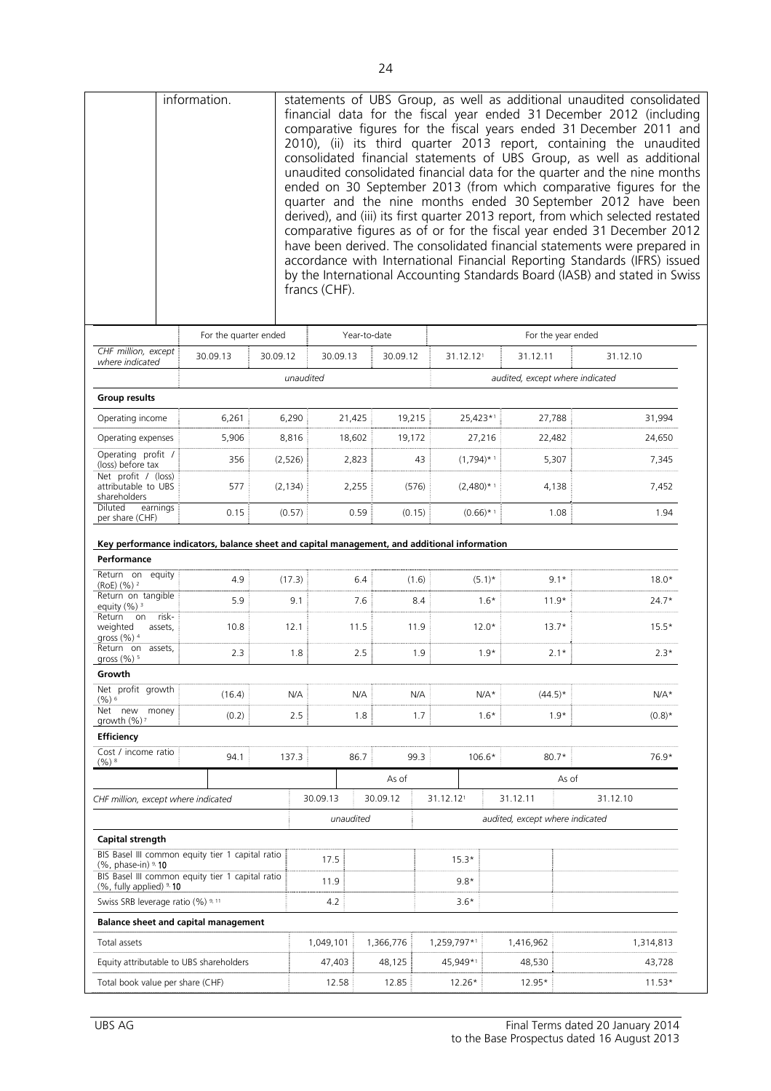|                                                                                                                                                                                               | information.          |                       | francs (CHF). |                    |                      |                |                                 |                              | statements of UBS Group, as well as additional unaudited consolidated<br>financial data for the fiscal year ended 31 December 2012 (including<br>comparative figures for the fiscal years ended 31 December 2011 and<br>2010), (ii) its third quarter 2013 report, containing the unaudited<br>consolidated financial statements of UBS Group, as well as additional<br>unaudited consolidated financial data for the quarter and the nine months<br>ended on 30 September 2013 (from which comparative figures for the<br>quarter and the nine months ended 30 September 2012 have been<br>derived), and (iii) its first quarter 2013 report, from which selected restated<br>comparative figures as of or for the fiscal year ended 31 December 2012<br>have been derived. The consolidated financial statements were prepared in<br>accordance with International Financial Reporting Standards (IFRS) issued<br>by the International Accounting Standards Board (IASB) and stated in Swiss |
|-----------------------------------------------------------------------------------------------------------------------------------------------------------------------------------------------|-----------------------|-----------------------|---------------|--------------------|----------------------|----------------|---------------------------------|------------------------------|------------------------------------------------------------------------------------------------------------------------------------------------------------------------------------------------------------------------------------------------------------------------------------------------------------------------------------------------------------------------------------------------------------------------------------------------------------------------------------------------------------------------------------------------------------------------------------------------------------------------------------------------------------------------------------------------------------------------------------------------------------------------------------------------------------------------------------------------------------------------------------------------------------------------------------------------------------------------------------------------|
|                                                                                                                                                                                               | For the quarter ended |                       |               | Year-to-date       |                      |                |                                 | For the year ended           |                                                                                                                                                                                                                                                                                                                                                                                                                                                                                                                                                                                                                                                                                                                                                                                                                                                                                                                                                                                                |
| CHF million, except                                                                                                                                                                           | 30.09.13              | 30.09.12              | 30.09.13      | 30.09.12           |                      | 31.12.121      | 31.12.11                        |                              | 31.12.10                                                                                                                                                                                                                                                                                                                                                                                                                                                                                                                                                                                                                                                                                                                                                                                                                                                                                                                                                                                       |
| where indicated                                                                                                                                                                               |                       |                       | unaudited     |                    |                      |                | audited, except where indicated |                              |                                                                                                                                                                                                                                                                                                                                                                                                                                                                                                                                                                                                                                                                                                                                                                                                                                                                                                                                                                                                |
| <b>Group results</b>                                                                                                                                                                          |                       |                       |               |                    |                      |                |                                 |                              |                                                                                                                                                                                                                                                                                                                                                                                                                                                                                                                                                                                                                                                                                                                                                                                                                                                                                                                                                                                                |
| Operating income                                                                                                                                                                              | 6,261                 | 6,290                 |               | 21,425             | 19,215               | 25,423*1       |                                 | 27,788                       | 31,994                                                                                                                                                                                                                                                                                                                                                                                                                                                                                                                                                                                                                                                                                                                                                                                                                                                                                                                                                                                         |
| Operating expenses                                                                                                                                                                            | 5,906                 | 8,816                 |               | 18,602             |                      |                |                                 | 22,482                       | 24,650                                                                                                                                                                                                                                                                                                                                                                                                                                                                                                                                                                                                                                                                                                                                                                                                                                                                                                                                                                                         |
| Operating profit /                                                                                                                                                                            |                       |                       |               |                    | 19,172               | 27,216         |                                 |                              |                                                                                                                                                                                                                                                                                                                                                                                                                                                                                                                                                                                                                                                                                                                                                                                                                                                                                                                                                                                                |
| (loss) before tax<br>Net profit / (loss)                                                                                                                                                      | 356                   | (2,526)               |               | 2,823              | 43                   | $(1,794)$ * 1  |                                 | 5,307                        | 7,345                                                                                                                                                                                                                                                                                                                                                                                                                                                                                                                                                                                                                                                                                                                                                                                                                                                                                                                                                                                          |
| attributable to UBS<br>shareholders<br>Diluted<br>earnings                                                                                                                                    | 577                   | (2, 134)              |               | 2,255              | (576)                | $(2,480)^{*1}$ |                                 | 4,138                        | 7,452                                                                                                                                                                                                                                                                                                                                                                                                                                                                                                                                                                                                                                                                                                                                                                                                                                                                                                                                                                                          |
| per share (CHF)                                                                                                                                                                               | 0.15                  | (0.57)                |               | 0.59               | (0.15)               | $(0.66)$ * 1   |                                 | 1.08                         | 1.94                                                                                                                                                                                                                                                                                                                                                                                                                                                                                                                                                                                                                                                                                                                                                                                                                                                                                                                                                                                           |
| Performance<br>Return on equity<br>$(RoE)$ $(%$ ) $2$<br>Return on tangible<br>equity $(%)^3$<br>risk-<br>Return on<br>weighted<br>assets,<br>gross $(\% )$ <sup>4</sup><br>Return on assets, | 4.9<br>5.9<br>10.8    | (17.3)<br>9.1<br>12.1 |               | 6.4<br>7.6<br>11.5 | (1.6)<br>8.4<br>11.9 |                | $(5.1)^*$<br>$1.6*$<br>$12.0*$  | $9.1*$<br>$11.9*$<br>$13.7*$ | $18.0*$<br>$24.7*$<br>$15.5*$                                                                                                                                                                                                                                                                                                                                                                                                                                                                                                                                                                                                                                                                                                                                                                                                                                                                                                                                                                  |
| gross $(\%)$ <sup>5</sup>                                                                                                                                                                     | 2.3                   | 1.8                   |               | 2.5                | 1.9                  |                | $1.9*$                          | $2.1*$                       | $2.3*$                                                                                                                                                                                                                                                                                                                                                                                                                                                                                                                                                                                                                                                                                                                                                                                                                                                                                                                                                                                         |
| Growth                                                                                                                                                                                        |                       |                       |               |                    |                      |                |                                 |                              |                                                                                                                                                                                                                                                                                                                                                                                                                                                                                                                                                                                                                                                                                                                                                                                                                                                                                                                                                                                                |
| Net profit growth<br>$(%)^6$                                                                                                                                                                  | (16.4)                | N/A                   |               | N/A                | N/A                  |                | $N/A*$                          | $(44.5)^*$                   | $N/A*$                                                                                                                                                                                                                                                                                                                                                                                                                                                                                                                                                                                                                                                                                                                                                                                                                                                                                                                                                                                         |
| Net new money<br>growth (%)?                                                                                                                                                                  | (0.2)                 | 2.5                   |               | 1.8                | 1.7                  |                | $1.6*$                          | $1.9*$                       | $(0.8)^*$                                                                                                                                                                                                                                                                                                                                                                                                                                                                                                                                                                                                                                                                                                                                                                                                                                                                                                                                                                                      |
| <b>Efficiency</b>                                                                                                                                                                             |                       |                       |               |                    |                      |                |                                 |                              |                                                                                                                                                                                                                                                                                                                                                                                                                                                                                                                                                                                                                                                                                                                                                                                                                                                                                                                                                                                                |
| Cost / income ratio<br>$(%)^8$                                                                                                                                                                | 94.1                  | 137.3                 |               | 86.7               | 99.3                 | $106.6*$       |                                 | $80.7*$                      | 76.9*                                                                                                                                                                                                                                                                                                                                                                                                                                                                                                                                                                                                                                                                                                                                                                                                                                                                                                                                                                                          |
|                                                                                                                                                                                               |                       |                       |               | As of              |                      |                |                                 | As of                        |                                                                                                                                                                                                                                                                                                                                                                                                                                                                                                                                                                                                                                                                                                                                                                                                                                                                                                                                                                                                |
| CHF million, except where indicated                                                                                                                                                           |                       |                       | 30.09.13      | 30.09.12           |                      | 31.12.121      | 31.12.11                        |                              | 31.12.10                                                                                                                                                                                                                                                                                                                                                                                                                                                                                                                                                                                                                                                                                                                                                                                                                                                                                                                                                                                       |
|                                                                                                                                                                                               |                       |                       | unaudited     |                    |                      |                | audited, except where indicated |                              |                                                                                                                                                                                                                                                                                                                                                                                                                                                                                                                                                                                                                                                                                                                                                                                                                                                                                                                                                                                                |
| Capital strength                                                                                                                                                                              |                       |                       |               |                    |                      |                |                                 |                              |                                                                                                                                                                                                                                                                                                                                                                                                                                                                                                                                                                                                                                                                                                                                                                                                                                                                                                                                                                                                |
| BIS Basel III common equity tier 1 capital ratio                                                                                                                                              |                       |                       | 17.5          |                    |                      | $15.3*$        |                                 |                              |                                                                                                                                                                                                                                                                                                                                                                                                                                                                                                                                                                                                                                                                                                                                                                                                                                                                                                                                                                                                |
| $(%$ , phase-in) $9$ , 10<br>BIS Basel III common equity tier 1 capital ratio<br>$(%$ , fully applied) $9.10$                                                                                 |                       |                       | 11.9          |                    |                      | $9.8*$         |                                 |                              |                                                                                                                                                                                                                                                                                                                                                                                                                                                                                                                                                                                                                                                                                                                                                                                                                                                                                                                                                                                                |
| Swiss SRB leverage ratio (%) 9, 11                                                                                                                                                            |                       |                       | 4.2           |                    |                      | $3.6*$         |                                 |                              |                                                                                                                                                                                                                                                                                                                                                                                                                                                                                                                                                                                                                                                                                                                                                                                                                                                                                                                                                                                                |
| <b>Balance sheet and capital management</b>                                                                                                                                                   |                       |                       |               |                    |                      |                |                                 |                              |                                                                                                                                                                                                                                                                                                                                                                                                                                                                                                                                                                                                                                                                                                                                                                                                                                                                                                                                                                                                |
| Total assets                                                                                                                                                                                  |                       |                       | 1,049,101     | 1,366,776          |                      | 1,259,797*1    | 1,416,962                       |                              | 1,314,813                                                                                                                                                                                                                                                                                                                                                                                                                                                                                                                                                                                                                                                                                                                                                                                                                                                                                                                                                                                      |
| Equity attributable to UBS shareholders                                                                                                                                                       |                       |                       | 47,403        | 48,125             |                      | 45,949*1       | 48,530                          |                              | 43,728                                                                                                                                                                                                                                                                                                                                                                                                                                                                                                                                                                                                                                                                                                                                                                                                                                                                                                                                                                                         |
| Total book value per share (CHF)                                                                                                                                                              |                       |                       | 12.58         | 12.85              |                      | 12.26*         | 12.95*                          |                              | $11.53*$                                                                                                                                                                                                                                                                                                                                                                                                                                                                                                                                                                                                                                                                                                                                                                                                                                                                                                                                                                                       |
|                                                                                                                                                                                               |                       |                       |               |                    |                      |                |                                 |                              |                                                                                                                                                                                                                                                                                                                                                                                                                                                                                                                                                                                                                                                                                                                                                                                                                                                                                                                                                                                                |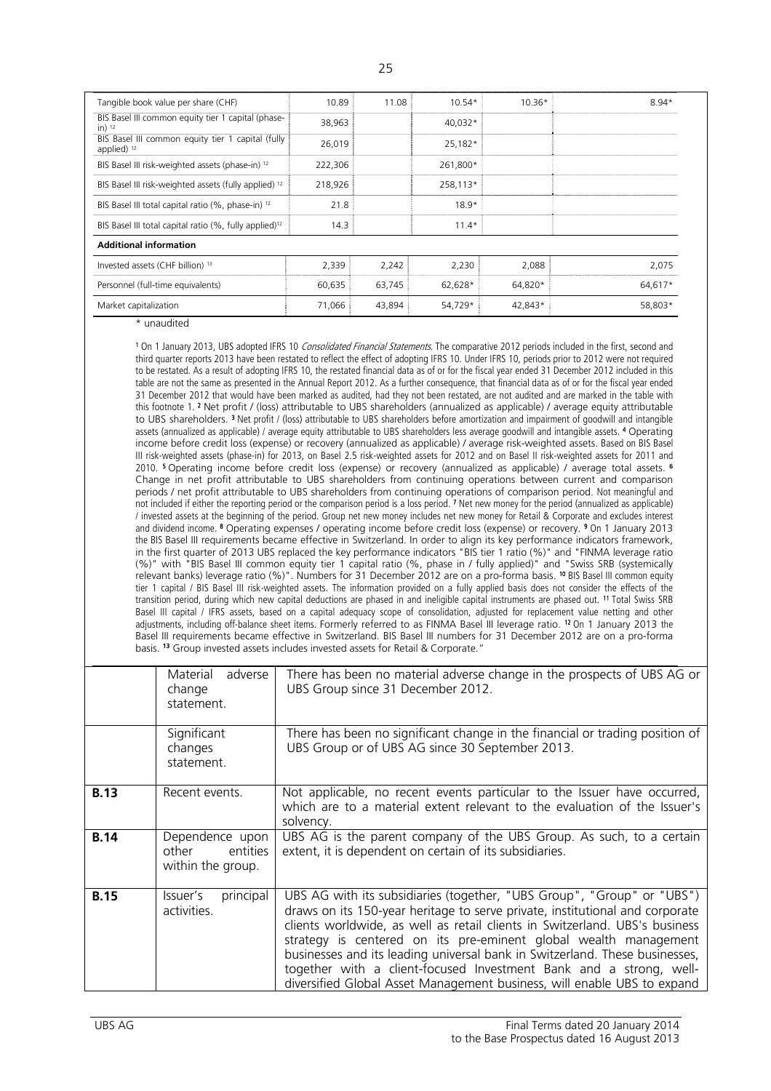| Tangible book value per share (CHF)                                | 10.89   | 11.08  | $10.54*$ | $10.36*$ | $8.94*$ |
|--------------------------------------------------------------------|---------|--------|----------|----------|---------|
| BIS Basel III common equity tier 1 capital (phase-<br>$in)$ 12     | 38,963  |        | 40,032*  |          |         |
| BIS Basel III common equity tier 1 capital (fully<br>applied) $12$ | 26,019  |        | 25,182*  |          |         |
| BIS Basel III risk-weighted assets (phase-in) 12                   | 222,306 |        | 261,800* |          |         |
| BIS Basel III risk-weighted assets (fully applied) <sup>12</sup>   | 218,926 |        | 258,113* |          |         |
| BIS Basel III total capital ratio (%, phase-in) 12                 | 21.8    |        | $18.9*$  |          |         |
| BIS Basel III total capital ratio (%, fully applied) <sup>12</sup> | 14.3    |        | $11.4*$  |          |         |
| <b>Additional information</b>                                      |         |        |          |          |         |
| Invested assets (CHF billion) <sup>13</sup>                        | 2,339   | 2,242  | 2,230    | 2,088    | 2,075   |
| Personnel (full-time equivalents)                                  | 60,635  | 63,745 | 62,628*  | 64,820*  | 64,617* |
| Market capitalization                                              | 71,066  | 43.894 | 54.729*  | 42,843*  | 58.803* |

\* unaudited

<sup>1</sup> On 1 January 2013, UBS adopted IFRS 10 *Consolidated Financial Statements*. The comparative 2012 periods included in the first, second and third quarter reports 2013 have been restated to reflect the effect of adopting IFRS 10. Under IFRS 10, periods prior to 2012 were not required to be restated. As a result of adopting IFRS 10, the restated financial data as of or for the fiscal year ended 31 December 2012 included in this table are not the same as presented in the Annual Report 2012. As a further consequence, that financial data as of or for the fiscal year ended 31 December 2012 that would have been marked as audited, had they not been restated, are not audited and are marked in the table with this footnote 1. 2 Net profit / (loss) attributable to UBS shareholders (annualized as applicable) / average equity attributable to UBS shareholders.<sup>3</sup> Net profit / (loss) attributable to UBS shareholders before amortization and impairment of goodwill and intangible assets (annualized as applicable) / average equity attributable to UBS shareholders less average goodwill and intangible assets. 4 Operating income before credit loss (expense) or recovery (annualized as applicable) / average risk-weighted assets. Based on BIS Basel III risk-weighted assets (phase-in) for 2013, on Basel 2.5 risk-weighted assets for 2012 and on Basel II risk-weighted assets for 2011 and 2010. 5 Operating income before credit loss (expense) or recovery (annualized as applicable) / average total assets. **<sup>6</sup>** Change in net profit attributable to UBS shareholders from continuing operations between current and comparison periods / net profit attributable to UBS shareholders from continuing operations of comparison period. Not meaningful and not included if either the reporting period or the comparison period is a loss period. 7 Net new money for the period (annualized as applicable) / invested assets at the beginning of the period. Group net new money includes net new money for Retail & Corporate and excludes interest and dividend income. 8 Operating expenses / operating income before credit loss (expense) or recovery. <sup>9</sup> On 1 January 2013 the BIS Basel III requirements became effective in Switzerland. In order to align its key performance indicators framework, in the first quarter of 2013 UBS replaced the key performance indicators "BIS tier 1 ratio (%)" and "FINMA leverage ratio (%)" with "BIS Basel III common equity tier 1 capital ratio (%, phase in / fully applied)" and "Swiss SRB (systemically relevant banks) leverage ratio (%)". Numbers for 31 December 2012 are on a pro-forma basis. 10 BIS Basel III common equity tier 1 capital / BIS Basel III risk-weighted assets. The information provided on a fully applied basis does not consider the effects of the transition period, during which new capital deductions are phased in and ineligible capital instruments are phased out. 11 Total Swiss SRB Basel III capital / IFRS assets, based on a capital adequacy scope of consolidation, adjusted for replacement value netting and other adjustments, including off-balance sheet items. Formerly referred to as FINMA Basel III leverage ratio. 12 On 1 January 2013 the Basel III requirements became effective in Switzerland. BIS Basel III numbers for 31 December 2012 are on a pro-forma basis. **<sup>13</sup>** Group invested assets includes invested assets for Retail & Corporate."

|             | adverse<br>Material<br>change<br>statement.               | There has been no material adverse change in the prospects of UBS AG or<br>UBS Group since 31 December 2012.                                                                                                                                                                                                                                                                                                                                                                                                                              |
|-------------|-----------------------------------------------------------|-------------------------------------------------------------------------------------------------------------------------------------------------------------------------------------------------------------------------------------------------------------------------------------------------------------------------------------------------------------------------------------------------------------------------------------------------------------------------------------------------------------------------------------------|
|             | Significant<br>changes<br>statement.                      | There has been no significant change in the financial or trading position of<br>UBS Group or of UBS AG since 30 September 2013.                                                                                                                                                                                                                                                                                                                                                                                                           |
| <b>B.13</b> | Recent events.                                            | Not applicable, no recent events particular to the Issuer have occurred,<br>which are to a material extent relevant to the evaluation of the Issuer's<br>solvency.                                                                                                                                                                                                                                                                                                                                                                        |
| <b>B.14</b> | Dependence upon<br>other<br>entities<br>within the group. | UBS AG is the parent company of the UBS Group. As such, to a certain<br>extent, it is dependent on certain of its subsidiaries.                                                                                                                                                                                                                                                                                                                                                                                                           |
| <b>B.15</b> | principal<br>Issuer's<br>activities.                      | UBS AG with its subsidiaries (together, "UBS Group", "Group" or "UBS")<br>draws on its 150-year heritage to serve private, institutional and corporate<br>clients worldwide, as well as retail clients in Switzerland. UBS's business<br>strategy is centered on its pre-eminent global wealth management<br>businesses and its leading universal bank in Switzerland. These businesses,<br>together with a client-focused Investment Bank and a strong, well-<br>diversified Global Asset Management business, will enable UBS to expand |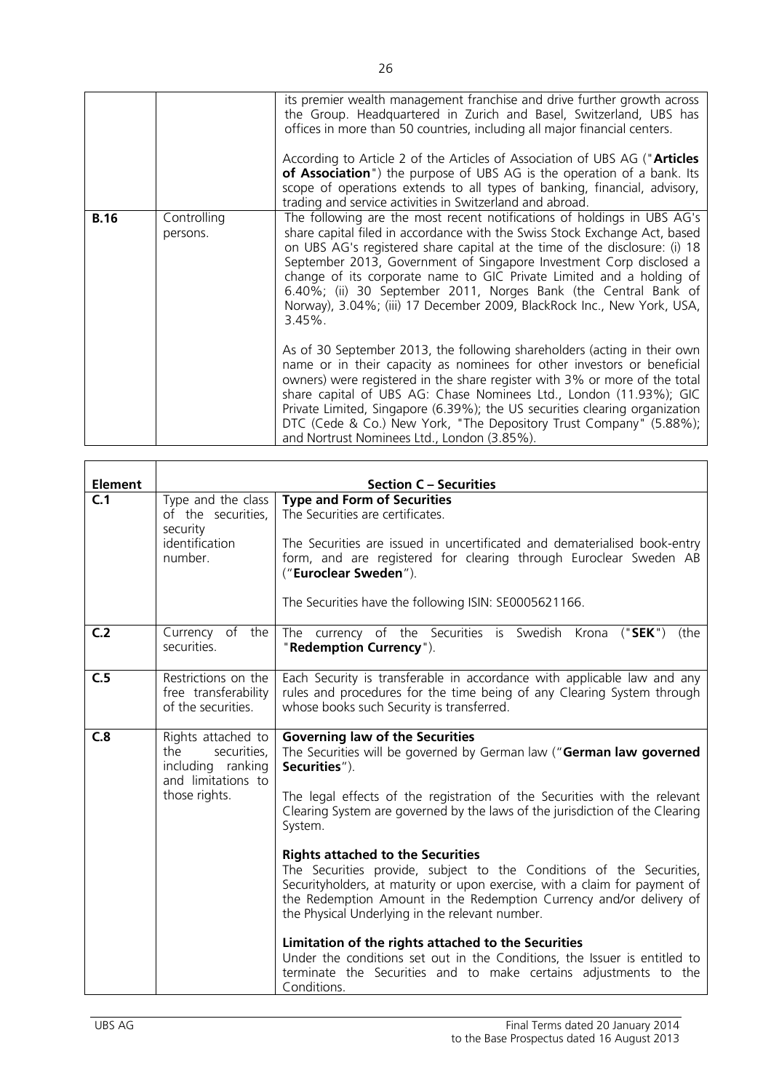|             |                         | its premier wealth management franchise and drive further growth across<br>the Group. Headquartered in Zurich and Basel, Switzerland, UBS has<br>offices in more than 50 countries, including all major financial centers.<br>According to Article 2 of the Articles of Association of UBS AG ("Articles<br>of Association") the purpose of UBS AG is the operation of a bank. Its<br>scope of operations extends to all types of banking, financial, advisory,<br>trading and service activities in Switzerland and abroad.                                                                                                                                                                                                                                                                                                                             |
|-------------|-------------------------|----------------------------------------------------------------------------------------------------------------------------------------------------------------------------------------------------------------------------------------------------------------------------------------------------------------------------------------------------------------------------------------------------------------------------------------------------------------------------------------------------------------------------------------------------------------------------------------------------------------------------------------------------------------------------------------------------------------------------------------------------------------------------------------------------------------------------------------------------------|
| <b>B.16</b> | Controlling<br>persons. | The following are the most recent notifications of holdings in UBS AG's<br>share capital filed in accordance with the Swiss Stock Exchange Act, based<br>on UBS AG's registered share capital at the time of the disclosure: (i) 18<br>September 2013, Government of Singapore Investment Corp disclosed a<br>change of its corporate name to GIC Private Limited and a holding of<br>6.40%; (ii) 30 September 2011, Norges Bank (the Central Bank of<br>Norway), 3.04%; (iii) 17 December 2009, BlackRock Inc., New York, USA,<br>$3.45\%$ .<br>As of 30 September 2013, the following shareholders (acting in their own<br>name or in their capacity as nominees for other investors or beneficial<br>owners) were registered in the share register with 3% or more of the total<br>share capital of UBS AG: Chase Nominees Ltd., London (11.93%); GIC |
|             |                         | Private Limited, Singapore (6.39%); the US securities clearing organization<br>DTC (Cede & Co.) New York, "The Depository Trust Company" (5.88%);<br>and Nortrust Nominees Ltd., London (3.85%).                                                                                                                                                                                                                                                                                                                                                                                                                                                                                                                                                                                                                                                         |

| <b>Element</b> |                                                                                                      | <b>Section C - Securities</b>                                                                                                                                                                                                                                                                                                                                                                                                                                                                                                                                                                                                                                                                                                                                                                                                                             |
|----------------|------------------------------------------------------------------------------------------------------|-----------------------------------------------------------------------------------------------------------------------------------------------------------------------------------------------------------------------------------------------------------------------------------------------------------------------------------------------------------------------------------------------------------------------------------------------------------------------------------------------------------------------------------------------------------------------------------------------------------------------------------------------------------------------------------------------------------------------------------------------------------------------------------------------------------------------------------------------------------|
| C.1            | Type and the class<br>of the securities,<br>security<br>identification<br>number.                    | <b>Type and Form of Securities</b><br>The Securities are certificates.<br>The Securities are issued in uncertificated and dematerialised book-entry<br>form, and are registered for clearing through Euroclear Sweden AB<br>("Euroclear Sweden").<br>The Securities have the following ISIN: SE0005621166.                                                                                                                                                                                                                                                                                                                                                                                                                                                                                                                                                |
| C <sub>2</sub> | Currency of the<br>securities.                                                                       | The currency of the Securities is Swedish Krona<br>("SEK")<br>(the<br>"Redemption Currency").                                                                                                                                                                                                                                                                                                                                                                                                                                                                                                                                                                                                                                                                                                                                                             |
| C.5            | Restrictions on the<br>free transferability<br>of the securities.                                    | Each Security is transferable in accordance with applicable law and any<br>rules and procedures for the time being of any Clearing System through<br>whose books such Security is transferred.                                                                                                                                                                                                                                                                                                                                                                                                                                                                                                                                                                                                                                                            |
| C.8            | Rights attached to<br>the<br>securities,<br>including ranking<br>and limitations to<br>those rights. | <b>Governing law of the Securities</b><br>The Securities will be governed by German law ("German law governed<br>Securities").<br>The legal effects of the registration of the Securities with the relevant<br>Clearing System are governed by the laws of the jurisdiction of the Clearing<br>System.<br><b>Rights attached to the Securities</b><br>The Securities provide, subject to the Conditions of the Securities,<br>Securityholders, at maturity or upon exercise, with a claim for payment of<br>the Redemption Amount in the Redemption Currency and/or delivery of<br>the Physical Underlying in the relevant number.<br>Limitation of the rights attached to the Securities<br>Under the conditions set out in the Conditions, the Issuer is entitled to<br>terminate the Securities and to make certains adjustments to the<br>Conditions. |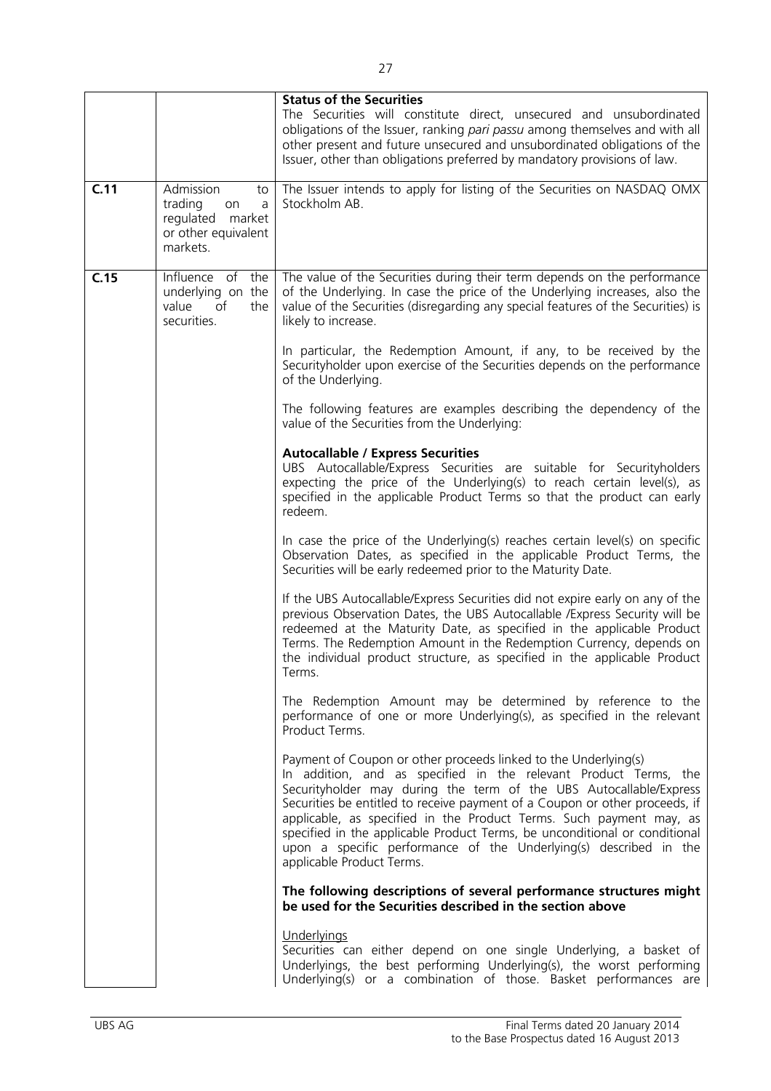|      |                                                                                              | <b>Status of the Securities</b><br>The Securities will constitute direct, unsecured and unsubordinated<br>obligations of the Issuer, ranking pari passu among themselves and with all<br>other present and future unsecured and unsubordinated obligations of the<br>Issuer, other than obligations preferred by mandatory provisions of law.                                                                                                                                                                                                   |
|------|----------------------------------------------------------------------------------------------|-------------------------------------------------------------------------------------------------------------------------------------------------------------------------------------------------------------------------------------------------------------------------------------------------------------------------------------------------------------------------------------------------------------------------------------------------------------------------------------------------------------------------------------------------|
| C.11 | Admission<br>to<br>trading<br>a<br>on<br>regulated market<br>or other equivalent<br>markets. | The Issuer intends to apply for listing of the Securities on NASDAQ OMX<br>Stockholm AB.                                                                                                                                                                                                                                                                                                                                                                                                                                                        |
| C.15 | Influence of the<br>underlying on the<br>of<br>value<br>the<br>securities.                   | The value of the Securities during their term depends on the performance<br>of the Underlying. In case the price of the Underlying increases, also the<br>value of the Securities (disregarding any special features of the Securities) is<br>likely to increase.                                                                                                                                                                                                                                                                               |
|      |                                                                                              | In particular, the Redemption Amount, if any, to be received by the<br>Securityholder upon exercise of the Securities depends on the performance<br>of the Underlying.                                                                                                                                                                                                                                                                                                                                                                          |
|      |                                                                                              | The following features are examples describing the dependency of the<br>value of the Securities from the Underlying:                                                                                                                                                                                                                                                                                                                                                                                                                            |
|      |                                                                                              | <b>Autocallable / Express Securities</b><br>UBS Autocallable/Express Securities are suitable for Securityholders<br>expecting the price of the Underlying(s) to reach certain level(s), as<br>specified in the applicable Product Terms so that the product can early<br>redeem.                                                                                                                                                                                                                                                                |
|      |                                                                                              | In case the price of the Underlying(s) reaches certain level(s) on specific<br>Observation Dates, as specified in the applicable Product Terms, the<br>Securities will be early redeemed prior to the Maturity Date.                                                                                                                                                                                                                                                                                                                            |
|      |                                                                                              | If the UBS Autocallable/Express Securities did not expire early on any of the<br>previous Observation Dates, the UBS Autocallable / Express Security will be<br>redeemed at the Maturity Date, as specified in the applicable Product<br>Terms. The Redemption Amount in the Redemption Currency, depends on<br>the individual product structure, as specified in the applicable Product<br>Terms.                                                                                                                                              |
|      |                                                                                              | The Redemption Amount may be determined by reference to the<br>performance of one or more Underlying(s), as specified in the relevant<br>Product Terms.                                                                                                                                                                                                                                                                                                                                                                                         |
|      |                                                                                              | Payment of Coupon or other proceeds linked to the Underlying(s)<br>In addition, and as specified in the relevant Product Terms, the<br>Securityholder may during the term of the UBS Autocallable/Express<br>Securities be entitled to receive payment of a Coupon or other proceeds, if<br>applicable, as specified in the Product Terms. Such payment may, as<br>specified in the applicable Product Terms, be unconditional or conditional<br>upon a specific performance of the Underlying(s) described in the<br>applicable Product Terms. |
|      |                                                                                              | The following descriptions of several performance structures might<br>be used for the Securities described in the section above                                                                                                                                                                                                                                                                                                                                                                                                                 |
|      |                                                                                              | Underlyings<br>Securities can either depend on one single Underlying, a basket of<br>Underlyings, the best performing Underlying(s), the worst performing<br>Underlying(s) or a combination of those. Basket performances are                                                                                                                                                                                                                                                                                                                   |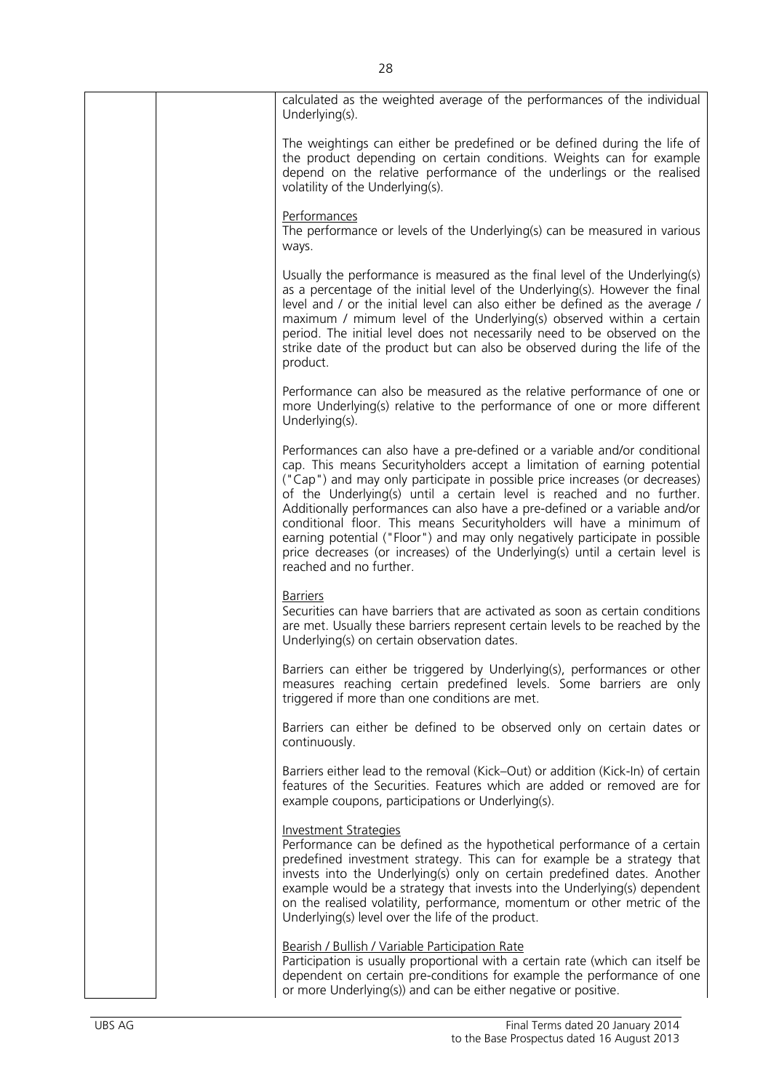| calculated as the weighted average of the performances of the individual<br>Underlying(s).                                                                                                                                                                                                                                                                                                                                                                                                                                                                                                                                                                    |
|---------------------------------------------------------------------------------------------------------------------------------------------------------------------------------------------------------------------------------------------------------------------------------------------------------------------------------------------------------------------------------------------------------------------------------------------------------------------------------------------------------------------------------------------------------------------------------------------------------------------------------------------------------------|
| The weightings can either be predefined or be defined during the life of<br>the product depending on certain conditions. Weights can for example<br>depend on the relative performance of the underlings or the realised<br>volatility of the Underlying(s).                                                                                                                                                                                                                                                                                                                                                                                                  |
| Performances<br>The performance or levels of the Underlying(s) can be measured in various<br>ways.                                                                                                                                                                                                                                                                                                                                                                                                                                                                                                                                                            |
| Usually the performance is measured as the final level of the Underlying(s)<br>as a percentage of the initial level of the Underlying(s). However the final<br>level and / or the initial level can also either be defined as the average /<br>maximum / mimum level of the Underlying(s) observed within a certain<br>period. The initial level does not necessarily need to be observed on the<br>strike date of the product but can also be observed during the life of the<br>product.                                                                                                                                                                    |
| Performance can also be measured as the relative performance of one or<br>more Underlying(s) relative to the performance of one or more different<br>Underlying(s).                                                                                                                                                                                                                                                                                                                                                                                                                                                                                           |
| Performances can also have a pre-defined or a variable and/or conditional<br>cap. This means Securityholders accept a limitation of earning potential<br>("Cap") and may only participate in possible price increases (or decreases)<br>of the Underlying(s) until a certain level is reached and no further.<br>Additionally performances can also have a pre-defined or a variable and/or<br>conditional floor. This means Securityholders will have a minimum of<br>earning potential ("Floor") and may only negatively participate in possible<br>price decreases (or increases) of the Underlying(s) until a certain level is<br>reached and no further. |
| <b>Barriers</b><br>Securities can have barriers that are activated as soon as certain conditions<br>are met. Usually these barriers represent certain levels to be reached by the<br>Underlying(s) on certain observation dates.                                                                                                                                                                                                                                                                                                                                                                                                                              |
| Barriers can either be triggered by Underlying(s), performances or other<br>measures reaching certain predefined levels. Some barriers are only<br>triggered if more than one conditions are met.                                                                                                                                                                                                                                                                                                                                                                                                                                                             |
| Barriers can either be defined to be observed only on certain dates or<br>continuously.                                                                                                                                                                                                                                                                                                                                                                                                                                                                                                                                                                       |
| Barriers either lead to the removal (Kick–Out) or addition (Kick-In) of certain<br>features of the Securities. Features which are added or removed are for<br>example coupons, participations or Underlying(s).                                                                                                                                                                                                                                                                                                                                                                                                                                               |
| <b>Investment Strategies</b><br>Performance can be defined as the hypothetical performance of a certain<br>predefined investment strategy. This can for example be a strategy that<br>invests into the Underlying(s) only on certain predefined dates. Another<br>example would be a strategy that invests into the Underlying(s) dependent<br>on the realised volatility, performance, momentum or other metric of the<br>Underlying(s) level over the life of the product.                                                                                                                                                                                  |
| Bearish / Bullish / Variable Participation Rate<br>Participation is usually proportional with a certain rate (which can itself be<br>dependent on certain pre-conditions for example the performance of one<br>or more Underlying(s)) and can be either negative or positive.                                                                                                                                                                                                                                                                                                                                                                                 |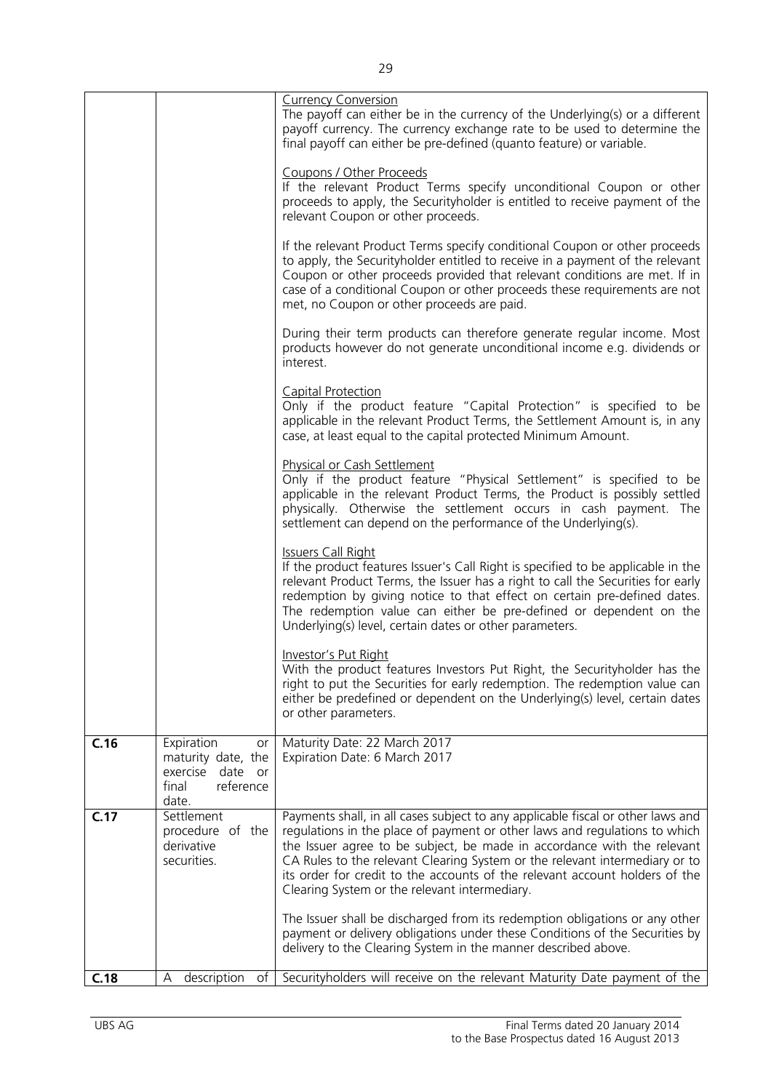|      |                                                                                                        | <b>Currency Conversion</b><br>The payoff can either be in the currency of the Underlying(s) or a different<br>payoff currency. The currency exchange rate to be used to determine the<br>final payoff can either be pre-defined (quanto feature) or variable.<br>Coupons / Other Proceeds<br>If the relevant Product Terms specify unconditional Coupon or other<br>proceeds to apply, the Securityholder is entitled to receive payment of the<br>relevant Coupon or other proceeds.<br>If the relevant Product Terms specify conditional Coupon or other proceeds<br>to apply, the Securityholder entitled to receive in a payment of the relevant<br>Coupon or other proceeds provided that relevant conditions are met. If in<br>case of a conditional Coupon or other proceeds these requirements are not<br>met, no Coupon or other proceeds are paid.<br>During their term products can therefore generate regular income. Most<br>products however do not generate unconditional income e.g. dividends or<br>interest. |
|------|--------------------------------------------------------------------------------------------------------|--------------------------------------------------------------------------------------------------------------------------------------------------------------------------------------------------------------------------------------------------------------------------------------------------------------------------------------------------------------------------------------------------------------------------------------------------------------------------------------------------------------------------------------------------------------------------------------------------------------------------------------------------------------------------------------------------------------------------------------------------------------------------------------------------------------------------------------------------------------------------------------------------------------------------------------------------------------------------------------------------------------------------------|
|      |                                                                                                        | Capital Protection<br>Only if the product feature "Capital Protection" is specified to be<br>applicable in the relevant Product Terms, the Settlement Amount is, in any<br>case, at least equal to the capital protected Minimum Amount.                                                                                                                                                                                                                                                                                                                                                                                                                                                                                                                                                                                                                                                                                                                                                                                       |
|      |                                                                                                        | <b>Physical or Cash Settlement</b><br>Only if the product feature "Physical Settlement" is specified to be<br>applicable in the relevant Product Terms, the Product is possibly settled<br>physically. Otherwise the settlement occurs in cash payment. The<br>settlement can depend on the performance of the Underlying(s).                                                                                                                                                                                                                                                                                                                                                                                                                                                                                                                                                                                                                                                                                                  |
|      |                                                                                                        | <b>Issuers Call Right</b><br>If the product features Issuer's Call Right is specified to be applicable in the<br>relevant Product Terms, the Issuer has a right to call the Securities for early<br>redemption by giving notice to that effect on certain pre-defined dates.<br>The redemption value can either be pre-defined or dependent on the<br>Underlying(s) level, certain dates or other parameters.                                                                                                                                                                                                                                                                                                                                                                                                                                                                                                                                                                                                                  |
|      |                                                                                                        | <u>Investor's Put Right</u><br>With the product features Investors Put Right, the Securityholder has the<br>right to put the Securities for early redemption. The redemption value can<br>either be predefined or dependent on the Underlying(s) level, certain dates<br>or other parameters.                                                                                                                                                                                                                                                                                                                                                                                                                                                                                                                                                                                                                                                                                                                                  |
| C.16 | Expiration<br>or<br>maturity date, the<br>exercise<br>date<br><b>or</b><br>reference<br>final<br>date. | Maturity Date: 22 March 2017<br>Expiration Date: 6 March 2017                                                                                                                                                                                                                                                                                                                                                                                                                                                                                                                                                                                                                                                                                                                                                                                                                                                                                                                                                                  |
| C.17 | Settlement<br>procedure of the<br>derivative<br>securities.                                            | Payments shall, in all cases subject to any applicable fiscal or other laws and<br>regulations in the place of payment or other laws and regulations to which<br>the Issuer agree to be subject, be made in accordance with the relevant<br>CA Rules to the relevant Clearing System or the relevant intermediary or to<br>its order for credit to the accounts of the relevant account holders of the<br>Clearing System or the relevant intermediary.                                                                                                                                                                                                                                                                                                                                                                                                                                                                                                                                                                        |
|      |                                                                                                        | The Issuer shall be discharged from its redemption obligations or any other<br>payment or delivery obligations under these Conditions of the Securities by<br>delivery to the Clearing System in the manner described above.                                                                                                                                                                                                                                                                                                                                                                                                                                                                                                                                                                                                                                                                                                                                                                                                   |
| C.18 | description<br>оf<br>Α                                                                                 | Securityholders will receive on the relevant Maturity Date payment of the                                                                                                                                                                                                                                                                                                                                                                                                                                                                                                                                                                                                                                                                                                                                                                                                                                                                                                                                                      |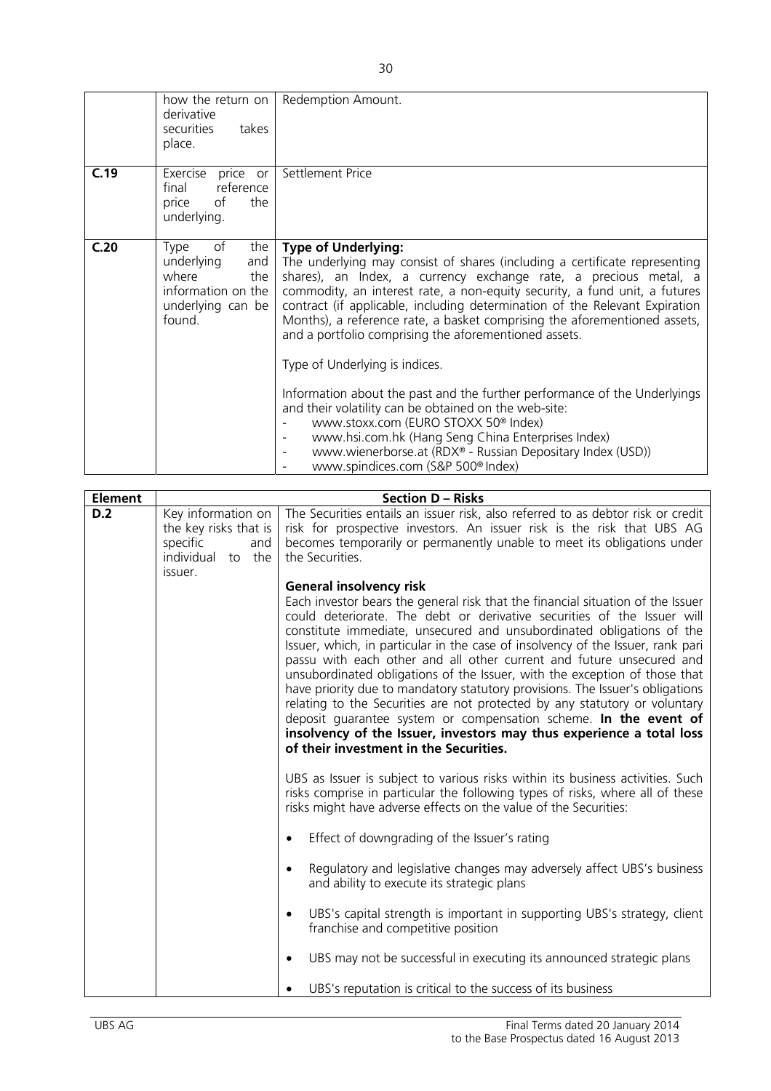|      | how the return on<br>derivative<br>securities<br>takes<br>place.                                            | Redemption Amount.                                                                                                                                                                                                                                                                                                                                                                                                                                                                                                                                                                                                                                                                                                                                                                                                                                                                |
|------|-------------------------------------------------------------------------------------------------------------|-----------------------------------------------------------------------------------------------------------------------------------------------------------------------------------------------------------------------------------------------------------------------------------------------------------------------------------------------------------------------------------------------------------------------------------------------------------------------------------------------------------------------------------------------------------------------------------------------------------------------------------------------------------------------------------------------------------------------------------------------------------------------------------------------------------------------------------------------------------------------------------|
| C.19 | Exercise<br>price or<br>reference<br>final<br>of<br>the<br>price<br>underlying.                             | Settlement Price                                                                                                                                                                                                                                                                                                                                                                                                                                                                                                                                                                                                                                                                                                                                                                                                                                                                  |
| C.20 | of<br>the<br>Type<br>underlying<br>and<br>where<br>the<br>information on the<br>underlying can be<br>found. | <b>Type of Underlying:</b><br>The underlying may consist of shares (including a certificate representing<br>shares), an Index, a currency exchange rate, a precious metal, a<br>commodity, an interest rate, a non-equity security, a fund unit, a futures<br>contract (if applicable, including determination of the Relevant Expiration<br>Months), a reference rate, a basket comprising the aforementioned assets,<br>and a portfolio comprising the aforementioned assets.<br>Type of Underlying is indices.<br>Information about the past and the further performance of the Underlyings<br>and their volatility can be obtained on the web-site:<br>www.stoxx.com (EURO STOXX 50 <sup>®</sup> Index)<br>www.hsi.com.hk (Hang Seng China Enterprises Index)<br>www.wienerborse.at (RDX® - Russian Depositary Index (USD))<br>www.spindices.com (S&P 500 <sup>®</sup> Index) |

| <b>Element</b> |                                                                                                   | <b>Section D - Risks</b>                                                                                                                                                                                                                                                                                                                                                                                                                                                                                                                                                                                                                                                                                                                                                                                                                                            |
|----------------|---------------------------------------------------------------------------------------------------|---------------------------------------------------------------------------------------------------------------------------------------------------------------------------------------------------------------------------------------------------------------------------------------------------------------------------------------------------------------------------------------------------------------------------------------------------------------------------------------------------------------------------------------------------------------------------------------------------------------------------------------------------------------------------------------------------------------------------------------------------------------------------------------------------------------------------------------------------------------------|
| D.2            | Key information on<br>the key risks that is<br>specific<br>and<br>individual<br>to the<br>issuer. | The Securities entails an issuer risk, also referred to as debtor risk or credit<br>risk for prospective investors. An issuer risk is the risk that UBS AG<br>becomes temporarily or permanently unable to meet its obligations under<br>the Securities.                                                                                                                                                                                                                                                                                                                                                                                                                                                                                                                                                                                                            |
|                |                                                                                                   | <b>General insolvency risk</b><br>Each investor bears the general risk that the financial situation of the Issuer<br>could deteriorate. The debt or derivative securities of the Issuer will<br>constitute immediate, unsecured and unsubordinated obligations of the<br>Issuer, which, in particular in the case of insolvency of the Issuer, rank pari<br>passu with each other and all other current and future unsecured and<br>unsubordinated obligations of the Issuer, with the exception of those that<br>have priority due to mandatory statutory provisions. The Issuer's obligations<br>relating to the Securities are not protected by any statutory or voluntary<br>deposit guarantee system or compensation scheme. In the event of<br>insolvency of the Issuer, investors may thus experience a total loss<br>of their investment in the Securities. |
|                |                                                                                                   | UBS as Issuer is subject to various risks within its business activities. Such<br>risks comprise in particular the following types of risks, where all of these<br>risks might have adverse effects on the value of the Securities:                                                                                                                                                                                                                                                                                                                                                                                                                                                                                                                                                                                                                                 |
|                |                                                                                                   | Effect of downgrading of the Issuer's rating<br>$\bullet$                                                                                                                                                                                                                                                                                                                                                                                                                                                                                                                                                                                                                                                                                                                                                                                                           |
|                |                                                                                                   | Regulatory and legislative changes may adversely affect UBS's business<br>$\bullet$<br>and ability to execute its strategic plans                                                                                                                                                                                                                                                                                                                                                                                                                                                                                                                                                                                                                                                                                                                                   |
|                |                                                                                                   | UBS's capital strength is important in supporting UBS's strategy, client<br>$\bullet$<br>franchise and competitive position                                                                                                                                                                                                                                                                                                                                                                                                                                                                                                                                                                                                                                                                                                                                         |
|                |                                                                                                   | UBS may not be successful in executing its announced strategic plans<br>$\bullet$                                                                                                                                                                                                                                                                                                                                                                                                                                                                                                                                                                                                                                                                                                                                                                                   |
|                |                                                                                                   | UBS's reputation is critical to the success of its business<br>$\bullet$                                                                                                                                                                                                                                                                                                                                                                                                                                                                                                                                                                                                                                                                                                                                                                                            |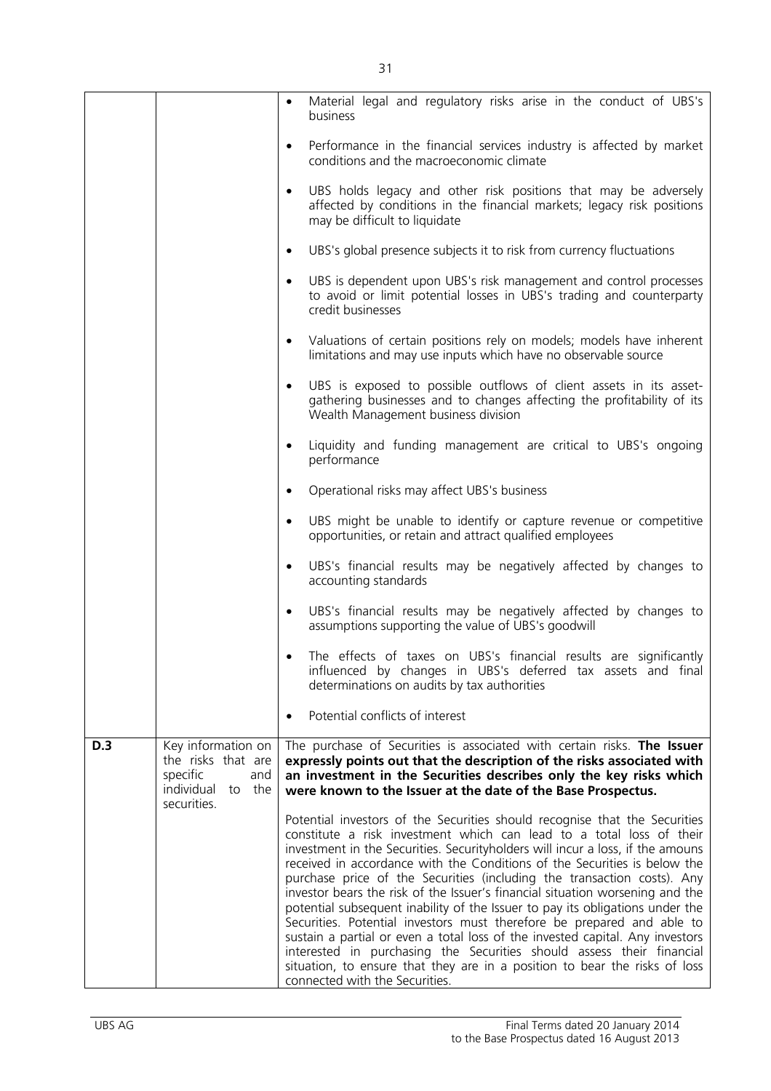|            |                                                                                                 | $\bullet$ | Material legal and regulatory risks arise in the conduct of UBS's<br>business                                                                                                                                                                                                                                                                                                                                                                                                                                                                                                                                                                                                                                                                                                                                                                                                                                       |
|------------|-------------------------------------------------------------------------------------------------|-----------|---------------------------------------------------------------------------------------------------------------------------------------------------------------------------------------------------------------------------------------------------------------------------------------------------------------------------------------------------------------------------------------------------------------------------------------------------------------------------------------------------------------------------------------------------------------------------------------------------------------------------------------------------------------------------------------------------------------------------------------------------------------------------------------------------------------------------------------------------------------------------------------------------------------------|
|            |                                                                                                 | $\bullet$ | Performance in the financial services industry is affected by market<br>conditions and the macroeconomic climate                                                                                                                                                                                                                                                                                                                                                                                                                                                                                                                                                                                                                                                                                                                                                                                                    |
|            |                                                                                                 | $\bullet$ | UBS holds legacy and other risk positions that may be adversely<br>affected by conditions in the financial markets; legacy risk positions<br>may be difficult to liquidate                                                                                                                                                                                                                                                                                                                                                                                                                                                                                                                                                                                                                                                                                                                                          |
|            |                                                                                                 | $\bullet$ | UBS's global presence subjects it to risk from currency fluctuations                                                                                                                                                                                                                                                                                                                                                                                                                                                                                                                                                                                                                                                                                                                                                                                                                                                |
|            |                                                                                                 | $\bullet$ | UBS is dependent upon UBS's risk management and control processes<br>to avoid or limit potential losses in UBS's trading and counterparty<br>credit businesses                                                                                                                                                                                                                                                                                                                                                                                                                                                                                                                                                                                                                                                                                                                                                      |
|            |                                                                                                 | $\bullet$ | Valuations of certain positions rely on models; models have inherent<br>limitations and may use inputs which have no observable source                                                                                                                                                                                                                                                                                                                                                                                                                                                                                                                                                                                                                                                                                                                                                                              |
|            |                                                                                                 | $\bullet$ | UBS is exposed to possible outflows of client assets in its asset-<br>gathering businesses and to changes affecting the profitability of its<br>Wealth Management business division                                                                                                                                                                                                                                                                                                                                                                                                                                                                                                                                                                                                                                                                                                                                 |
|            |                                                                                                 | $\bullet$ | Liquidity and funding management are critical to UBS's ongoing<br>performance                                                                                                                                                                                                                                                                                                                                                                                                                                                                                                                                                                                                                                                                                                                                                                                                                                       |
|            |                                                                                                 | $\bullet$ | Operational risks may affect UBS's business                                                                                                                                                                                                                                                                                                                                                                                                                                                                                                                                                                                                                                                                                                                                                                                                                                                                         |
|            |                                                                                                 | $\bullet$ | UBS might be unable to identify or capture revenue or competitive<br>opportunities, or retain and attract qualified employees                                                                                                                                                                                                                                                                                                                                                                                                                                                                                                                                                                                                                                                                                                                                                                                       |
|            |                                                                                                 | $\bullet$ | UBS's financial results may be negatively affected by changes to<br>accounting standards                                                                                                                                                                                                                                                                                                                                                                                                                                                                                                                                                                                                                                                                                                                                                                                                                            |
|            |                                                                                                 | $\bullet$ | UBS's financial results may be negatively affected by changes to<br>assumptions supporting the value of UBS's goodwill                                                                                                                                                                                                                                                                                                                                                                                                                                                                                                                                                                                                                                                                                                                                                                                              |
|            |                                                                                                 |           | The effects of taxes on UBS's financial results are significantly<br>influenced by changes in UBS's deferred tax assets and final<br>determinations on audits by tax authorities                                                                                                                                                                                                                                                                                                                                                                                                                                                                                                                                                                                                                                                                                                                                    |
|            |                                                                                                 |           | Potential conflicts of interest                                                                                                                                                                                                                                                                                                                                                                                                                                                                                                                                                                                                                                                                                                                                                                                                                                                                                     |
| <b>D.3</b> | Key information on<br>the risks that are<br>specific<br>and<br>individual to the<br>securities. |           | The purchase of Securities is associated with certain risks. The Issuer<br>expressly points out that the description of the risks associated with<br>an investment in the Securities describes only the key risks which<br>were known to the Issuer at the date of the Base Prospectus.                                                                                                                                                                                                                                                                                                                                                                                                                                                                                                                                                                                                                             |
|            |                                                                                                 |           | Potential investors of the Securities should recognise that the Securities<br>constitute a risk investment which can lead to a total loss of their<br>investment in the Securities. Security holders will incur a loss, if the amouns<br>received in accordance with the Conditions of the Securities is below the<br>purchase price of the Securities (including the transaction costs). Any<br>investor bears the risk of the Issuer's financial situation worsening and the<br>potential subsequent inability of the Issuer to pay its obligations under the<br>Securities. Potential investors must therefore be prepared and able to<br>sustain a partial or even a total loss of the invested capital. Any investors<br>interested in purchasing the Securities should assess their financial<br>situation, to ensure that they are in a position to bear the risks of loss<br>connected with the Securities. |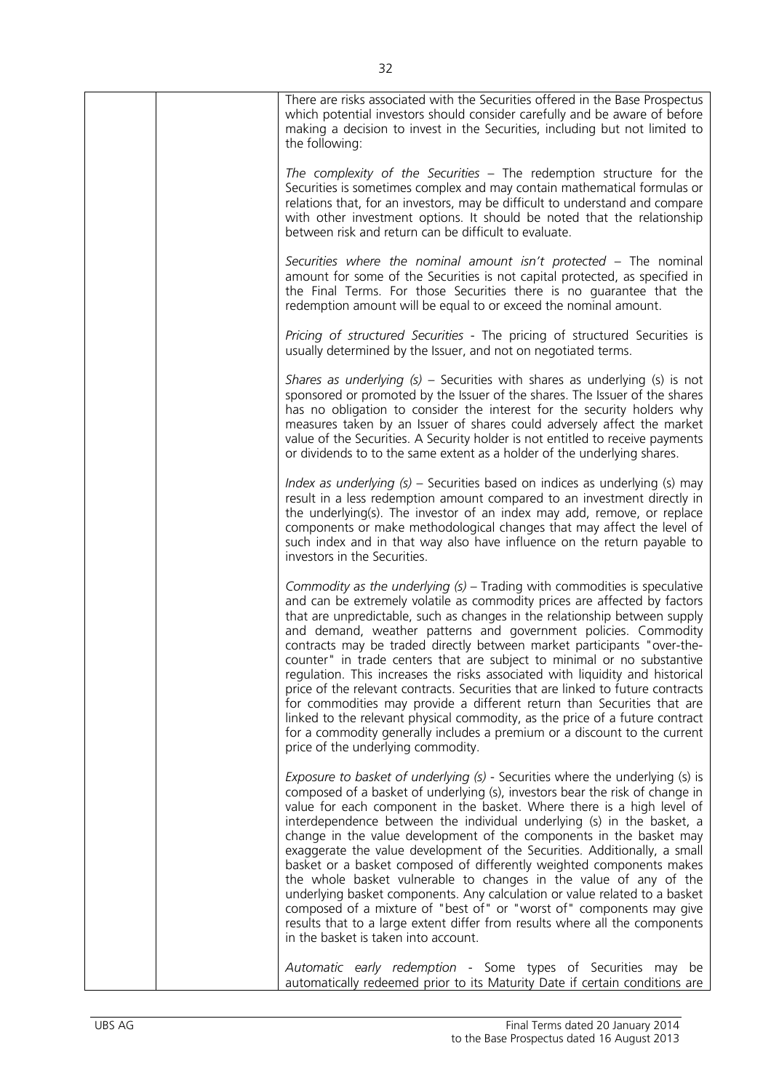| There are risks associated with the Securities offered in the Base Prospectus<br>which potential investors should consider carefully and be aware of before<br>making a decision to invest in the Securities, including but not limited to<br>the following:                                                                                                                                                                                                                                                                                                                                                                                                                                                                                                                                                                                                                                                      |
|-------------------------------------------------------------------------------------------------------------------------------------------------------------------------------------------------------------------------------------------------------------------------------------------------------------------------------------------------------------------------------------------------------------------------------------------------------------------------------------------------------------------------------------------------------------------------------------------------------------------------------------------------------------------------------------------------------------------------------------------------------------------------------------------------------------------------------------------------------------------------------------------------------------------|
| The complexity of the Securities - The redemption structure for the<br>Securities is sometimes complex and may contain mathematical formulas or<br>relations that, for an investors, may be difficult to understand and compare<br>with other investment options. It should be noted that the relationship<br>between risk and return can be difficult to evaluate.                                                                                                                                                                                                                                                                                                                                                                                                                                                                                                                                               |
| Securities where the nominal amount isn't protected - The nominal<br>amount for some of the Securities is not capital protected, as specified in<br>the Final Terms. For those Securities there is no guarantee that the<br>redemption amount will be equal to or exceed the nominal amount.                                                                                                                                                                                                                                                                                                                                                                                                                                                                                                                                                                                                                      |
| Pricing of structured Securities - The pricing of structured Securities is<br>usually determined by the Issuer, and not on negotiated terms.                                                                                                                                                                                                                                                                                                                                                                                                                                                                                                                                                                                                                                                                                                                                                                      |
| Shares as underlying $(s)$ – Securities with shares as underlying $(s)$ is not<br>sponsored or promoted by the Issuer of the shares. The Issuer of the shares<br>has no obligation to consider the interest for the security holders why<br>measures taken by an Issuer of shares could adversely affect the market<br>value of the Securities. A Security holder is not entitled to receive payments<br>or dividends to to the same extent as a holder of the underlying shares.                                                                                                                                                                                                                                                                                                                                                                                                                                 |
| Index as underlying $(s)$ – Securities based on indices as underlying $(s)$ may<br>result in a less redemption amount compared to an investment directly in<br>the underlying(s). The investor of an index may add, remove, or replace<br>components or make methodological changes that may affect the level of<br>such index and in that way also have influence on the return payable to<br>investors in the Securities.                                                                                                                                                                                                                                                                                                                                                                                                                                                                                       |
| Commodity as the underlying $(s)$ – Trading with commodities is speculative<br>and can be extremely volatile as commodity prices are affected by factors<br>that are unpredictable, such as changes in the relationship between supply<br>and demand, weather patterns and government policies. Commodity<br>contracts may be traded directly between market participants "over-the-<br>counter" in trade centers that are subject to minimal or no substantive<br>regulation. This increases the risks associated with liquidity and historical<br>price of the relevant contracts. Securities that are linked to future contracts<br>for commodities may provide a different return than Securities that are<br>linked to the relevant physical commodity, as the price of a future contract<br>for a commodity generally includes a premium or a discount to the current<br>price of the underlying commodity. |
| Exposure to basket of underlying (s) - Securities where the underlying (s) is<br>composed of a basket of underlying (s), investors bear the risk of change in<br>value for each component in the basket. Where there is a high level of<br>interdependence between the individual underlying (s) in the basket, a<br>change in the value development of the components in the basket may<br>exaggerate the value development of the Securities. Additionally, a small<br>basket or a basket composed of differently weighted components makes<br>the whole basket vulnerable to changes in the value of any of the<br>underlying basket components. Any calculation or value related to a basket<br>composed of a mixture of "best of" or "worst of" components may give<br>results that to a large extent differ from results where all the components<br>in the basket is taken into account.                   |
| Automatic early redemption - Some types of Securities may be<br>automatically redeemed prior to its Maturity Date if certain conditions are                                                                                                                                                                                                                                                                                                                                                                                                                                                                                                                                                                                                                                                                                                                                                                       |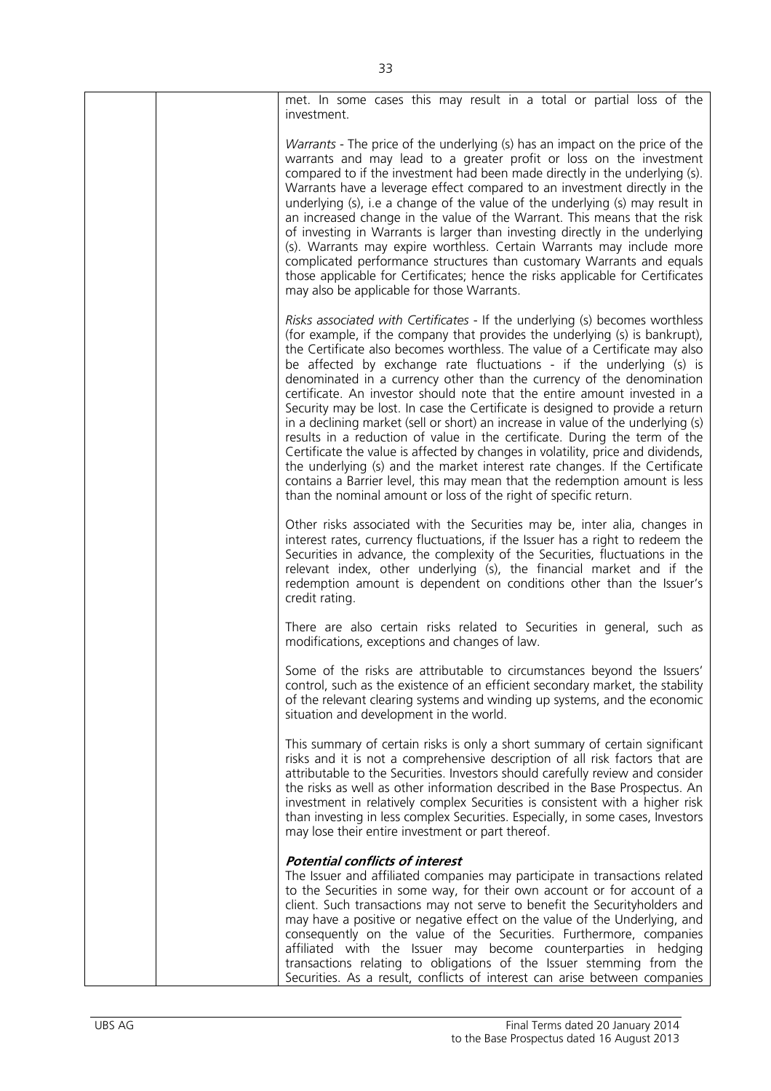|  | met. In some cases this may result in a total or partial loss of the<br>investment.                                                                                                                                                                                                                                                                                                                                                                                                                                                                                                                                                                                                                                                                                                                                                                                                                                                                                                                                                              |
|--|--------------------------------------------------------------------------------------------------------------------------------------------------------------------------------------------------------------------------------------------------------------------------------------------------------------------------------------------------------------------------------------------------------------------------------------------------------------------------------------------------------------------------------------------------------------------------------------------------------------------------------------------------------------------------------------------------------------------------------------------------------------------------------------------------------------------------------------------------------------------------------------------------------------------------------------------------------------------------------------------------------------------------------------------------|
|  | Warrants - The price of the underlying (s) has an impact on the price of the<br>warrants and may lead to a greater profit or loss on the investment<br>compared to if the investment had been made directly in the underlying (s).<br>Warrants have a leverage effect compared to an investment directly in the<br>underlying (s), i.e a change of the value of the underlying (s) may result in<br>an increased change in the value of the Warrant. This means that the risk<br>of investing in Warrants is larger than investing directly in the underlying<br>(s). Warrants may expire worthless. Certain Warrants may include more<br>complicated performance structures than customary Warrants and equals<br>those applicable for Certificates; hence the risks applicable for Certificates<br>may also be applicable for those Warrants.                                                                                                                                                                                                  |
|  | Risks associated with Certificates - If the underlying (s) becomes worthless<br>(for example, if the company that provides the underlying (s) is bankrupt),<br>the Certificate also becomes worthless. The value of a Certificate may also<br>be affected by exchange rate fluctuations - if the underlying (s) is<br>denominated in a currency other than the currency of the denomination<br>certificate. An investor should note that the entire amount invested in a<br>Security may be lost. In case the Certificate is designed to provide a return<br>in a declining market (sell or short) an increase in value of the underlying (s)<br>results in a reduction of value in the certificate. During the term of the<br>Certificate the value is affected by changes in volatility, price and dividends,<br>the underlying (s) and the market interest rate changes. If the Certificate<br>contains a Barrier level, this may mean that the redemption amount is less<br>than the nominal amount or loss of the right of specific return. |
|  | Other risks associated with the Securities may be, inter alia, changes in<br>interest rates, currency fluctuations, if the Issuer has a right to redeem the<br>Securities in advance, the complexity of the Securities, fluctuations in the<br>relevant index, other underlying (s), the financial market and if the<br>redemption amount is dependent on conditions other than the Issuer's<br>credit rating.                                                                                                                                                                                                                                                                                                                                                                                                                                                                                                                                                                                                                                   |
|  | There are also certain risks related to Securities in general, such as<br>modifications, exceptions and changes of law.                                                                                                                                                                                                                                                                                                                                                                                                                                                                                                                                                                                                                                                                                                                                                                                                                                                                                                                          |
|  | Some of the risks are attributable to circumstances beyond the Issuers'<br>control, such as the existence of an efficient secondary market, the stability<br>of the relevant clearing systems and winding up systems, and the economic<br>situation and development in the world.                                                                                                                                                                                                                                                                                                                                                                                                                                                                                                                                                                                                                                                                                                                                                                |
|  | This summary of certain risks is only a short summary of certain significant<br>risks and it is not a comprehensive description of all risk factors that are<br>attributable to the Securities. Investors should carefully review and consider<br>the risks as well as other information described in the Base Prospectus. An<br>investment in relatively complex Securities is consistent with a higher risk<br>than investing in less complex Securities. Especially, in some cases, Investors<br>may lose their entire investment or part thereof.                                                                                                                                                                                                                                                                                                                                                                                                                                                                                            |
|  | <b>Potential conflicts of interest</b><br>The Issuer and affiliated companies may participate in transactions related<br>to the Securities in some way, for their own account or for account of a<br>client. Such transactions may not serve to benefit the Securityholders and<br>may have a positive or negative effect on the value of the Underlying, and<br>consequently on the value of the Securities. Furthermore, companies<br>affiliated with the Issuer may become counterparties in hedging<br>transactions relating to obligations of the Issuer stemming from the<br>Securities. As a result, conflicts of interest can arise between companies                                                                                                                                                                                                                                                                                                                                                                                    |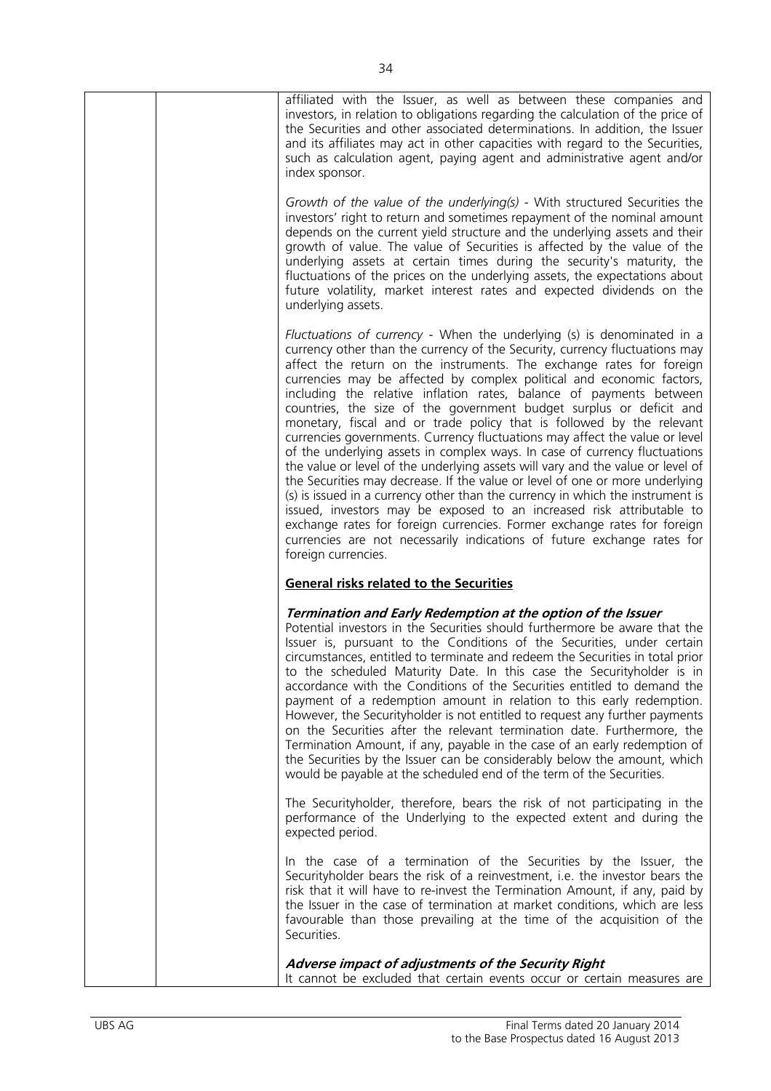| affiliated with the Issuer, as well as between these companies and<br>investors, in relation to obligations regarding the calculation of the price of<br>the Securities and other associated determinations. In addition, the Issuer<br>and its affiliates may act in other capacities with regard to the Securities,<br>such as calculation agent, paying agent and administrative agent and/or<br>index sponsor.                                                                                                                                                                                                                                                                                                                                                                                                                                                                                                                                                                                                                                                                                                                                                                                     |
|--------------------------------------------------------------------------------------------------------------------------------------------------------------------------------------------------------------------------------------------------------------------------------------------------------------------------------------------------------------------------------------------------------------------------------------------------------------------------------------------------------------------------------------------------------------------------------------------------------------------------------------------------------------------------------------------------------------------------------------------------------------------------------------------------------------------------------------------------------------------------------------------------------------------------------------------------------------------------------------------------------------------------------------------------------------------------------------------------------------------------------------------------------------------------------------------------------|
| Growth of the value of the underlying(s) - With structured Securities the<br>investors' right to return and sometimes repayment of the nominal amount<br>depends on the current yield structure and the underlying assets and their<br>growth of value. The value of Securities is affected by the value of the<br>underlying assets at certain times during the security's maturity, the<br>fluctuations of the prices on the underlying assets, the expectations about<br>future volatility, market interest rates and expected dividends on the<br>underlying assets.                                                                                                                                                                                                                                                                                                                                                                                                                                                                                                                                                                                                                               |
| Fluctuations of currency - When the underlying (s) is denominated in a<br>currency other than the currency of the Security, currency fluctuations may<br>affect the return on the instruments. The exchange rates for foreign<br>currencies may be affected by complex political and economic factors,<br>including the relative inflation rates, balance of payments between<br>countries, the size of the government budget surplus or deficit and<br>monetary, fiscal and or trade policy that is followed by the relevant<br>currencies governments. Currency fluctuations may affect the value or level<br>of the underlying assets in complex ways. In case of currency fluctuations<br>the value or level of the underlying assets will vary and the value or level of<br>the Securities may decrease. If the value or level of one or more underlying<br>(s) is issued in a currency other than the currency in which the instrument is<br>issued, investors may be exposed to an increased risk attributable to<br>exchange rates for foreign currencies. Former exchange rates for foreign<br>currencies are not necessarily indications of future exchange rates for<br>foreign currencies. |
| <b>General risks related to the Securities</b>                                                                                                                                                                                                                                                                                                                                                                                                                                                                                                                                                                                                                                                                                                                                                                                                                                                                                                                                                                                                                                                                                                                                                         |
| Termination and Early Redemption at the option of the Issuer<br>Potential investors in the Securities should furthermore be aware that the<br>Issuer is, pursuant to the Conditions of the Securities, under certain<br>circumstances, entitled to terminate and redeem the Securities in total prior<br>to the scheduled Maturity Date. In this case the Securityholder is in<br>accordance with the Conditions of the Securities entitled to demand the<br>payment of a redemption amount in relation to this early redemption.<br>However, the Securityholder is not entitled to request any further payments<br>on the Securities after the relevant termination date. Furthermore, the<br>Termination Amount, if any, payable in the case of an early redemption of<br>the Securities by the Issuer can be considerably below the amount, which<br>would be payable at the scheduled end of the term of the Securities.                                                                                                                                                                                                                                                                           |
| The Securityholder, therefore, bears the risk of not participating in the<br>performance of the Underlying to the expected extent and during the<br>expected period.                                                                                                                                                                                                                                                                                                                                                                                                                                                                                                                                                                                                                                                                                                                                                                                                                                                                                                                                                                                                                                   |
| In the case of a termination of the Securities by the Issuer, the<br>Securityholder bears the risk of a reinvestment, i.e. the investor bears the<br>risk that it will have to re-invest the Termination Amount, if any, paid by<br>the Issuer in the case of termination at market conditions, which are less<br>favourable than those prevailing at the time of the acquisition of the<br>Securities.                                                                                                                                                                                                                                                                                                                                                                                                                                                                                                                                                                                                                                                                                                                                                                                                |
| Adverse impact of adjustments of the Security Right<br>It cannot be excluded that certain events occur or certain measures are                                                                                                                                                                                                                                                                                                                                                                                                                                                                                                                                                                                                                                                                                                                                                                                                                                                                                                                                                                                                                                                                         |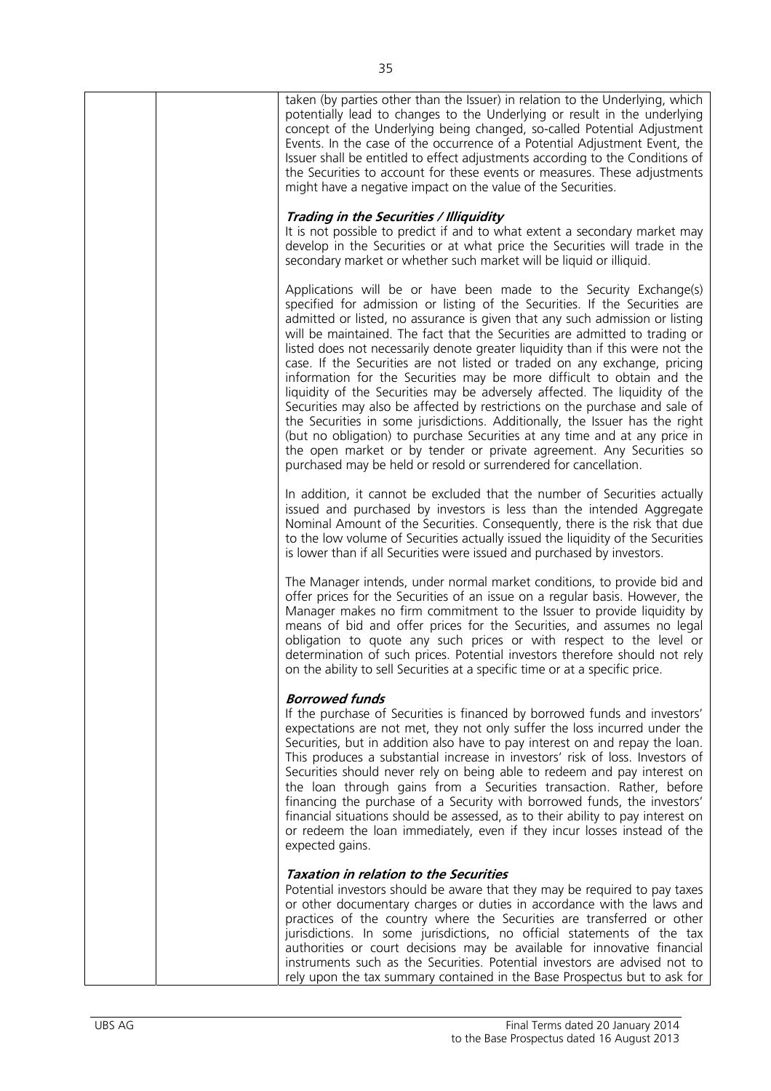| taken (by parties other than the Issuer) in relation to the Underlying, which<br>potentially lead to changes to the Underlying or result in the underlying<br>concept of the Underlying being changed, so-called Potential Adjustment<br>Events. In the case of the occurrence of a Potential Adjustment Event, the<br>Issuer shall be entitled to effect adjustments according to the Conditions of<br>the Securities to account for these events or measures. These adjustments<br>might have a negative impact on the value of the Securities.                                                                                                                                                                                                                                                                                                                                                                                                                                                                                 |
|-----------------------------------------------------------------------------------------------------------------------------------------------------------------------------------------------------------------------------------------------------------------------------------------------------------------------------------------------------------------------------------------------------------------------------------------------------------------------------------------------------------------------------------------------------------------------------------------------------------------------------------------------------------------------------------------------------------------------------------------------------------------------------------------------------------------------------------------------------------------------------------------------------------------------------------------------------------------------------------------------------------------------------------|
| Trading in the Securities / Illiquidity<br>It is not possible to predict if and to what extent a secondary market may<br>develop in the Securities or at what price the Securities will trade in the<br>secondary market or whether such market will be liquid or illiquid.                                                                                                                                                                                                                                                                                                                                                                                                                                                                                                                                                                                                                                                                                                                                                       |
| Applications will be or have been made to the Security Exchange(s)<br>specified for admission or listing of the Securities. If the Securities are<br>admitted or listed, no assurance is given that any such admission or listing<br>will be maintained. The fact that the Securities are admitted to trading or<br>listed does not necessarily denote greater liquidity than if this were not the<br>case. If the Securities are not listed or traded on any exchange, pricing<br>information for the Securities may be more difficult to obtain and the<br>liquidity of the Securities may be adversely affected. The liquidity of the<br>Securities may also be affected by restrictions on the purchase and sale of<br>the Securities in some jurisdictions. Additionally, the Issuer has the right<br>(but no obligation) to purchase Securities at any time and at any price in<br>the open market or by tender or private agreement. Any Securities so<br>purchased may be held or resold or surrendered for cancellation. |
| In addition, it cannot be excluded that the number of Securities actually<br>issued and purchased by investors is less than the intended Aggregate<br>Nominal Amount of the Securities. Consequently, there is the risk that due<br>to the low volume of Securities actually issued the liquidity of the Securities<br>is lower than if all Securities were issued and purchased by investors.                                                                                                                                                                                                                                                                                                                                                                                                                                                                                                                                                                                                                                    |
| The Manager intends, under normal market conditions, to provide bid and<br>offer prices for the Securities of an issue on a regular basis. However, the<br>Manager makes no firm commitment to the Issuer to provide liquidity by<br>means of bid and offer prices for the Securities, and assumes no legal<br>obligation to quote any such prices or with respect to the level or<br>determination of such prices. Potential investors therefore should not rely<br>on the ability to sell Securities at a specific time or at a specific price.                                                                                                                                                                                                                                                                                                                                                                                                                                                                                 |
| <b>Borrowed funds</b><br>If the purchase of Securities is financed by borrowed funds and investors'<br>expectations are not met, they not only suffer the loss incurred under the<br>Securities, but in addition also have to pay interest on and repay the loan.<br>This produces a substantial increase in investors' risk of loss. Investors of<br>Securities should never rely on being able to redeem and pay interest on<br>the loan through gains from a Securities transaction. Rather, before<br>financing the purchase of a Security with borrowed funds, the investors'<br>financial situations should be assessed, as to their ability to pay interest on<br>or redeem the loan immediately, even if they incur losses instead of the<br>expected gains.                                                                                                                                                                                                                                                              |
| <b>Taxation in relation to the Securities</b><br>Potential investors should be aware that they may be required to pay taxes<br>or other documentary charges or duties in accordance with the laws and<br>practices of the country where the Securities are transferred or other<br>jurisdictions. In some jurisdictions, no official statements of the tax<br>authorities or court decisions may be available for innovative financial<br>instruments such as the Securities. Potential investors are advised not to<br>rely upon the tax summary contained in the Base Prospectus but to ask for                                                                                                                                                                                                                                                                                                                                                                                                                                 |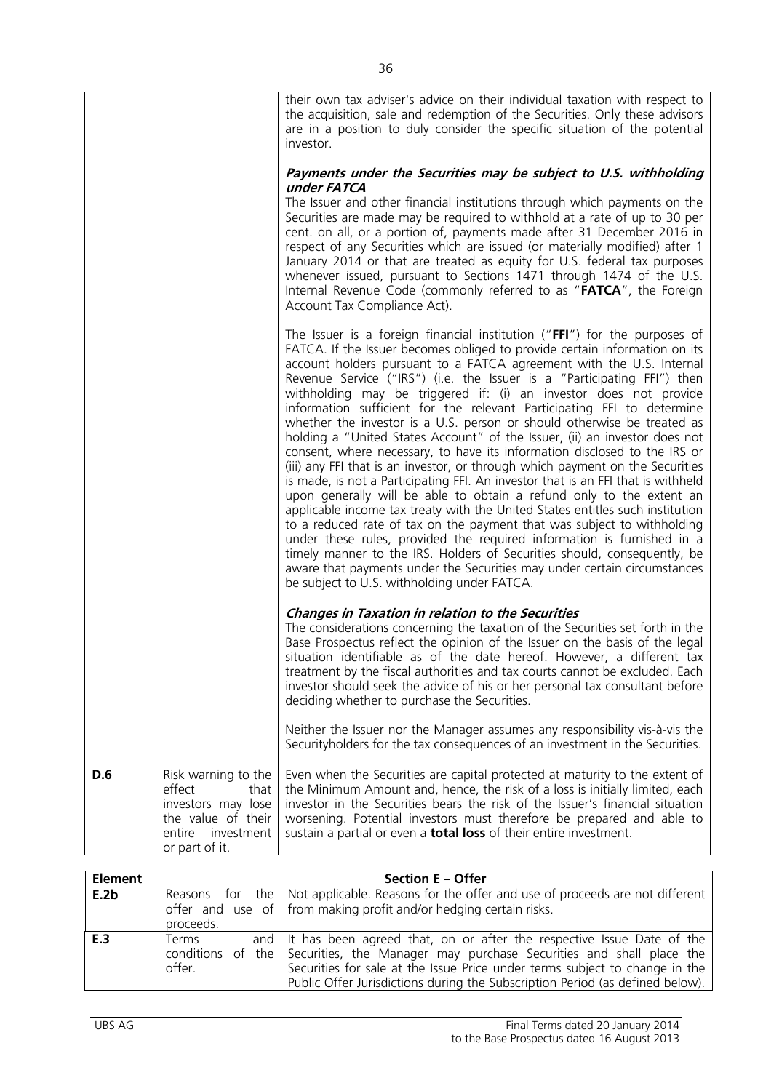|     |                                                                                                                             | their own tax adviser's advice on their individual taxation with respect to<br>the acquisition, sale and redemption of the Securities. Only these advisors<br>are in a position to duly consider the specific situation of the potential<br>investor.<br>Payments under the Securities may be subject to U.S. withholding<br>under FATCA<br>The Issuer and other financial institutions through which payments on the<br>Securities are made may be required to withhold at a rate of up to 30 per<br>cent. on all, or a portion of, payments made after 31 December 2016 in<br>respect of any Securities which are issued (or materially modified) after 1<br>January 2014 or that are treated as equity for U.S. federal tax purposes<br>whenever issued, pursuant to Sections 1471 through 1474 of the U.S.<br>Internal Revenue Code (commonly referred to as "FATCA", the Foreign<br>Account Tax Compliance Act).                                                                                                                                                                                                                                                                                                                                                                                                                                                                         |
|-----|-----------------------------------------------------------------------------------------------------------------------------|-----------------------------------------------------------------------------------------------------------------------------------------------------------------------------------------------------------------------------------------------------------------------------------------------------------------------------------------------------------------------------------------------------------------------------------------------------------------------------------------------------------------------------------------------------------------------------------------------------------------------------------------------------------------------------------------------------------------------------------------------------------------------------------------------------------------------------------------------------------------------------------------------------------------------------------------------------------------------------------------------------------------------------------------------------------------------------------------------------------------------------------------------------------------------------------------------------------------------------------------------------------------------------------------------------------------------------------------------------------------------------------------------|
|     |                                                                                                                             | The Issuer is a foreign financial institution (" $FFI'$ ) for the purposes of<br>FATCA. If the Issuer becomes obliged to provide certain information on its<br>account holders pursuant to a FATCA agreement with the U.S. Internal<br>Revenue Service ("IRS") (i.e. the Issuer is a "Participating FFI") then<br>withholding may be triggered if: (i) an investor does not provide<br>information sufficient for the relevant Participating FFI to determine<br>whether the investor is a U.S. person or should otherwise be treated as<br>holding a "United States Account" of the Issuer, (ii) an investor does not<br>consent, where necessary, to have its information disclosed to the IRS or<br>(iii) any FFI that is an investor, or through which payment on the Securities<br>is made, is not a Participating FFI. An investor that is an FFI that is withheld<br>upon generally will be able to obtain a refund only to the extent an<br>applicable income tax treaty with the United States entitles such institution<br>to a reduced rate of tax on the payment that was subject to withholding<br>under these rules, provided the required information is furnished in a<br>timely manner to the IRS. Holders of Securities should, consequently, be<br>aware that payments under the Securities may under certain circumstances<br>be subject to U.S. withholding under FATCA. |
|     |                                                                                                                             | <b>Changes in Taxation in relation to the Securities</b><br>The considerations concerning the taxation of the Securities set forth in the<br>Base Prospectus reflect the opinion of the Issuer on the basis of the legal<br>situation identifiable as of the date hereof. However, a different tax<br>treatment by the fiscal authorities and tax courts cannot be excluded. Each<br>investor should seek the advice of his or her personal tax consultant before<br>deciding whether to purchase the Securities.                                                                                                                                                                                                                                                                                                                                                                                                                                                                                                                                                                                                                                                                                                                                                                                                                                                                             |
|     |                                                                                                                             | Neither the Issuer nor the Manager assumes any responsibility vis-à-vis the<br>Securityholders for the tax consequences of an investment in the Securities.                                                                                                                                                                                                                                                                                                                                                                                                                                                                                                                                                                                                                                                                                                                                                                                                                                                                                                                                                                                                                                                                                                                                                                                                                                   |
| D.6 | Risk warning to the<br>effect<br>that<br>investors may lose<br>the value of their<br>entire<br>investment<br>or part of it. | Even when the Securities are capital protected at maturity to the extent of<br>the Minimum Amount and, hence, the risk of a loss is initially limited, each<br>investor in the Securities bears the risk of the Issuer's financial situation<br>worsening. Potential investors must therefore be prepared and able to<br>sustain a partial or even a <b>total loss</b> of their entire investment.                                                                                                                                                                                                                                                                                                                                                                                                                                                                                                                                                                                                                                                                                                                                                                                                                                                                                                                                                                                            |

| <b>Element</b> |                 | <b>Section E - Offer</b>                                                                                                                                                                                                                                                                                                           |
|----------------|-----------------|------------------------------------------------------------------------------------------------------------------------------------------------------------------------------------------------------------------------------------------------------------------------------------------------------------------------------------|
| E.2b           | proceeds.       | Reasons for the   Not applicable. Reasons for the offer and use of proceeds are not different  <br>offer and use of from making profit and/or hedging certain risks.                                                                                                                                                               |
| E <sub>3</sub> | Terms<br>offer. | and It has been agreed that, on or after the respective Issue Date of the<br>conditions of the Securities, the Manager may purchase Securities and shall place the<br>Securities for sale at the Issue Price under terms subject to change in the<br>Public Offer Jurisdictions during the Subscription Period (as defined below). |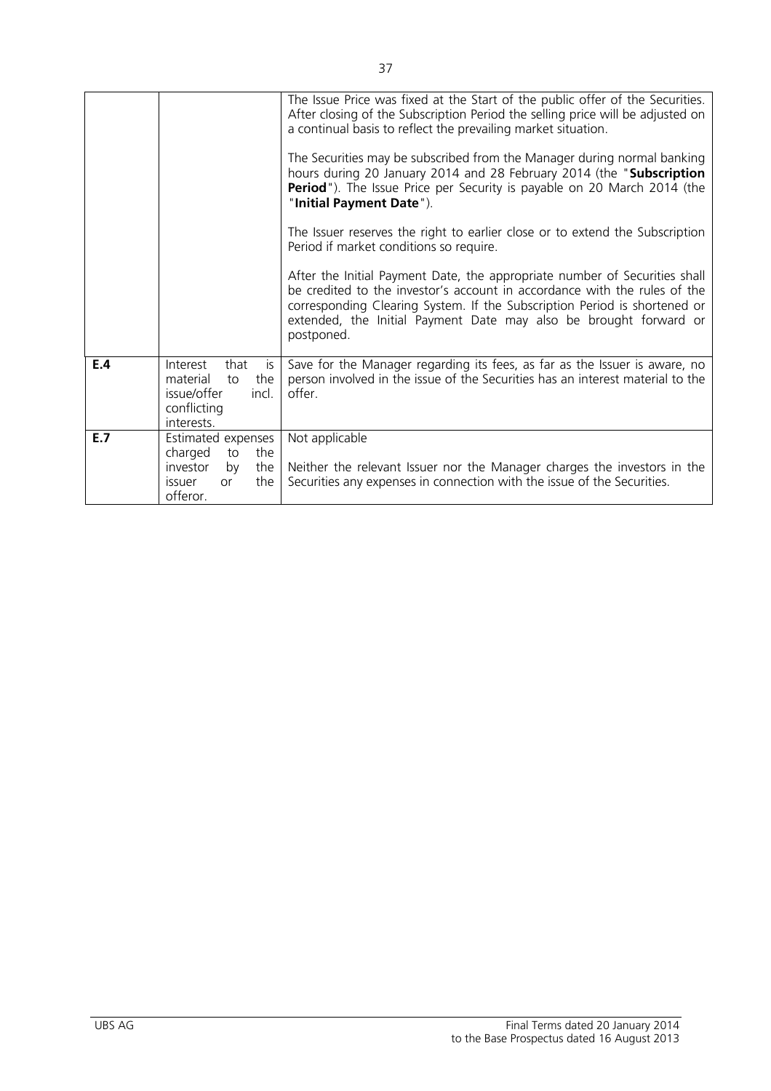|     |                                                                                                               | The Issue Price was fixed at the Start of the public offer of the Securities.<br>After closing of the Subscription Period the selling price will be adjusted on<br>a continual basis to reflect the prevailing market situation.<br>The Securities may be subscribed from the Manager during normal banking<br>hours during 20 January 2014 and 28 February 2014 (the "Subscription |
|-----|---------------------------------------------------------------------------------------------------------------|-------------------------------------------------------------------------------------------------------------------------------------------------------------------------------------------------------------------------------------------------------------------------------------------------------------------------------------------------------------------------------------|
|     |                                                                                                               | Period"). The Issue Price per Security is payable on 20 March 2014 (the<br>"Initial Payment Date").                                                                                                                                                                                                                                                                                 |
|     |                                                                                                               | The Issuer reserves the right to earlier close or to extend the Subscription<br>Period if market conditions so require.                                                                                                                                                                                                                                                             |
|     |                                                                                                               | After the Initial Payment Date, the appropriate number of Securities shall<br>be credited to the investor's account in accordance with the rules of the<br>corresponding Clearing System. If the Subscription Period is shortened or<br>extended, the Initial Payment Date may also be brought forward or<br>postponed.                                                             |
| E.4 | Interest<br>that<br>is<br>the<br>material<br>to<br>incl.<br>issue/offer<br>conflicting<br>interests.          | Save for the Manager regarding its fees, as far as the Issuer is aware, no<br>person involved in the issue of the Securities has an interest material to the<br>offer.                                                                                                                                                                                                              |
| E.7 | Estimated expenses<br>charged<br>the<br>to<br>investor<br>the<br>by<br>the<br>issuer<br><b>or</b><br>offeror. | Not applicable<br>Neither the relevant Issuer nor the Manager charges the investors in the<br>Securities any expenses in connection with the issue of the Securities.                                                                                                                                                                                                               |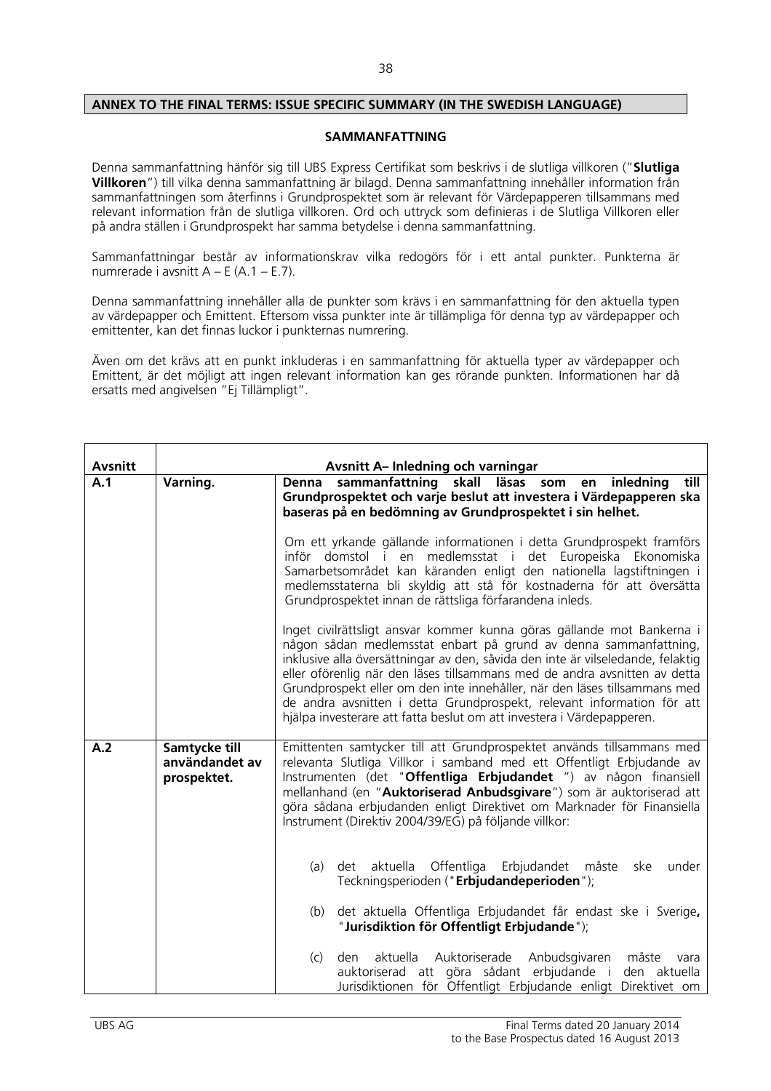### **ANNEX TO THE FINAL TERMS: ISSUE SPECIFIC SUMMARY (IN THE SWEDISH LANGUAGE)**

#### **SAMMANFATTNING**

Denna sammanfattning hänför sig till UBS Express Certifikat som beskrivs i de slutliga villkoren ("**Slutliga Villkoren**") till vilka denna sammanfattning är bilagd. Denna sammanfattning innehåller information från sammanfattningen som återfinns i Grundprospektet som är relevant för Värdepapperen tillsammans med relevant information från de slutliga villkoren. Ord och uttryck som definieras i de Slutliga Villkoren eller på andra ställen i Grundprospekt har samma betydelse i denna sammanfattning.

Sammanfattningar består av informationskrav vilka redogörs för i ett antal punkter. Punkterna är numrerade i avsnitt  $A - E (A.1 - E.7)$ .

Denna sammanfattning innehåller alla de punkter som krävs i en sammanfattning för den aktuella typen av värdepapper och Emittent. Eftersom vissa punkter inte är tillämpliga för denna typ av värdepapper och emittenter, kan det finnas luckor i punkternas numrering.

Även om det krävs att en punkt inkluderas i en sammanfattning för aktuella typer av värdepapper och Emittent, är det möjligt att ingen relevant information kan ges rörande punkten. Informationen har då ersatts med angivelsen "Ej Tillämpligt".

| <b>Avsnitt</b> | <b>Avsnitt A-Inledning och varningar</b>       |                                                                                                                                                                                                                                                                                                                                                                                                                                                                                                                                            |  |
|----------------|------------------------------------------------|--------------------------------------------------------------------------------------------------------------------------------------------------------------------------------------------------------------------------------------------------------------------------------------------------------------------------------------------------------------------------------------------------------------------------------------------------------------------------------------------------------------------------------------------|--|
| A.1            | Varning.                                       | sammanfattning<br>skall läsas som<br>inledning<br>till<br><b>Denna</b><br>en<br>Grundprospektet och varje beslut att investera i Värdepapperen ska<br>baseras på en bedömning av Grundprospektet i sin helhet.                                                                                                                                                                                                                                                                                                                             |  |
|                |                                                | Om ett yrkande gällande informationen i detta Grundprospekt framförs<br>inför domstol i en medlemsstat i det Europeiska Ekonomiska<br>Samarbetsområdet kan käranden enligt den nationella lagstiftningen i<br>medlemsstaterna bli skyldig att stå för kostnaderna för att översätta<br>Grundprospektet innan de rättsliga förfarandena inleds.                                                                                                                                                                                             |  |
|                |                                                | Inget civilrättsligt ansvar kommer kunna göras gällande mot Bankerna i<br>någon sådan medlemsstat enbart på grund av denna sammanfattning,<br>inklusive alla översättningar av den, såvida den inte är vilseledande, felaktig<br>eller oförenlig när den läses tillsammans med de andra avsnitten av detta<br>Grundprospekt eller om den inte innehåller, när den läses tillsammans med<br>de andra avsnitten i detta Grundprospekt, relevant information för att<br>hjälpa investerare att fatta beslut om att investera i Värdepapperen. |  |
| A.2            | Samtycke till<br>användandet av<br>prospektet. | Emittenten samtycker till att Grundprospektet används tillsammans med<br>relevanta Slutliga Villkor i samband med ett Offentligt Erbjudande av<br>Instrumenten (det "Offentliga Erbjudandet ") av någon finansiell<br>mellanhand (en "Auktoriserad Anbudsgivare") som är auktoriserad att<br>göra sådana erbjudanden enligt Direktivet om Marknader för Finansiella<br>Instrument (Direktiv 2004/39/EG) på följande villkor:                                                                                                               |  |
|                |                                                | det aktuella<br>Offentliga<br>Erbjudandet måste<br>under<br>(a)<br>ske<br>Teckningsperioden ("Erbjudandeperioden");                                                                                                                                                                                                                                                                                                                                                                                                                        |  |
|                |                                                | det aktuella Offentliga Erbjudandet får endast ske i Sverige,<br>(b)<br>"Jurisdiktion för Offentligt Erbjudande");                                                                                                                                                                                                                                                                                                                                                                                                                         |  |
|                |                                                | aktuella Auktoriserade Anbudsgivaren<br>(c)<br>den<br>måste<br>vara<br>auktoriserad att göra sådant erbjudande i den aktuella<br>Jurisdiktionen för Offentligt Erbjudande enligt Direktivet om                                                                                                                                                                                                                                                                                                                                             |  |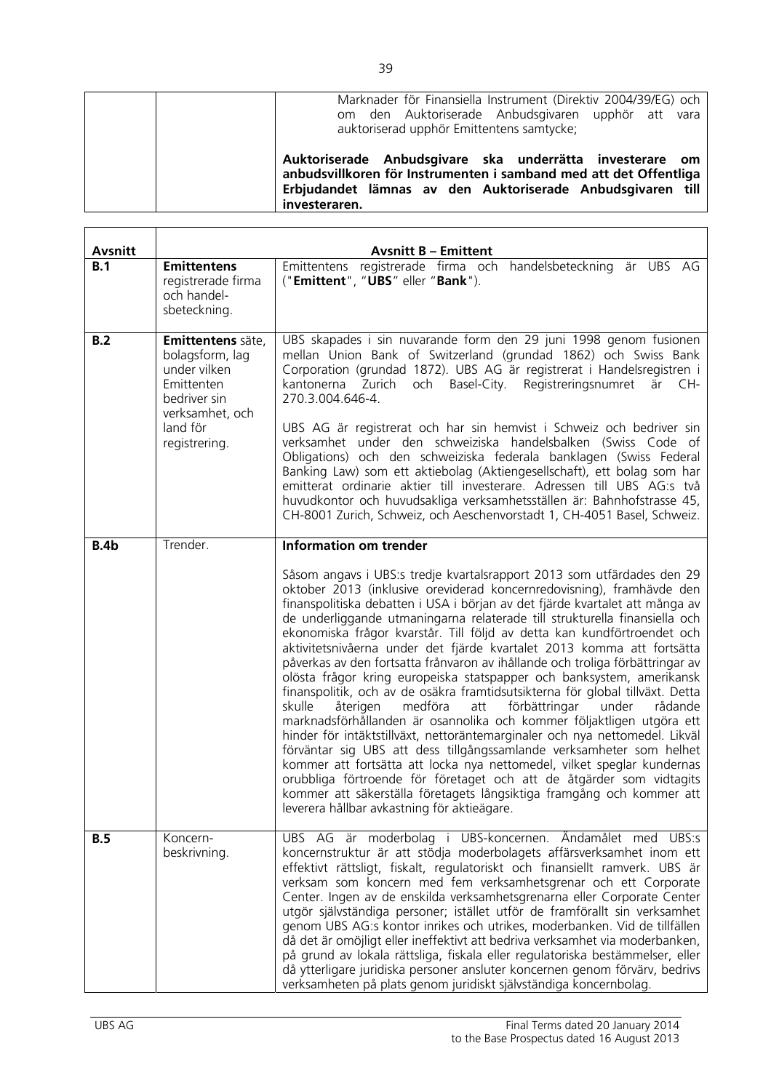| Marknader för Finansiella Instrument (Direktiv 2004/39/EG) och<br>om den Auktoriserade Anbudsgivaren upphör att vara<br>auktoriserad upphör Emittentens samtycke;                                            |
|--------------------------------------------------------------------------------------------------------------------------------------------------------------------------------------------------------------|
| Auktoriserade Anbudsgivare ska underrätta investerare om<br>anbudsvillkoren för Instrumenten i samband med att det Offentliga<br>Erbjudandet lämnas av den Auktoriserade Anbudsgivaren till<br>investeraren. |

| <b>Avsnitt</b> |                                                                                                                                    | <b>Avsnitt B - Emittent</b>                                                                                                                                                                                                                                                                                                                                                                                                                                                                                                                                                                                                                                                                                                                                                                                                                                                                                                                                                                                                                                                                                                                                                                                                                                                                           |
|----------------|------------------------------------------------------------------------------------------------------------------------------------|-------------------------------------------------------------------------------------------------------------------------------------------------------------------------------------------------------------------------------------------------------------------------------------------------------------------------------------------------------------------------------------------------------------------------------------------------------------------------------------------------------------------------------------------------------------------------------------------------------------------------------------------------------------------------------------------------------------------------------------------------------------------------------------------------------------------------------------------------------------------------------------------------------------------------------------------------------------------------------------------------------------------------------------------------------------------------------------------------------------------------------------------------------------------------------------------------------------------------------------------------------------------------------------------------------|
| B.1            | <b>Emittentens</b><br>registrerade firma<br>och handel-<br>sbeteckning.                                                            | Emittentens registrerade firma och handelsbeteckning är UBS AG<br>("Emittent", "UBS" eller "Bank").                                                                                                                                                                                                                                                                                                                                                                                                                                                                                                                                                                                                                                                                                                                                                                                                                                                                                                                                                                                                                                                                                                                                                                                                   |
| B.2            | Emittentens säte,<br>bolagsform, lag<br>under vilken<br>Emittenten<br>bedriver sin<br>verksamhet, och<br>land för<br>registrering. | UBS skapades i sin nuvarande form den 29 juni 1998 genom fusionen<br>mellan Union Bank of Switzerland (grundad 1862) och Swiss Bank<br>Corporation (grundad 1872). UBS AG är registrerat i Handelsregistren i<br>Basel-City. Registreringsnumret<br>kantonerna Zurich<br>och<br>är CH-<br>270.3.004.646-4.<br>UBS AG är registrerat och har sin hemvist i Schweiz och bedriver sin<br>verksamhet under den schweiziska handelsbalken (Swiss Code of<br>Obligations) och den schweiziska federala banklagen (Swiss Federal<br>Banking Law) som ett aktiebolag (Aktiengesellschaft), ett bolag som har<br>emitterat ordinarie aktier till investerare. Adressen till UBS AG:s två<br>huvudkontor och huvudsakliga verksamhetsställen är: Bahnhofstrasse 45,<br>CH-8001 Zurich, Schweiz, och Aeschenvorstadt 1, CH-4051 Basel, Schweiz.                                                                                                                                                                                                                                                                                                                                                                                                                                                                  |
| <b>B.4b</b>    | Trender.                                                                                                                           | <b>Information om trender</b>                                                                                                                                                                                                                                                                                                                                                                                                                                                                                                                                                                                                                                                                                                                                                                                                                                                                                                                                                                                                                                                                                                                                                                                                                                                                         |
|                |                                                                                                                                    | Såsom angavs i UBS:s tredje kvartalsrapport 2013 som utfärdades den 29<br>oktober 2013 (inklusive oreviderad koncernredovisning), framhävde den<br>finanspolitiska debatten i USA i början av det fjärde kvartalet att många av<br>de underliggande utmaningarna relaterade till strukturella finansiella och<br>ekonomiska frågor kvarstår. Till följd av detta kan kundförtroendet och<br>aktivitetsnivåerna under det fjärde kvartalet 2013 komma att fortsätta<br>påverkas av den fortsatta frånvaron av ihållande och troliga förbättringar av<br>olösta frågor kring europeiska statspapper och banksystem, amerikansk<br>finanspolitik, och av de osäkra framtidsutsikterna för global tillväxt. Detta<br>skulle<br>återigen<br>medföra<br>förbättringar<br>under<br>rådande<br>att<br>marknadsförhållanden är osannolika och kommer följaktligen utgöra ett<br>hinder för intäktstillväxt, nettoräntemarginaler och nya nettomedel. Likväl<br>förväntar sig UBS att dess tillgångssamlande verksamheter som helhet<br>kommer att fortsätta att locka nya nettomedel, vilket speglar kundernas<br>orubbliga förtroende för företaget och att de åtgärder som vidtagits<br>kommer att säkerställa företagets långsiktiga framgång och kommer att<br>leverera hållbar avkastning för aktieägare. |
| <b>B.5</b>     | Koncern-<br>beskrivning.                                                                                                           | UBS AG är moderbolag i UBS-koncernen. Ändamålet med UBS:s<br>koncernstruktur är att stödja moderbolagets affärsverksamhet inom ett<br>effektivt rättsligt, fiskalt, regulatoriskt och finansiellt ramverk. UBS är<br>verksam som koncern med fem verksamhetsgrenar och ett Corporate<br>Center. Ingen av de enskilda verksamhetsgrenarna eller Corporate Center<br>utgör självständiga personer; istället utför de framförallt sin verksamhet<br>genom UBS AG:s kontor inrikes och utrikes, moderbanken. Vid de tillfällen<br>då det är omöjligt eller ineffektivt att bedriva verksamhet via moderbanken,<br>på grund av lokala rättsliga, fiskala eller regulatoriska bestämmelser, eller<br>då ytterligare juridiska personer ansluter koncernen genom förvärv, bedrivs<br>verksamheten på plats genom juridiskt självständiga koncernbolag.                                                                                                                                                                                                                                                                                                                                                                                                                                                       |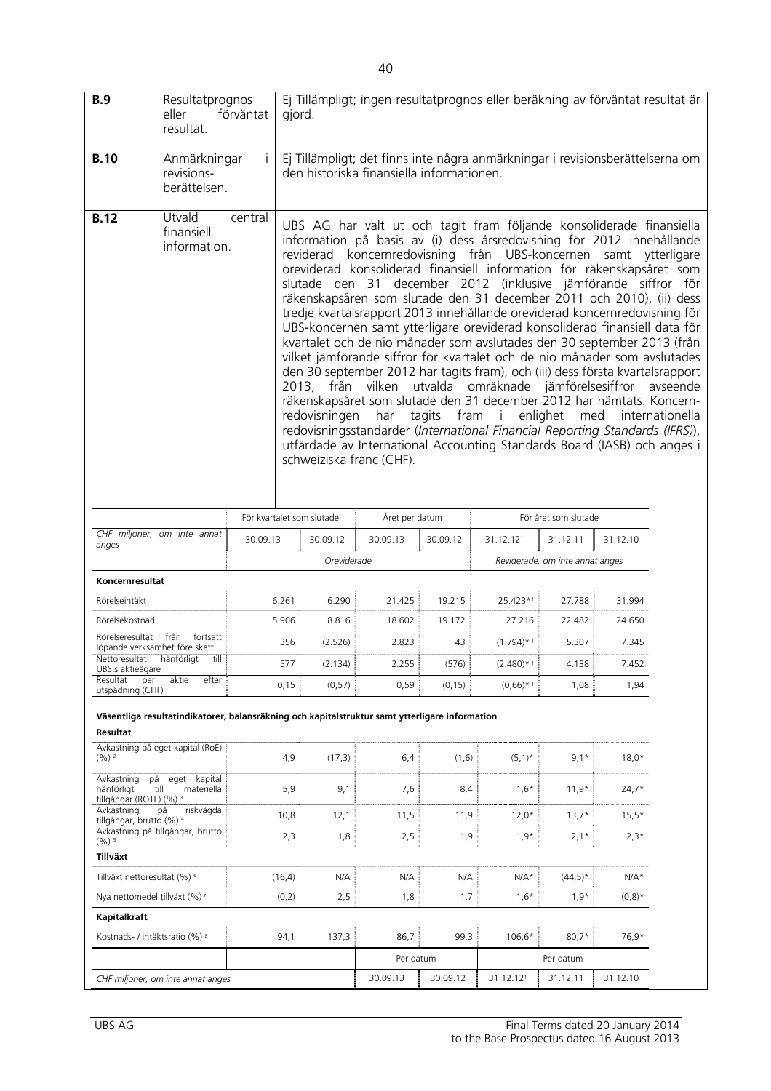| <b>B.9</b>                                                     | Resultatprognos<br>eller<br>resultat.                                                          | förväntat | Ej Tillämpligt; ingen resultatprognos eller beräkning av förväntat resultat är<br>gjord.                                                                                                                                                                                                                                                                                                                                                                                                                                                                                                                                                                                                                                                                                                                                                                                                                                                                                                                                                                                                                                                                                             |                |          |               |                                 |           |                             |
|----------------------------------------------------------------|------------------------------------------------------------------------------------------------|-----------|--------------------------------------------------------------------------------------------------------------------------------------------------------------------------------------------------------------------------------------------------------------------------------------------------------------------------------------------------------------------------------------------------------------------------------------------------------------------------------------------------------------------------------------------------------------------------------------------------------------------------------------------------------------------------------------------------------------------------------------------------------------------------------------------------------------------------------------------------------------------------------------------------------------------------------------------------------------------------------------------------------------------------------------------------------------------------------------------------------------------------------------------------------------------------------------|----------------|----------|---------------|---------------------------------|-----------|-----------------------------|
| <b>B.10</b>                                                    | Anmärkningar<br>revisions-<br>berättelsen.                                                     |           | Ej Tillämpligt; det finns inte några anmärkningar i revisionsberättelserna om<br>den historiska finansiella informationen.                                                                                                                                                                                                                                                                                                                                                                                                                                                                                                                                                                                                                                                                                                                                                                                                                                                                                                                                                                                                                                                           |                |          |               |                                 |           |                             |
| <b>B.12</b>                                                    | Utvald<br>finansiell<br>information.                                                           | central   | UBS AG har valt ut och tagit fram följande konsoliderade finansiella<br>information på basis av (i) dess årsredovisning för 2012 innehållande<br>reviderad koncernredovisning från UBS-koncernen samt ytterligare<br>oreviderad konsoliderad finansiell information för räkenskapsåret som<br>slutade den 31 december 2012 (inklusive jämförande siffror för<br>räkenskapsåren som slutade den 31 december 2011 och 2010), (ii) dess<br>tredje kvartalsrapport 2013 innehållande oreviderad koncernredovisning för<br>UBS-koncernen samt ytterligare oreviderad konsoliderad finansiell data för<br>kvartalet och de nio månader som avslutades den 30 september 2013 (från<br>vilket jämförande siffror för kvartalet och de nio månader som avslutades<br>den 30 september 2012 har tagits fram), och (iii) dess första kvartalsrapport<br>2013, från vilken utvalda omräknade jämförelsesiffror<br>räkenskapsåret som slutade den 31 december 2012 har hämtats. Koncern-<br>redovisningen<br>redovisningsstandarder (International Financial Reporting Standards (IFRS)),<br>utfärdade av International Accounting Standards Board (IASB) och anges i<br>schweiziska franc (CHF). | har            | tagits   | fram i        | enlighet<br>med                 |           | avseende<br>internationella |
|                                                                |                                                                                                |           | För kvartalet som slutade                                                                                                                                                                                                                                                                                                                                                                                                                                                                                                                                                                                                                                                                                                                                                                                                                                                                                                                                                                                                                                                                                                                                                            | Året per datum |          |               | För året som slutade            |           |                             |
| anges                                                          | CHF miljoner, om inte annat                                                                    | 30.09.13  | 30.09.12                                                                                                                                                                                                                                                                                                                                                                                                                                                                                                                                                                                                                                                                                                                                                                                                                                                                                                                                                                                                                                                                                                                                                                             | 30.09.13       | 30.09.12 | 31.12.121     | 31.12.11                        | 31.12.10  |                             |
|                                                                |                                                                                                |           | Oreviderade                                                                                                                                                                                                                                                                                                                                                                                                                                                                                                                                                                                                                                                                                                                                                                                                                                                                                                                                                                                                                                                                                                                                                                          |                |          |               | Reviderade, om inte annat anges |           |                             |
| Koncernresultat                                                |                                                                                                |           |                                                                                                                                                                                                                                                                                                                                                                                                                                                                                                                                                                                                                                                                                                                                                                                                                                                                                                                                                                                                                                                                                                                                                                                      |                |          |               |                                 |           |                             |
| Rörelseintäkt                                                  |                                                                                                | 6.261     | 6.290                                                                                                                                                                                                                                                                                                                                                                                                                                                                                                                                                                                                                                                                                                                                                                                                                                                                                                                                                                                                                                                                                                                                                                                | 21.425         | 19.215   | 25.423*1      | 27.788                          | 31.994    |                             |
| Rörelsekostnad<br>Rörelseresultat från                         | fortsatt                                                                                       | 5.906     | 8.816                                                                                                                                                                                                                                                                                                                                                                                                                                                                                                                                                                                                                                                                                                                                                                                                                                                                                                                                                                                                                                                                                                                                                                                | 18.602         | 19.172   | 27.216        | 22.482                          | 24.650    |                             |
| löpande verksamhet före skatt                                  |                                                                                                | 356       | (2.526)                                                                                                                                                                                                                                                                                                                                                                                                                                                                                                                                                                                                                                                                                                                                                                                                                                                                                                                                                                                                                                                                                                                                                                              | 2.823          | 43       | $(1.794)$ * 1 | 5.307                           | 7.345     |                             |
| Nettoresultat<br>UBS:s aktieägare                              | hänförligt<br>till                                                                             | 577       | (2.134)                                                                                                                                                                                                                                                                                                                                                                                                                                                                                                                                                                                                                                                                                                                                                                                                                                                                                                                                                                                                                                                                                                                                                                              | 2.255          | (576)    | $(2.480)$ * 1 | 4.138                           | 7.452     |                             |
| Resultat<br>per<br>utspädning (CHF)                            | aktie<br>efter                                                                                 | 0,15      | (0, 57)                                                                                                                                                                                                                                                                                                                                                                                                                                                                                                                                                                                                                                                                                                                                                                                                                                                                                                                                                                                                                                                                                                                                                                              | 0,59           | (0, 15)  | $(0,66)$ * 1  | 1,08                            | 1,94      |                             |
|                                                                | Väsentliga resultatindikatorer, balansräkning och kapitalstruktur samt ytterligare information |           |                                                                                                                                                                                                                                                                                                                                                                                                                                                                                                                                                                                                                                                                                                                                                                                                                                                                                                                                                                                                                                                                                                                                                                                      |                |          |               |                                 |           |                             |
| Resultat                                                       |                                                                                                |           |                                                                                                                                                                                                                                                                                                                                                                                                                                                                                                                                                                                                                                                                                                                                                                                                                                                                                                                                                                                                                                                                                                                                                                                      |                |          |               |                                 |           |                             |
| $(96)$ <sup>2</sup>                                            | Avkastning på eget kapital (RoE)                                                               | 4,9       | (17,3)                                                                                                                                                                                                                                                                                                                                                                                                                                                                                                                                                                                                                                                                                                                                                                                                                                                                                                                                                                                                                                                                                                                                                                               | 6,4            | (1,6)    | $(5,1)^*$     | $9,1*$                          | $18,0*$   |                             |
| Avkastning<br>hänförligt<br>tillgångar (ROTE) (%) <sup>3</sup> | på eget kapital<br>till<br>materiella                                                          | 5,9       | 9,1                                                                                                                                                                                                                                                                                                                                                                                                                                                                                                                                                                                                                                                                                                                                                                                                                                                                                                                                                                                                                                                                                                                                                                                  | 7,6            | 8,4      | $1,6*$        | $11,9*$                         | $24,7*$   |                             |
| Avkastning<br>tillgångar, brutto (%) 4                         | på<br>riskvägda                                                                                | 10,8      | 12,1                                                                                                                                                                                                                                                                                                                                                                                                                                                                                                                                                                                                                                                                                                                                                                                                                                                                                                                                                                                                                                                                                                                                                                                 | 11,5           | 11,9     | $12,0*$       | $13,7*$                         | $15,5*$   |                             |
| $(\%)^{5}$                                                     | Avkastning på tillgångar, brutto                                                               | 2,3       | 1,8                                                                                                                                                                                                                                                                                                                                                                                                                                                                                                                                                                                                                                                                                                                                                                                                                                                                                                                                                                                                                                                                                                                                                                                  | 2,5            | 1,9      | $1,9*$        | $2,1*$                          | $2,3*$    |                             |
| Tillväxt                                                       |                                                                                                |           |                                                                                                                                                                                                                                                                                                                                                                                                                                                                                                                                                                                                                                                                                                                                                                                                                                                                                                                                                                                                                                                                                                                                                                                      |                |          |               |                                 |           |                             |
| Tillväxt nettoresultat (%) <sup>6</sup>                        |                                                                                                | (16, 4)   | N/A                                                                                                                                                                                                                                                                                                                                                                                                                                                                                                                                                                                                                                                                                                                                                                                                                                                                                                                                                                                                                                                                                                                                                                                  | N/A            | N/A      | $N/A*$        | $(44,5)*$                       | $N/A*$    |                             |
| Nya nettomedel tillväxt (%) <sup>7</sup>                       |                                                                                                | (0,2)     | 2,5                                                                                                                                                                                                                                                                                                                                                                                                                                                                                                                                                                                                                                                                                                                                                                                                                                                                                                                                                                                                                                                                                                                                                                                  | 1,8            | 1,7      | $1,6*$        | $1,9*$                          | $(0,8)^*$ |                             |
| Kapitalkraft                                                   |                                                                                                |           |                                                                                                                                                                                                                                                                                                                                                                                                                                                                                                                                                                                                                                                                                                                                                                                                                                                                                                                                                                                                                                                                                                                                                                                      |                |          |               |                                 |           |                             |
| Kostnads- / intäktsratio (%) 8                                 |                                                                                                | 94,1      | 137,3                                                                                                                                                                                                                                                                                                                                                                                                                                                                                                                                                                                                                                                                                                                                                                                                                                                                                                                                                                                                                                                                                                                                                                                | 86,7           | 99,3     | 106,6*        | $80,7*$                         | 76,9*     |                             |
|                                                                |                                                                                                |           |                                                                                                                                                                                                                                                                                                                                                                                                                                                                                                                                                                                                                                                                                                                                                                                                                                                                                                                                                                                                                                                                                                                                                                                      | Per datum      |          |               | Per datum                       |           |                             |
|                                                                | CHF miljoner, om inte annat anges                                                              |           |                                                                                                                                                                                                                                                                                                                                                                                                                                                                                                                                                                                                                                                                                                                                                                                                                                                                                                                                                                                                                                                                                                                                                                                      | 30.09.13       | 30.09.12 | 31.12.121     | 31.12.11                        | 31.12.10  |                             |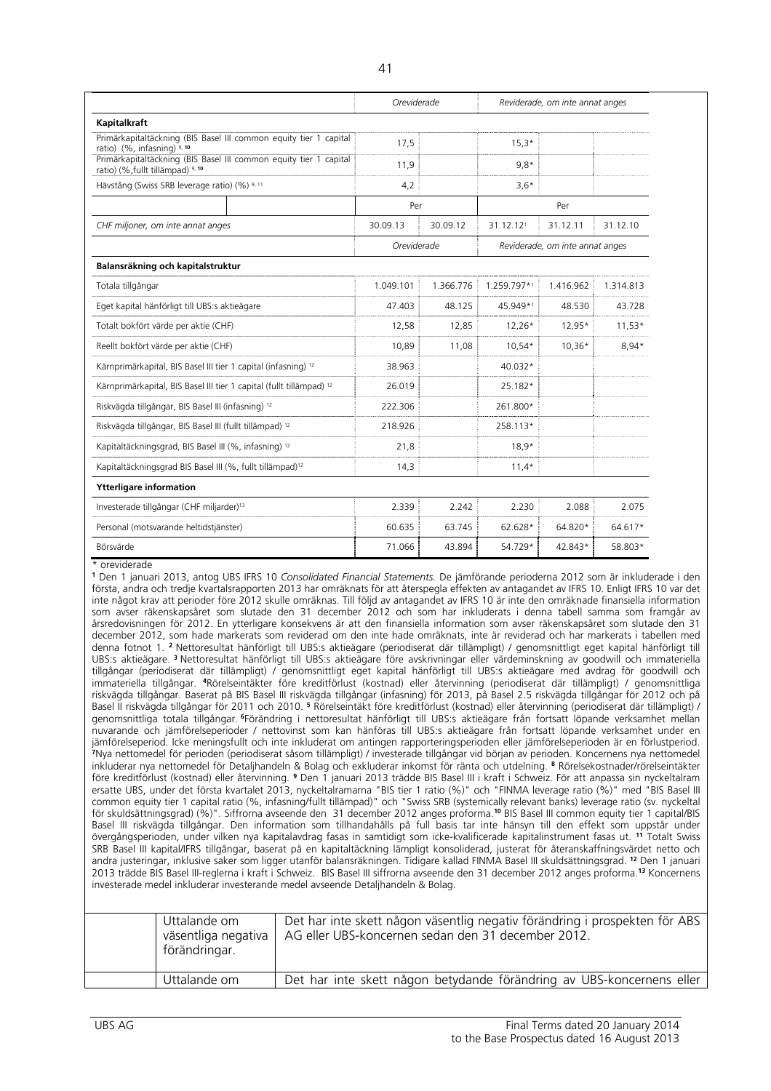|                                                                                                                                                                                                                                                                                                                                                                                                                                                                                                                                                                                                                                                                                                                                                                                                                                                                                                                                                                                                                                                                                                                                                                                                                                                                                                                                                                                                                                                                                                                                                                                                                                                                                                                                                                                                                                                                                                                                                                                                                                                                                                                                                                                                                                                                                                                                                                                                                                                                                                                                                                                                                                                                                                                                                                                                                                                                                                                                                                                                                                                                                                                                                                                                                                                                                                                                                                                                                                                                                                                                                                                                                                                                                                                                                                                                                                                                                                                                                           | Oreviderade |           |             | Reviderade, om inte annat anges |           |  |
|-----------------------------------------------------------------------------------------------------------------------------------------------------------------------------------------------------------------------------------------------------------------------------------------------------------------------------------------------------------------------------------------------------------------------------------------------------------------------------------------------------------------------------------------------------------------------------------------------------------------------------------------------------------------------------------------------------------------------------------------------------------------------------------------------------------------------------------------------------------------------------------------------------------------------------------------------------------------------------------------------------------------------------------------------------------------------------------------------------------------------------------------------------------------------------------------------------------------------------------------------------------------------------------------------------------------------------------------------------------------------------------------------------------------------------------------------------------------------------------------------------------------------------------------------------------------------------------------------------------------------------------------------------------------------------------------------------------------------------------------------------------------------------------------------------------------------------------------------------------------------------------------------------------------------------------------------------------------------------------------------------------------------------------------------------------------------------------------------------------------------------------------------------------------------------------------------------------------------------------------------------------------------------------------------------------------------------------------------------------------------------------------------------------------------------------------------------------------------------------------------------------------------------------------------------------------------------------------------------------------------------------------------------------------------------------------------------------------------------------------------------------------------------------------------------------------------------------------------------------------------------------------------------------------------------------------------------------------------------------------------------------------------------------------------------------------------------------------------------------------------------------------------------------------------------------------------------------------------------------------------------------------------------------------------------------------------------------------------------------------------------------------------------------------------------------------------------------------------------------------------------------------------------------------------------------------------------------------------------------------------------------------------------------------------------------------------------------------------------------------------------------------------------------------------------------------------------------------------------------------------------------------------------------------------------------------------------------|-------------|-----------|-------------|---------------------------------|-----------|--|
| Kapitalkraft                                                                                                                                                                                                                                                                                                                                                                                                                                                                                                                                                                                                                                                                                                                                                                                                                                                                                                                                                                                                                                                                                                                                                                                                                                                                                                                                                                                                                                                                                                                                                                                                                                                                                                                                                                                                                                                                                                                                                                                                                                                                                                                                                                                                                                                                                                                                                                                                                                                                                                                                                                                                                                                                                                                                                                                                                                                                                                                                                                                                                                                                                                                                                                                                                                                                                                                                                                                                                                                                                                                                                                                                                                                                                                                                                                                                                                                                                                                                              |             |           |             |                                 |           |  |
| Primärkapitaltäckning (BIS Basel III common equity tier 1 capital<br>ratio) (%, infasning) 9, 10                                                                                                                                                                                                                                                                                                                                                                                                                                                                                                                                                                                                                                                                                                                                                                                                                                                                                                                                                                                                                                                                                                                                                                                                                                                                                                                                                                                                                                                                                                                                                                                                                                                                                                                                                                                                                                                                                                                                                                                                                                                                                                                                                                                                                                                                                                                                                                                                                                                                                                                                                                                                                                                                                                                                                                                                                                                                                                                                                                                                                                                                                                                                                                                                                                                                                                                                                                                                                                                                                                                                                                                                                                                                                                                                                                                                                                                          | 17,5        |           | $15,3*$     |                                 |           |  |
| Primärkapitaltäckning (BIS Basel III common equity tier 1 capital<br>ratio) (%, fullt tillämpad) 9, 10                                                                                                                                                                                                                                                                                                                                                                                                                                                                                                                                                                                                                                                                                                                                                                                                                                                                                                                                                                                                                                                                                                                                                                                                                                                                                                                                                                                                                                                                                                                                                                                                                                                                                                                                                                                                                                                                                                                                                                                                                                                                                                                                                                                                                                                                                                                                                                                                                                                                                                                                                                                                                                                                                                                                                                                                                                                                                                                                                                                                                                                                                                                                                                                                                                                                                                                                                                                                                                                                                                                                                                                                                                                                                                                                                                                                                                                    | 11,9        |           | $9,8*$      |                                 |           |  |
| Hävstång (Swiss SRB leverage ratio) (%) 9, 11                                                                                                                                                                                                                                                                                                                                                                                                                                                                                                                                                                                                                                                                                                                                                                                                                                                                                                                                                                                                                                                                                                                                                                                                                                                                                                                                                                                                                                                                                                                                                                                                                                                                                                                                                                                                                                                                                                                                                                                                                                                                                                                                                                                                                                                                                                                                                                                                                                                                                                                                                                                                                                                                                                                                                                                                                                                                                                                                                                                                                                                                                                                                                                                                                                                                                                                                                                                                                                                                                                                                                                                                                                                                                                                                                                                                                                                                                                             | 4,2         |           | $3,6*$      |                                 |           |  |
|                                                                                                                                                                                                                                                                                                                                                                                                                                                                                                                                                                                                                                                                                                                                                                                                                                                                                                                                                                                                                                                                                                                                                                                                                                                                                                                                                                                                                                                                                                                                                                                                                                                                                                                                                                                                                                                                                                                                                                                                                                                                                                                                                                                                                                                                                                                                                                                                                                                                                                                                                                                                                                                                                                                                                                                                                                                                                                                                                                                                                                                                                                                                                                                                                                                                                                                                                                                                                                                                                                                                                                                                                                                                                                                                                                                                                                                                                                                                                           | Per         |           |             | Per                             |           |  |
| CHF miljoner, om inte annat anges                                                                                                                                                                                                                                                                                                                                                                                                                                                                                                                                                                                                                                                                                                                                                                                                                                                                                                                                                                                                                                                                                                                                                                                                                                                                                                                                                                                                                                                                                                                                                                                                                                                                                                                                                                                                                                                                                                                                                                                                                                                                                                                                                                                                                                                                                                                                                                                                                                                                                                                                                                                                                                                                                                                                                                                                                                                                                                                                                                                                                                                                                                                                                                                                                                                                                                                                                                                                                                                                                                                                                                                                                                                                                                                                                                                                                                                                                                                         | 30.09.13    | 30.09.12  | 31.12.121   | 31.12.11                        | 31.12.10  |  |
|                                                                                                                                                                                                                                                                                                                                                                                                                                                                                                                                                                                                                                                                                                                                                                                                                                                                                                                                                                                                                                                                                                                                                                                                                                                                                                                                                                                                                                                                                                                                                                                                                                                                                                                                                                                                                                                                                                                                                                                                                                                                                                                                                                                                                                                                                                                                                                                                                                                                                                                                                                                                                                                                                                                                                                                                                                                                                                                                                                                                                                                                                                                                                                                                                                                                                                                                                                                                                                                                                                                                                                                                                                                                                                                                                                                                                                                                                                                                                           | Oreviderade |           |             | Reviderade, om inte annat anges |           |  |
| Balansräkning och kapitalstruktur                                                                                                                                                                                                                                                                                                                                                                                                                                                                                                                                                                                                                                                                                                                                                                                                                                                                                                                                                                                                                                                                                                                                                                                                                                                                                                                                                                                                                                                                                                                                                                                                                                                                                                                                                                                                                                                                                                                                                                                                                                                                                                                                                                                                                                                                                                                                                                                                                                                                                                                                                                                                                                                                                                                                                                                                                                                                                                                                                                                                                                                                                                                                                                                                                                                                                                                                                                                                                                                                                                                                                                                                                                                                                                                                                                                                                                                                                                                         |             |           |             |                                 |           |  |
| Totala tillgångar                                                                                                                                                                                                                                                                                                                                                                                                                                                                                                                                                                                                                                                                                                                                                                                                                                                                                                                                                                                                                                                                                                                                                                                                                                                                                                                                                                                                                                                                                                                                                                                                                                                                                                                                                                                                                                                                                                                                                                                                                                                                                                                                                                                                                                                                                                                                                                                                                                                                                                                                                                                                                                                                                                                                                                                                                                                                                                                                                                                                                                                                                                                                                                                                                                                                                                                                                                                                                                                                                                                                                                                                                                                                                                                                                                                                                                                                                                                                         | 1.049.101   | 1.366.776 | 1.259.797*1 | 1.416.962                       | 1.314.813 |  |
| Eget kapital hänförligt till UBS:s aktieägare                                                                                                                                                                                                                                                                                                                                                                                                                                                                                                                                                                                                                                                                                                                                                                                                                                                                                                                                                                                                                                                                                                                                                                                                                                                                                                                                                                                                                                                                                                                                                                                                                                                                                                                                                                                                                                                                                                                                                                                                                                                                                                                                                                                                                                                                                                                                                                                                                                                                                                                                                                                                                                                                                                                                                                                                                                                                                                                                                                                                                                                                                                                                                                                                                                                                                                                                                                                                                                                                                                                                                                                                                                                                                                                                                                                                                                                                                                             | 47.403      | 48.125    | 45.949*1    | 48.530                          | 43.728    |  |
| Totalt bokfört värde per aktie (CHF)                                                                                                                                                                                                                                                                                                                                                                                                                                                                                                                                                                                                                                                                                                                                                                                                                                                                                                                                                                                                                                                                                                                                                                                                                                                                                                                                                                                                                                                                                                                                                                                                                                                                                                                                                                                                                                                                                                                                                                                                                                                                                                                                                                                                                                                                                                                                                                                                                                                                                                                                                                                                                                                                                                                                                                                                                                                                                                                                                                                                                                                                                                                                                                                                                                                                                                                                                                                                                                                                                                                                                                                                                                                                                                                                                                                                                                                                                                                      | 12,58       | 12,85     | $12,26*$    | 12,95*                          | $11,53*$  |  |
| Reellt bokfört värde per aktie (CHF)                                                                                                                                                                                                                                                                                                                                                                                                                                                                                                                                                                                                                                                                                                                                                                                                                                                                                                                                                                                                                                                                                                                                                                                                                                                                                                                                                                                                                                                                                                                                                                                                                                                                                                                                                                                                                                                                                                                                                                                                                                                                                                                                                                                                                                                                                                                                                                                                                                                                                                                                                                                                                                                                                                                                                                                                                                                                                                                                                                                                                                                                                                                                                                                                                                                                                                                                                                                                                                                                                                                                                                                                                                                                                                                                                                                                                                                                                                                      | 10,89       | 11,08     | $10,54*$    | $10,36*$                        | $8,94*$   |  |
| Kärnprimärkapital, BIS Basel III tier 1 capital (infasning) <sup>12</sup>                                                                                                                                                                                                                                                                                                                                                                                                                                                                                                                                                                                                                                                                                                                                                                                                                                                                                                                                                                                                                                                                                                                                                                                                                                                                                                                                                                                                                                                                                                                                                                                                                                                                                                                                                                                                                                                                                                                                                                                                                                                                                                                                                                                                                                                                                                                                                                                                                                                                                                                                                                                                                                                                                                                                                                                                                                                                                                                                                                                                                                                                                                                                                                                                                                                                                                                                                                                                                                                                                                                                                                                                                                                                                                                                                                                                                                                                                 | 38.963      |           | 40.032*     |                                 |           |  |
| Kärnprimärkapital, BIS Basel III tier 1 capital (fullt tillämpad) <sup>12</sup>                                                                                                                                                                                                                                                                                                                                                                                                                                                                                                                                                                                                                                                                                                                                                                                                                                                                                                                                                                                                                                                                                                                                                                                                                                                                                                                                                                                                                                                                                                                                                                                                                                                                                                                                                                                                                                                                                                                                                                                                                                                                                                                                                                                                                                                                                                                                                                                                                                                                                                                                                                                                                                                                                                                                                                                                                                                                                                                                                                                                                                                                                                                                                                                                                                                                                                                                                                                                                                                                                                                                                                                                                                                                                                                                                                                                                                                                           | 26.019      |           | 25.182*     |                                 |           |  |
| Riskvägda tillgångar, BIS Basel III (infasning) 12                                                                                                                                                                                                                                                                                                                                                                                                                                                                                                                                                                                                                                                                                                                                                                                                                                                                                                                                                                                                                                                                                                                                                                                                                                                                                                                                                                                                                                                                                                                                                                                                                                                                                                                                                                                                                                                                                                                                                                                                                                                                                                                                                                                                                                                                                                                                                                                                                                                                                                                                                                                                                                                                                                                                                                                                                                                                                                                                                                                                                                                                                                                                                                                                                                                                                                                                                                                                                                                                                                                                                                                                                                                                                                                                                                                                                                                                                                        | 222.306     |           | 261.800*    |                                 |           |  |
| Riskvägda tillgångar, BIS Basel III (fullt tillämpad) <sup>12</sup>                                                                                                                                                                                                                                                                                                                                                                                                                                                                                                                                                                                                                                                                                                                                                                                                                                                                                                                                                                                                                                                                                                                                                                                                                                                                                                                                                                                                                                                                                                                                                                                                                                                                                                                                                                                                                                                                                                                                                                                                                                                                                                                                                                                                                                                                                                                                                                                                                                                                                                                                                                                                                                                                                                                                                                                                                                                                                                                                                                                                                                                                                                                                                                                                                                                                                                                                                                                                                                                                                                                                                                                                                                                                                                                                                                                                                                                                                       | 218.926     |           | 258.113*    |                                 |           |  |
| Kapitaltäckningsgrad, BIS Basel III (%, infasning) <sup>12</sup>                                                                                                                                                                                                                                                                                                                                                                                                                                                                                                                                                                                                                                                                                                                                                                                                                                                                                                                                                                                                                                                                                                                                                                                                                                                                                                                                                                                                                                                                                                                                                                                                                                                                                                                                                                                                                                                                                                                                                                                                                                                                                                                                                                                                                                                                                                                                                                                                                                                                                                                                                                                                                                                                                                                                                                                                                                                                                                                                                                                                                                                                                                                                                                                                                                                                                                                                                                                                                                                                                                                                                                                                                                                                                                                                                                                                                                                                                          | 21,8        |           | $18,9*$     |                                 |           |  |
| Kapitaltäckningsgrad BIS Basel III (%, fullt tillämpad) <sup>12</sup>                                                                                                                                                                                                                                                                                                                                                                                                                                                                                                                                                                                                                                                                                                                                                                                                                                                                                                                                                                                                                                                                                                                                                                                                                                                                                                                                                                                                                                                                                                                                                                                                                                                                                                                                                                                                                                                                                                                                                                                                                                                                                                                                                                                                                                                                                                                                                                                                                                                                                                                                                                                                                                                                                                                                                                                                                                                                                                                                                                                                                                                                                                                                                                                                                                                                                                                                                                                                                                                                                                                                                                                                                                                                                                                                                                                                                                                                                     | 14,3        |           | $11,4*$     |                                 |           |  |
| <b>Ytterligare information</b>                                                                                                                                                                                                                                                                                                                                                                                                                                                                                                                                                                                                                                                                                                                                                                                                                                                                                                                                                                                                                                                                                                                                                                                                                                                                                                                                                                                                                                                                                                                                                                                                                                                                                                                                                                                                                                                                                                                                                                                                                                                                                                                                                                                                                                                                                                                                                                                                                                                                                                                                                                                                                                                                                                                                                                                                                                                                                                                                                                                                                                                                                                                                                                                                                                                                                                                                                                                                                                                                                                                                                                                                                                                                                                                                                                                                                                                                                                                            |             |           |             |                                 |           |  |
| Investerade tillgångar (CHF miljarder) <sup>13</sup>                                                                                                                                                                                                                                                                                                                                                                                                                                                                                                                                                                                                                                                                                                                                                                                                                                                                                                                                                                                                                                                                                                                                                                                                                                                                                                                                                                                                                                                                                                                                                                                                                                                                                                                                                                                                                                                                                                                                                                                                                                                                                                                                                                                                                                                                                                                                                                                                                                                                                                                                                                                                                                                                                                                                                                                                                                                                                                                                                                                                                                                                                                                                                                                                                                                                                                                                                                                                                                                                                                                                                                                                                                                                                                                                                                                                                                                                                                      | 2.339       | 2.242     | 2.230       | 2.088                           | 2.075     |  |
| Personal (motsvarande heltidstjänster)                                                                                                                                                                                                                                                                                                                                                                                                                                                                                                                                                                                                                                                                                                                                                                                                                                                                                                                                                                                                                                                                                                                                                                                                                                                                                                                                                                                                                                                                                                                                                                                                                                                                                                                                                                                                                                                                                                                                                                                                                                                                                                                                                                                                                                                                                                                                                                                                                                                                                                                                                                                                                                                                                                                                                                                                                                                                                                                                                                                                                                                                                                                                                                                                                                                                                                                                                                                                                                                                                                                                                                                                                                                                                                                                                                                                                                                                                                                    | 60.635      | 63.745    | 62.628*     | 64.820*                         | 64.617*   |  |
| Börsvärde                                                                                                                                                                                                                                                                                                                                                                                                                                                                                                                                                                                                                                                                                                                                                                                                                                                                                                                                                                                                                                                                                                                                                                                                                                                                                                                                                                                                                                                                                                                                                                                                                                                                                                                                                                                                                                                                                                                                                                                                                                                                                                                                                                                                                                                                                                                                                                                                                                                                                                                                                                                                                                                                                                                                                                                                                                                                                                                                                                                                                                                                                                                                                                                                                                                                                                                                                                                                                                                                                                                                                                                                                                                                                                                                                                                                                                                                                                                                                 | 71.066      | 43.894    | 54.729*     | 42.843*                         | 58.803*   |  |
| * oreviderade<br><sup>1</sup> Den 1 januari 2013, antog UBS IFRS 10 Consolidated Financial Statements. De jämförande perioderna 2012 som är inkluderade i den<br>första, andra och tredje kvartalsrapporten 2013 har omräknats för att återspegla effekten av antagandet av IFRS 10. Enligt IFRS 10 var det<br>inte något krav att perioder före 2012 skulle omräknas. Till följd av antagandet av IFRS 10 är inte den omräknade finansiella information<br>som avser räkenskapsåret som slutade den 31 december 2012 och som har inkluderats i denna tabell samma som framgår av<br>årsredovisningen för 2012. En ytterligare konsekvens är att den finansiella information som avser räkenskapsåret som slutade den 31<br>december 2012, som hade markerats som reviderad om den inte hade omräknats, inte är reviderad och har markerats i tabellen med<br>denna fotnot 1. <sup>2</sup> Nettoresultat hänförligt till UBS:s aktieägare (periodiserat där tillämpligt) / genomsnittligt eget kapital hänförligt till<br>UBS:s aktieägare. <sup>3</sup> Nettoresultat hänförligt till UBS:s aktieägare före avskrivningar eller värdeminskning av goodwill och immateriella<br>tillgångar (periodiserat där tillämpligt) / genomsnittligt eget kapital hänförligt till UBS:s aktieägare med avdrag för goodwill och<br>immateriella tillgångar. <sup>4</sup> Rörelseintäkter före kreditförlust (kostnad) eller återvinning (periodiserat där tillämpligt) / genomsnittliga<br>riskvägda tillgångar. Baserat på BIS Basel III riskvägda tillgångar (infasning) för 2013, på Basel 2.5 riskvägda tillgångar för 2012 och på<br>Basel II riskvägda tillgångar för 2011 och 2010. <sup>5</sup> Rörelseintäkt före kreditförlust (kostnad) eller återvinning (periodiserat där tillämpligt) /<br>genomsnittliga totala tillgångar. <sup>6</sup> Förändring i nettoresultat hänförligt till UBS:s aktieägare från fortsatt löpande verksamhet mellan<br>nuvarande och jämförelseperioder / nettovinst som kan hänföras till UBS:s aktieägare från fortsatt löpande verksamhet under en<br>jämförelseperiod. Icke meningsfullt och inte inkluderat om antingen rapporteringsperioden eller jämförelseperioden är en förlustperiod.<br>7Nya nettomedel för perioden (periodiserat såsom tillämpligt) / investerade tillgångar vid början av perioden. Koncernens nya nettomedel<br>inkluderar nya nettomedel för Detaljhandeln & Bolag och exkluderar inkomst för ränta och utdelning. 8 Rörelsekostnader/rörelseintäkter<br>före kreditförlust (kostnad) eller återvinning. 9 Den 1 januari 2013 trädde BIS Basel III i kraft i Schweiz. För att anpassa sin nyckeltalram<br>ersatte UBS, under det första kvartalet 2013, nyckeltalramarna "BIS tier 1 ratio (%)" och "FINMA leverage ratio (%)" med "BIS Basel III<br>common equity tier 1 capital ratio (%, infasning/fullt tillämpad)" och "Swiss SRB (systemically relevant banks) leverage ratio (sv. nyckeltal<br>för skuldsättningsgrad) (%)". Siffrorna avseende den 31 december 2012 anges proforma. <sup>10</sup> BIS Basel III common equity tier 1 capital/BIS<br>Basel III riskvägda tillgångar. Den information som tillhandahålls på full basis tar inte hänsyn till den effekt som uppstår under<br>övergångsperioden, under vilken nya kapitalavdrag fasas in samtidigt som icke-kvalificerade kapitalinstrument fasas ut. <sup>11</sup> Totalt Swiss<br>SRB Basel III kapital/IFRS tillgångar, baserat på en kapitaltäckning lämpligt konsoliderad, justerat för återanskaffningsvärdet netto och<br>andra justeringar, inklusive saker som ligger utanför balansräkningen. Tidigare kallad FINMA Basel III skuldsättningsgrad. 12 Den 1 januari<br>2013 trädde BIS Basel III-reglerna i kraft i Schweiz. BIS Basel III siffrorna avseende den 31 december 2012 anges proforma. <sup>13</sup> Koncernens<br>investerade medel inkluderar investerande medel avseende Detaljhandeln & Bolag. |             |           |             |                                 |           |  |

| Uttalande om<br>väsentliga negativa<br>förändringar. | Det har inte skett någon väsentlig negativ förändring i prospekten för ABS<br>AG eller UBS-koncernen sedan den 31 december 2012. |
|------------------------------------------------------|----------------------------------------------------------------------------------------------------------------------------------|
| Uttalande om                                         | Det har inte skett någon betydande förändring av UBS-koncernens eller                                                            |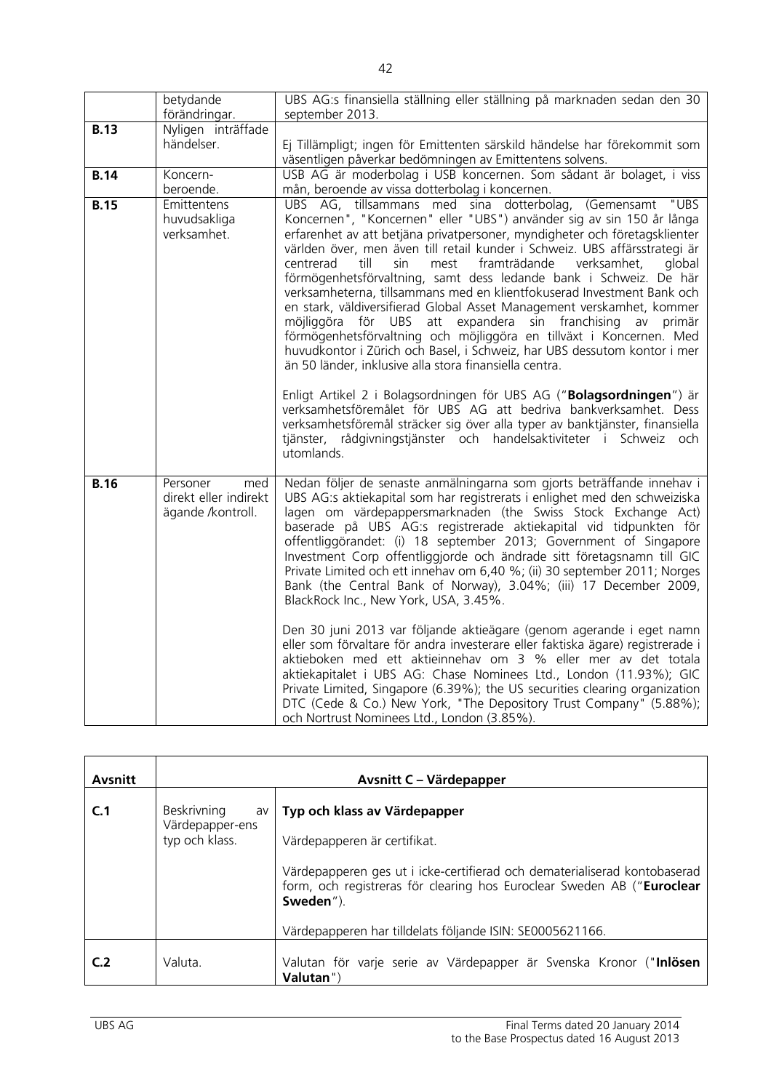|             | betydande                                                     | UBS AG:s finansiella ställning eller ställning på marknaden sedan den 30                                                                                                                                                                                                                                                                                                                                                                                                                                                                                                                                                                                                                                                                                                                                                                                                             |
|-------------|---------------------------------------------------------------|--------------------------------------------------------------------------------------------------------------------------------------------------------------------------------------------------------------------------------------------------------------------------------------------------------------------------------------------------------------------------------------------------------------------------------------------------------------------------------------------------------------------------------------------------------------------------------------------------------------------------------------------------------------------------------------------------------------------------------------------------------------------------------------------------------------------------------------------------------------------------------------|
|             | förändringar.                                                 | september 2013.                                                                                                                                                                                                                                                                                                                                                                                                                                                                                                                                                                                                                                                                                                                                                                                                                                                                      |
| <b>B.13</b> | Nyligen inträffade<br>händelser.                              | Ej Tillämpligt; ingen för Emittenten särskild händelse har förekommit som<br>väsentligen påverkar bedömningen av Emittentens solvens.                                                                                                                                                                                                                                                                                                                                                                                                                                                                                                                                                                                                                                                                                                                                                |
| <b>B.14</b> | Koncern-<br>beroende.                                         | USB AG är moderbolag i USB koncernen. Som sådant är bolaget, i viss<br>mån, beroende av vissa dotterbolag i koncernen.                                                                                                                                                                                                                                                                                                                                                                                                                                                                                                                                                                                                                                                                                                                                                               |
| <b>B.15</b> | Emittentens<br>huvudsakliga<br>verksamhet.                    | "UBS<br>UBS AG, tillsammans med sina dotterbolag, (Gemensamt<br>Koncernen", "Koncernen" eller "UBS") använder sig av sin 150 år långa<br>erfarenhet av att betjäna privatpersoner, myndigheter och företagsklienter<br>världen över, men även till retail kunder i Schweiz. UBS affärsstrategi är<br>centrerad<br>till<br>framträdande<br>verksamhet,<br>sin<br>mest<br>dlobal<br>förmögenhetsförvaltning, samt dess ledande bank i Schweiz. De här<br>verksamheterna, tillsammans med en klientfokuserad Investment Bank och<br>en stark, väldiversifierad Global Asset Management verskamhet, kommer<br>möjliggöra för UBS att expandera sin franchising av<br>primär<br>förmögenhetsförvaltning och möjliggöra en tillväxt i Koncernen. Med<br>huvudkontor i Zürich och Basel, i Schweiz, har UBS dessutom kontor i mer<br>än 50 länder, inklusive alla stora finansiella centra. |
|             |                                                               | Enligt Artikel 2 i Bolagsordningen för UBS AG ("Bolagsordningen") är<br>verksamhetsföremålet för UBS AG att bedriva bankverksamhet. Dess<br>verksamhetsföremål sträcker sig över alla typer av banktjänster, finansiella<br>tjänster, rådgivningstjänster och handelsaktiviteter i Schweiz och<br>utomlands.                                                                                                                                                                                                                                                                                                                                                                                                                                                                                                                                                                         |
| <b>B.16</b> | Personer<br>med<br>direkt eller indirekt<br>ägande /kontroll. | Nedan följer de senaste anmälningarna som gjorts beträffande innehav i<br>UBS AG:s aktiekapital som har registrerats i enlighet med den schweiziska<br>lagen om värdepappersmarknaden (the Swiss Stock Exchange Act)<br>baserade på UBS AG:s registrerade aktiekapital vid tidpunkten för<br>offentliggörandet: (i) 18 september 2013; Government of Singapore<br>Investment Corp offentliggjorde och ändrade sitt företagsnamn till GIC<br>Private Limited och ett innehav om 6,40 %; (ii) 30 september 2011; Norges<br>Bank (the Central Bank of Norway), 3.04%; (iii) 17 December 2009,<br>BlackRock Inc., New York, USA, 3.45%.                                                                                                                                                                                                                                                  |
|             |                                                               | Den 30 juni 2013 var följande aktieägare (genom agerande i eget namn<br>eller som förvaltare för andra investerare eller faktiska ägare) registrerade i<br>aktieboken med ett aktieinnehav om 3 % eller mer av det totala<br>aktiekapitalet i UBS AG: Chase Nominees Ltd., London (11.93%); GIC<br>Private Limited, Singapore (6.39%); the US securities clearing organization<br>DTC (Cede & Co.) New York, "The Depository Trust Company" (5.88%);<br>och Nortrust Nominees Ltd., London (3.85%).                                                                                                                                                                                                                                                                                                                                                                                  |

| <b>Avsnitt</b> |                                                        | Avsnitt C - Värdepapper                                                                                                                                                                                                                                                                       |
|----------------|--------------------------------------------------------|-----------------------------------------------------------------------------------------------------------------------------------------------------------------------------------------------------------------------------------------------------------------------------------------------|
| C.1            | Beskrivning<br>av<br>Värdepapper-ens<br>typ och klass. | Typ och klass av Värdepapper<br>Värdepapperen är certifikat.<br>Värdepapperen ges ut i icke-certifierad och dematerialiserad kontobaserad<br>form, och registreras för clearing hos Euroclear Sweden AB ("Euroclear<br>Sweden").<br>Värdepapperen har tilldelats följande ISIN: SE0005621166. |
| C <sub>2</sub> | Valuta.                                                | Valutan för varje serie av Värdepapper är Svenska Kronor ("Inlösen<br>Valutan")                                                                                                                                                                                                               |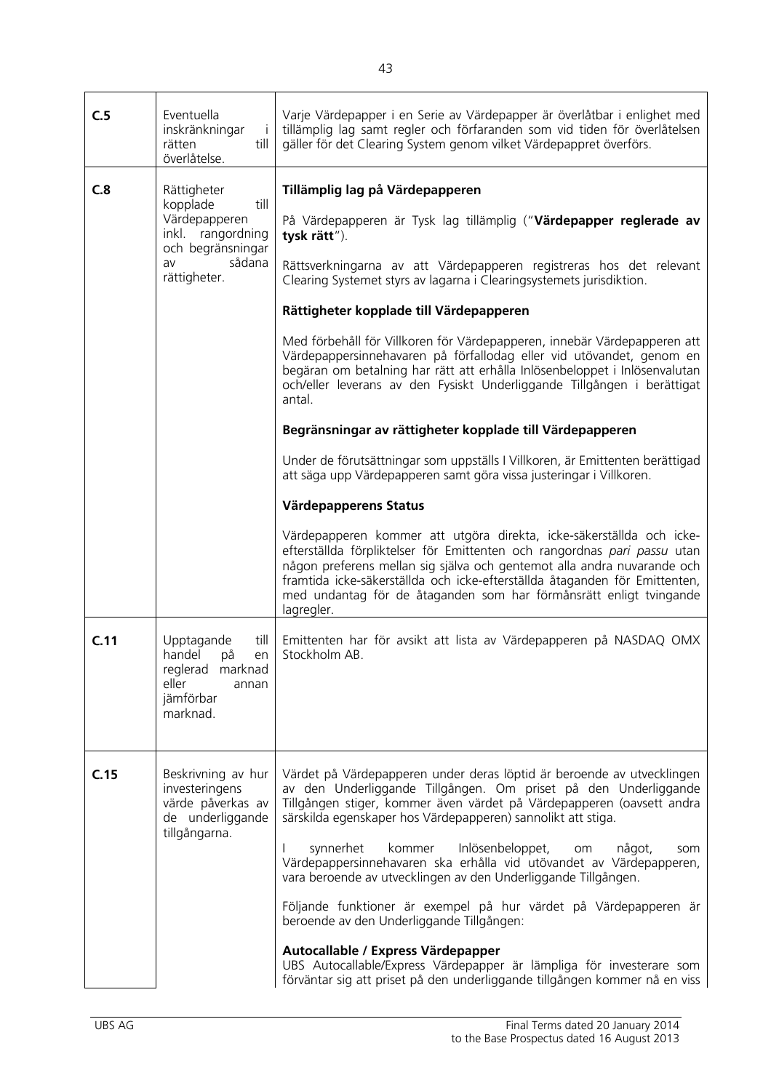| C.5  | Eventuella<br>inskränkningar<br>İΙ<br>rätten<br>till I<br>överlåtelse.                                                     | Varje Värdepapper i en Serie av Värdepapper är överlåtbar i enlighet med<br>tillämplig lag samt regler och förfaranden som vid tiden för överlåtelsen<br>gäller för det Clearing System genom vilket Värdepappret överförs.                                                                                                                                                                                                                                                                                                                                                                                                                                                                                                                                                                                                                                                                                                                                                                                                                                                                                                                                                                                                                                                         |
|------|----------------------------------------------------------------------------------------------------------------------------|-------------------------------------------------------------------------------------------------------------------------------------------------------------------------------------------------------------------------------------------------------------------------------------------------------------------------------------------------------------------------------------------------------------------------------------------------------------------------------------------------------------------------------------------------------------------------------------------------------------------------------------------------------------------------------------------------------------------------------------------------------------------------------------------------------------------------------------------------------------------------------------------------------------------------------------------------------------------------------------------------------------------------------------------------------------------------------------------------------------------------------------------------------------------------------------------------------------------------------------------------------------------------------------|
| C.8  | Rättigheter<br>kopplade<br>till<br>Värdepapperen<br>inkl. rangordning<br>och begränsningar<br>sådana<br>av<br>rättigheter. | Tillämplig lag på Värdepapperen<br>På Värdepapperen är Tysk lag tillämplig ("Värdepapper reglerade av<br>tysk rätt").<br>Rättsverkningarna av att Värdepapperen registreras hos det relevant<br>Clearing Systemet styrs av lagarna i Clearingsystemets jurisdiktion.<br>Rättigheter kopplade till Värdepapperen<br>Med förbehåll för Villkoren för Värdepapperen, innebär Värdepapperen att<br>Värdepappersinnehavaren på förfallodag eller vid utövandet, genom en<br>begäran om betalning har rätt att erhålla Inlösenbeloppet i Inlösenvalutan<br>och/eller leverans av den Fysiskt Underliggande Tillgången i berättigat<br>antal.<br>Begränsningar av rättigheter kopplade till Värdepapperen<br>Under de förutsättningar som uppställs I Villkoren, är Emittenten berättigad<br>att säga upp Värdepapperen samt göra vissa justeringar i Villkoren.<br>Värdepapperens Status<br>Värdepapperen kommer att utgöra direkta, icke-säkerställda och icke-<br>efterställda förpliktelser för Emittenten och rangordnas pari passu utan<br>någon preferens mellan sig själva och gentemot alla andra nuvarande och<br>framtida icke-säkerställda och icke-efterställda åtaganden för Emittenten,<br>med undantag för de åtaganden som har förmånsrätt enligt tvingande<br>lagregler. |
| C.11 | Upptagande<br>till 1<br>handel<br>på<br>en<br>reglerad marknad<br>eller<br>annan<br>jämförbar<br>marknad.                  | Emittenten har för avsikt att lista av Värdepapperen på NASDAQ OMX<br>Stockholm AB.                                                                                                                                                                                                                                                                                                                                                                                                                                                                                                                                                                                                                                                                                                                                                                                                                                                                                                                                                                                                                                                                                                                                                                                                 |
| C.15 | Beskrivning av hur<br>investeringens<br>värde påverkas av<br>de underliggande<br>tillgångarna.                             | Värdet på Värdepapperen under deras löptid är beroende av utvecklingen<br>av den Underliggande Tillgången. Om priset på den Underliggande<br>Tillgången stiger, kommer även värdet på Värdepapperen (oavsett andra<br>särskilda egenskaper hos Värdepapperen) sannolikt att stiga.<br>synnerhet<br>Inlösenbeloppet,<br>kommer<br>något,<br>om<br>som<br>Värdepappersinnehavaren ska erhålla vid utövandet av Värdepapperen,<br>vara beroende av utvecklingen av den Underliggande Tillgången.<br>Följande funktioner är exempel på hur värdet på Värdepapperen är<br>beroende av den Underliggande Tillgången:<br>Autocallable / Express Värdepapper<br>UBS Autocallable/Express Värdepapper är lämpliga för investerare som<br>förväntar sig att priset på den underliggande tillgången kommer nå en viss                                                                                                                                                                                                                                                                                                                                                                                                                                                                          |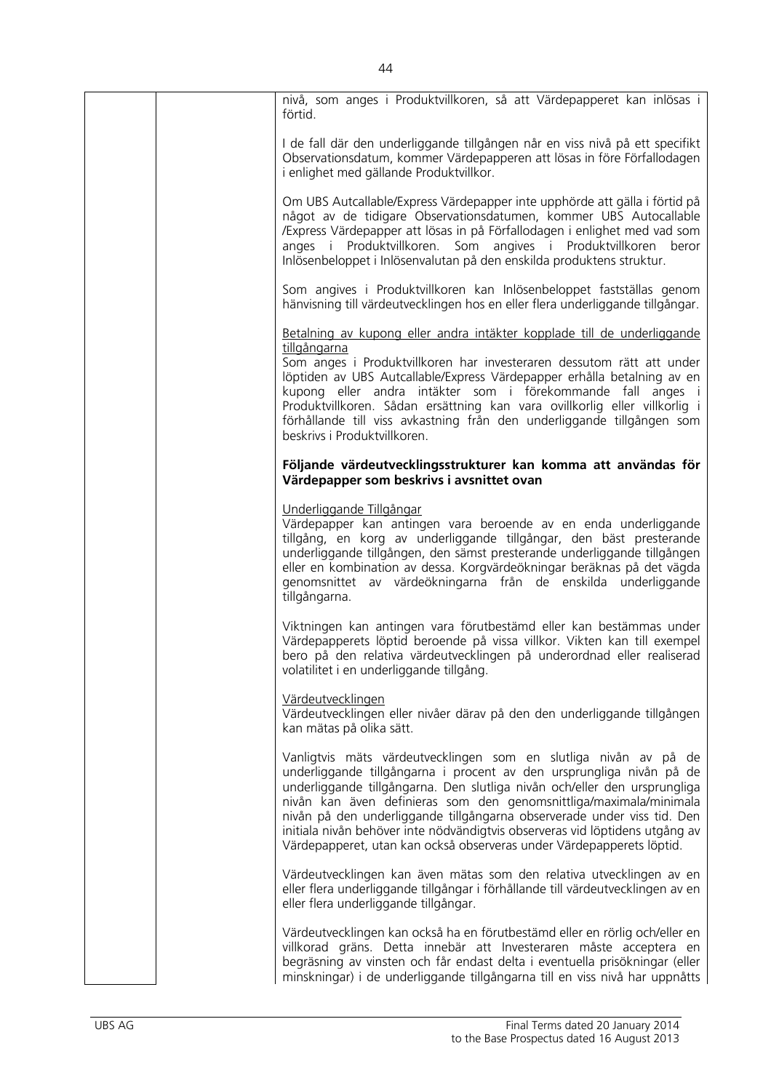|  | nivå, som anges i Produktvillkoren, så att Värdepapperet kan inlösas i<br>förtid.                                                                                                                                                                                                                                                                                                                                                                                                                                               |
|--|---------------------------------------------------------------------------------------------------------------------------------------------------------------------------------------------------------------------------------------------------------------------------------------------------------------------------------------------------------------------------------------------------------------------------------------------------------------------------------------------------------------------------------|
|  | I de fall där den underliggande tillgången når en viss nivå på ett specifikt<br>Observationsdatum, kommer Värdepapperen att lösas in före Förfallodagen<br>i enlighet med gällande Produktvillkor.                                                                                                                                                                                                                                                                                                                              |
|  | Om UBS Autcallable/Express Värdepapper inte upphörde att gälla i förtid på<br>något av de tidigare Observationsdatumen, kommer UBS Autocallable<br>/Express Värdepapper att lösas in på Förfallodagen i enlighet med vad som<br>anges i Produktvillkoren. Som angives i Produktvillkoren beror<br>Inlösenbeloppet i Inlösenvalutan på den enskilda produktens struktur.                                                                                                                                                         |
|  | Som angives i Produktvillkoren kan Inlösenbeloppet fastställas genom<br>hänvisning till värdeutvecklingen hos en eller flera underliggande tillgångar.                                                                                                                                                                                                                                                                                                                                                                          |
|  | Betalning av kupong eller andra intäkter kopplade till de underliggande<br>tillgångarna                                                                                                                                                                                                                                                                                                                                                                                                                                         |
|  | Som anges i Produktvillkoren har investeraren dessutom rätt att under<br>löptiden av UBS Autcallable/Express Värdepapper erhålla betalning av en<br>kupong eller andra intäkter som i förekommande fall anges i<br>Produktvillkoren. Sådan ersättning kan vara ovillkorlig eller villkorlig i<br>förhållande till viss avkastning från den underliggande tillgången som<br>beskrivs i Produktvillkoren.                                                                                                                         |
|  | Följande värdeutvecklingsstrukturer kan komma att användas för<br>Värdepapper som beskrivs i avsnittet ovan                                                                                                                                                                                                                                                                                                                                                                                                                     |
|  | Underliggande Tillgångar<br>Värdepapper kan antingen vara beroende av en enda underliggande<br>tillgång, en korg av underliggande tillgångar, den bäst presterande<br>underliggande tillgången, den sämst presterande underliggande tillgången<br>eller en kombination av dessa. Korgvärdeökningar beräknas på det vägda<br>genomsnittet av värdeökningarna från de enskilda underliggande<br>tillgångarna.                                                                                                                     |
|  | Viktningen kan antingen vara förutbestämd eller kan bestämmas under<br>Värdepapperets löptid beroende på vissa villkor. Vikten kan till exempel<br>bero på den relativa värdeutvecklingen på underordnad eller realiserad<br>volatilitet i en underliggande tillgång.                                                                                                                                                                                                                                                           |
|  | Värdeutvecklingen<br>Värdeutvecklingen eller nivåer därav på den den underliggande tillgången<br>kan mätas på olika sätt.                                                                                                                                                                                                                                                                                                                                                                                                       |
|  | Vanligtvis mäts värdeutvecklingen som en slutliga nivån av på de<br>underliggande tillgångarna i procent av den ursprungliga nivån på de<br>underliggande tillgångarna. Den slutliga nivån och/eller den ursprungliga<br>nivån kan även definieras som den genomsnittliga/maximala/minimala<br>nivån på den underliggande tillgångarna observerade under viss tid. Den<br>initiala nivån behöver inte nödvändigtvis observeras vid löptidens utgång av<br>Värdepapperet, utan kan också observeras under Värdepapperets löptid. |
|  | Värdeutvecklingen kan även mätas som den relativa utvecklingen av en<br>eller flera underliggande tillgångar i förhållande till värdeutvecklingen av en<br>eller flera underliggande tillgångar.                                                                                                                                                                                                                                                                                                                                |
|  | Värdeutvecklingen kan också ha en förutbestämd eller en rörlig och/eller en<br>villkorad gräns. Detta innebär att Investeraren måste acceptera en<br>begräsning av vinsten och får endast delta i eventuella prisökningar (eller<br>minskningar) i de underliggande tillgångarna till en viss nivå har uppnåtts                                                                                                                                                                                                                 |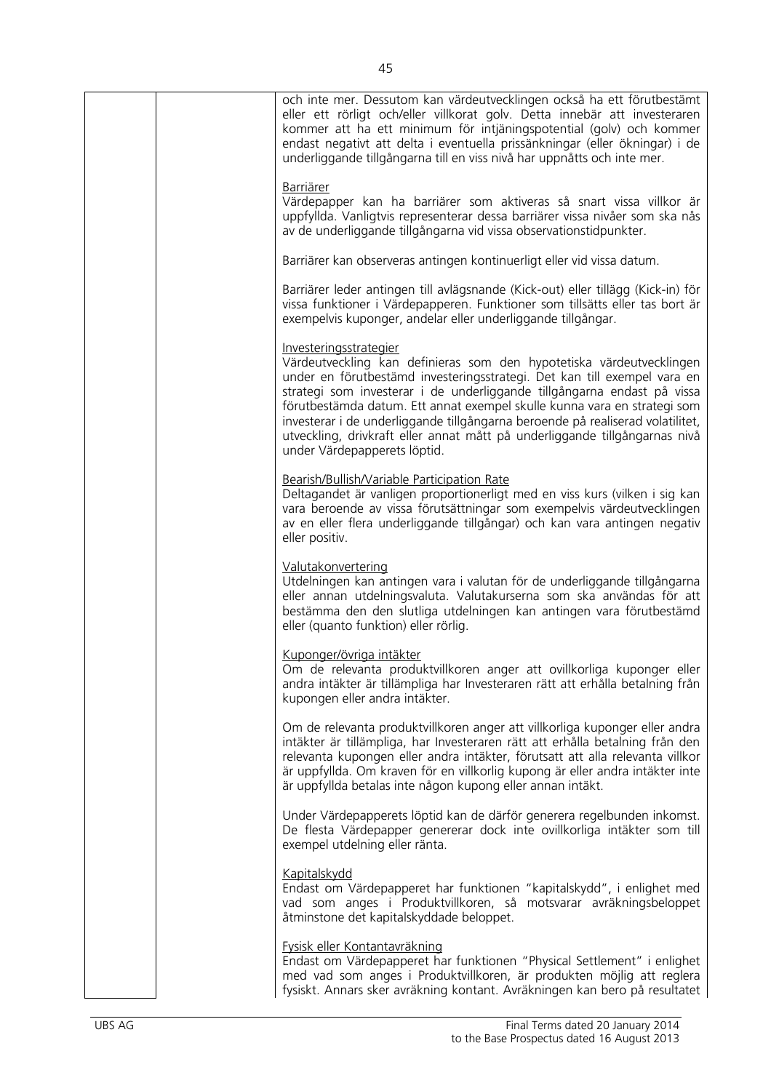| och inte mer. Dessutom kan värdeutvecklingen också ha ett förutbestämt<br>eller ett rörligt och/eller villkorat golv. Detta innebär att investeraren<br>kommer att ha ett minimum för intjäningspotential (golv) och kommer<br>endast negativt att delta i eventuella prissänkningar (eller ökningar) i de<br>underliggande tillgångarna till en viss nivå har uppnåtts och inte mer.                                                                                                                                             |
|-----------------------------------------------------------------------------------------------------------------------------------------------------------------------------------------------------------------------------------------------------------------------------------------------------------------------------------------------------------------------------------------------------------------------------------------------------------------------------------------------------------------------------------|
| <b>Barriärer</b><br>Värdepapper kan ha barriärer som aktiveras så snart vissa villkor är<br>uppfyllda. Vanligtvis representerar dessa barriärer vissa nivåer som ska nås<br>av de underliggande tillgångarna vid vissa observationstidpunkter.                                                                                                                                                                                                                                                                                    |
| Barriärer kan observeras antingen kontinuerligt eller vid vissa datum.                                                                                                                                                                                                                                                                                                                                                                                                                                                            |
| Barriärer leder antingen till avlägsnande (Kick-out) eller tillägg (Kick-in) för<br>vissa funktioner i Värdepapperen. Funktioner som tillsätts eller tas bort är<br>exempelvis kuponger, andelar eller underliggande tillgångar.                                                                                                                                                                                                                                                                                                  |
| Investeringsstrategier<br>Värdeutveckling kan definieras som den hypotetiska värdeutvecklingen<br>under en förutbestämd investeringsstrategi. Det kan till exempel vara en<br>strategi som investerar i de underliggande tillgångarna endast på vissa<br>förutbestämda datum. Ett annat exempel skulle kunna vara en strategi som<br>investerar i de underliggande tillgångarna beroende på realiserad volatilitet,<br>utveckling, drivkraft eller annat mått på underliggande tillgångarnas nivå<br>under Värdepapperets löptid. |
| Bearish/Bullish/Variable Participation Rate<br>Deltagandet är vanligen proportionerligt med en viss kurs (vilken i sig kan<br>vara beroende av vissa förutsättningar som exempelvis värdeutvecklingen<br>av en eller flera underliggande tillgångar) och kan vara antingen negativ<br>eller positiv.                                                                                                                                                                                                                              |
| Valutakonvertering<br>Utdelningen kan antingen vara i valutan för de underliggande tillgångarna<br>eller annan utdelningsvaluta. Valutakurserna som ska användas för att<br>bestämma den den slutliga utdelningen kan antingen vara förutbestämd<br>eller (quanto funktion) eller rörlig.                                                                                                                                                                                                                                         |
| Kuponger/övriga intäkter<br>Om de relevanta produktvillkoren anger att ovillkorliga kuponger eller<br>andra intäkter är tillämpliga har Investeraren rätt att erhålla betalning från<br>kupongen eller andra intäkter.                                                                                                                                                                                                                                                                                                            |
| Om de relevanta produktvillkoren anger att villkorliga kuponger eller andra<br>intäkter är tillämpliga, har Investeraren rätt att erhålla betalning från den<br>relevanta kupongen eller andra intäkter, förutsatt att alla relevanta villkor<br>är uppfyllda. Om kraven för en villkorlig kupong är eller andra intäkter inte<br>är uppfyllda betalas inte någon kupong eller annan intäkt.                                                                                                                                      |
| Under Värdepapperets löptid kan de därför generera regelbunden inkomst.<br>De flesta Värdepapper genererar dock inte ovillkorliga intäkter som till<br>exempel utdelning eller ränta.                                                                                                                                                                                                                                                                                                                                             |
| <b>Kapitalskydd</b><br>Endast om Värdepapperet har funktionen "kapitalskydd", i enlighet med<br>vad som anges i Produktvillkoren, så motsvarar avräkningsbeloppet<br>åtminstone det kapitalskyddade beloppet.                                                                                                                                                                                                                                                                                                                     |
| Fysisk eller Kontantavräkning<br>Endast om Värdepapperet har funktionen "Physical Settlement" i enlighet<br>med vad som anges i Produktvillkoren, är produkten möjlig att reglera<br>fysiskt. Annars sker avräkning kontant. Avräkningen kan bero på resultatet                                                                                                                                                                                                                                                                   |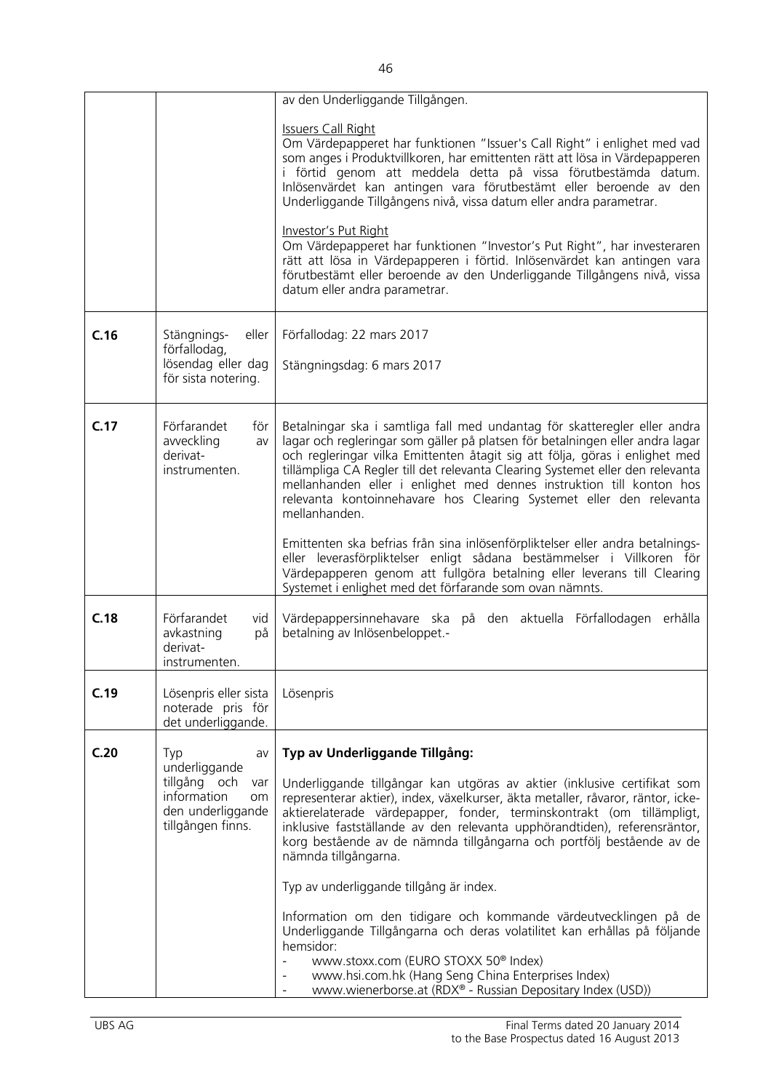|      |                                                                                                     | av den Underliggande Tillgången.                                                                                                                                                                                                                                                                                                                                                                                                                                                            |
|------|-----------------------------------------------------------------------------------------------------|---------------------------------------------------------------------------------------------------------------------------------------------------------------------------------------------------------------------------------------------------------------------------------------------------------------------------------------------------------------------------------------------------------------------------------------------------------------------------------------------|
|      |                                                                                                     |                                                                                                                                                                                                                                                                                                                                                                                                                                                                                             |
|      |                                                                                                     | <b>Issuers Call Right</b><br>Om Värdepapperet har funktionen "Issuer's Call Right" i enlighet med vad<br>som anges i Produktvillkoren, har emittenten rätt att lösa in Värdepapperen<br>i förtid genom att meddela detta på vissa förutbestämda datum.<br>Inlösenvärdet kan antingen vara förutbestämt eller beroende av den<br>Underliggande Tillgångens nivå, vissa datum eller andra parametrar.                                                                                         |
|      |                                                                                                     | Investor's Put Right<br>Om Värdepapperet har funktionen "Investor's Put Right", har investeraren<br>rätt att lösa in Värdepapperen i förtid. Inlösenvärdet kan antingen vara<br>förutbestämt eller beroende av den Underliggande Tillgångens nivå, vissa<br>datum eller andra parametrar.                                                                                                                                                                                                   |
| C.16 | Stängnings-<br>eller<br>förfallodag,<br>lösendag eller dag<br>för sista notering.                   | Förfallodag: 22 mars 2017<br>Stängningsdag: 6 mars 2017                                                                                                                                                                                                                                                                                                                                                                                                                                     |
| C.17 | Förfarandet<br>för<br>avveckling<br>av<br>derivat-<br>instrumenten.                                 | Betalningar ska i samtliga fall med undantag för skatteregler eller andra<br>lagar och regleringar som gäller på platsen för betalningen eller andra lagar<br>och regleringar vilka Emittenten åtagit sig att följa, göras i enlighet med<br>tillämpliga CA Regler till det relevanta Clearing Systemet eller den relevanta<br>mellanhanden eller i enlighet med dennes instruktion till konton hos<br>relevanta kontoinnehavare hos Clearing Systemet eller den relevanta<br>mellanhanden. |
|      |                                                                                                     | Emittenten ska befrias från sina inlösenförpliktelser eller andra betalnings-<br>eller leverasförpliktelser enligt sådana bestämmelser i Villkoren för<br>Värdepapperen genom att fullgöra betalning eller leverans till Clearing<br>Systemet i enlighet med det förfarande som ovan nämnts.                                                                                                                                                                                                |
| C.18 | Förfarandet<br>vid<br>avkastning<br>på<br>derivat-<br>instrumenten.                                 | Värdepappersinnehavare ska på den aktuella Förfallodagen erhålla<br>betalning av Inlösenbeloppet.-                                                                                                                                                                                                                                                                                                                                                                                          |
| C.19 | Lösenpris eller sista<br>noterade pris för<br>det underliggande.                                    | Lösenpris                                                                                                                                                                                                                                                                                                                                                                                                                                                                                   |
| C.20 | Typ<br>av                                                                                           | Typ av Underliggande Tillgång:                                                                                                                                                                                                                                                                                                                                                                                                                                                              |
|      | underliggande<br>tillgång och<br>var<br>information<br>om<br>den underliggande<br>tillgången finns. | Underliggande tillgångar kan utgöras av aktier (inklusive certifikat som<br>representerar aktier), index, växelkurser, äkta metaller, råvaror, räntor, icke-<br>aktierelaterade värdepapper, fonder, terminskontrakt (om tillämpligt,<br>inklusive fastställande av den relevanta upphörandtiden), referensräntor,<br>korg bestående av de nämnda tillgångarna och portfölj bestående av de<br>nämnda tillgångarna.                                                                         |
|      |                                                                                                     | Typ av underliggande tillgång är index.                                                                                                                                                                                                                                                                                                                                                                                                                                                     |
|      |                                                                                                     | Information om den tidigare och kommande värdeutvecklingen på de<br>Underliggande Tillgångarna och deras volatilitet kan erhållas på följande<br>hemsidor:                                                                                                                                                                                                                                                                                                                                  |
|      |                                                                                                     | www.stoxx.com (EURO STOXX 50 <sup>®</sup> Index)<br>$\equiv$<br>www.hsi.com.hk (Hang Seng China Enterprises Index)<br>$\overline{\phantom{a}}$<br>www.wienerborse.at (RDX® - Russian Depositary Index (USD))<br>$\blacksquare$                                                                                                                                                                                                                                                              |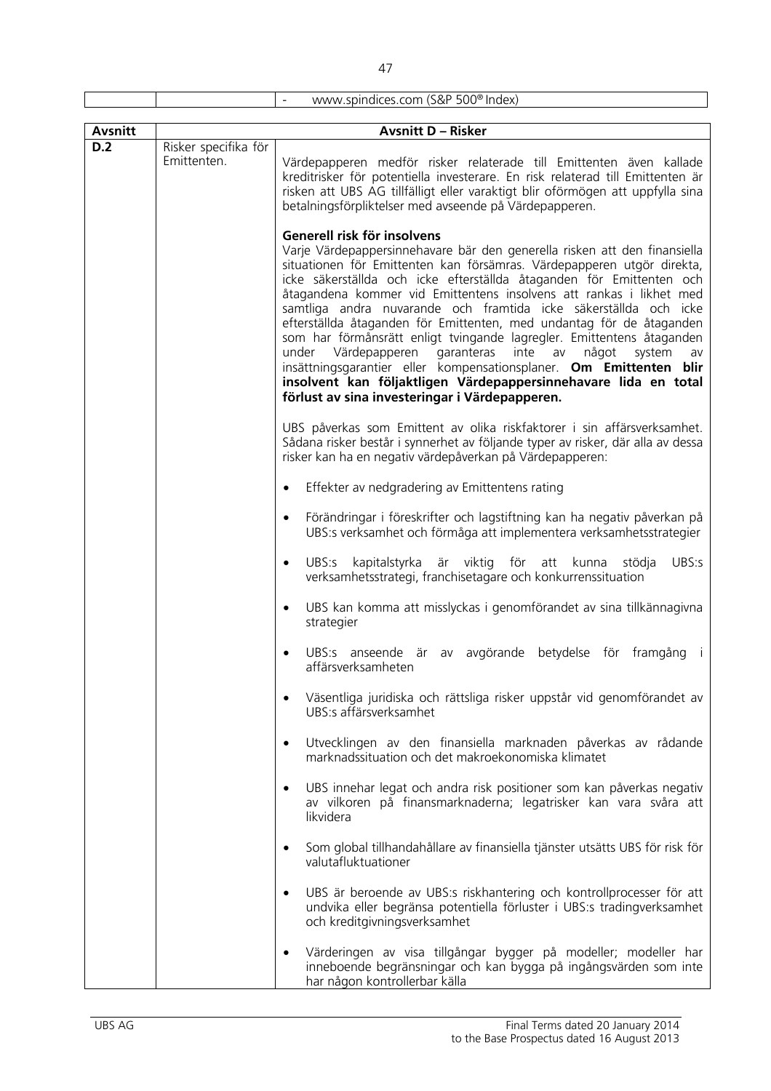| <b>Avsnitt</b> |                      | <b>Avsnitt D - Risker</b>                                                                                                                                                                                                                                                                                                                                                                                                                                                                                                                                                                                                                                                                                                                                                                                                     |
|----------------|----------------------|-------------------------------------------------------------------------------------------------------------------------------------------------------------------------------------------------------------------------------------------------------------------------------------------------------------------------------------------------------------------------------------------------------------------------------------------------------------------------------------------------------------------------------------------------------------------------------------------------------------------------------------------------------------------------------------------------------------------------------------------------------------------------------------------------------------------------------|
| D.2            | Risker specifika för |                                                                                                                                                                                                                                                                                                                                                                                                                                                                                                                                                                                                                                                                                                                                                                                                                               |
|                | Emittenten.          | Värdepapperen medför risker relaterade till Emittenten även kallade<br>kreditrisker för potentiella investerare. En risk relaterad till Emittenten är<br>risken att UBS AG tillfälligt eller varaktigt blir oförmögen att uppfylla sina<br>betalningsförpliktelser med avseende på Värdepapperen.                                                                                                                                                                                                                                                                                                                                                                                                                                                                                                                             |
|                |                      | Generell risk för insolvens<br>Varje Värdepappersinnehavare bär den generella risken att den finansiella<br>situationen för Emittenten kan försämras. Värdepapperen utgör direkta,<br>icke säkerställda och icke efterställda åtaganden för Emittenten och<br>åtagandena kommer vid Emittentens insolvens att rankas i likhet med<br>samtliga andra nuvarande och framtida icke säkerställda och icke<br>efterställda åtaganden för Emittenten, med undantag för de åtaganden<br>som har förmånsrätt enligt tvingande lagregler. Emittentens åtaganden<br>under Värdepapperen<br>garanteras<br>inte<br>något<br>system<br>av<br>av<br>insättningsgarantier eller kompensationsplaner. Om Emittenten blir<br>insolvent kan följaktligen Värdepappersinnehavare lida en total<br>förlust av sina investeringar i Värdepapperen. |
|                |                      | UBS påverkas som Emittent av olika riskfaktorer i sin affärsverksamhet.<br>Sådana risker består i synnerhet av följande typer av risker, där alla av dessa<br>risker kan ha en negativ värdepåverkan på Värdepapperen:                                                                                                                                                                                                                                                                                                                                                                                                                                                                                                                                                                                                        |
|                |                      | Effekter av nedgradering av Emittentens rating<br>$\bullet$                                                                                                                                                                                                                                                                                                                                                                                                                                                                                                                                                                                                                                                                                                                                                                   |
|                |                      | Förändringar i föreskrifter och lagstiftning kan ha negativ påverkan på<br>$\bullet$<br>UBS:s verksamhet och förmåga att implementera verksamhetsstrategier                                                                                                                                                                                                                                                                                                                                                                                                                                                                                                                                                                                                                                                                   |
|                |                      | kapitalstyrka är viktig<br>för<br>UBS:s<br>UBS:s<br>att<br>kunna<br>stödja<br>$\bullet$<br>verksamhetsstrategi, franchisetagare och konkurrenssituation                                                                                                                                                                                                                                                                                                                                                                                                                                                                                                                                                                                                                                                                       |
|                |                      | UBS kan komma att misslyckas i genomförandet av sina tillkännagivna<br>strategier                                                                                                                                                                                                                                                                                                                                                                                                                                                                                                                                                                                                                                                                                                                                             |
|                |                      | UBS:s anseende är av avgörande betydelse för framgång<br>$\Box$<br>affärsverksamheten                                                                                                                                                                                                                                                                                                                                                                                                                                                                                                                                                                                                                                                                                                                                         |
|                |                      | Väsentliga juridiska och rättsliga risker uppstår vid genomförandet av<br>UBS:s affärsverksamhet                                                                                                                                                                                                                                                                                                                                                                                                                                                                                                                                                                                                                                                                                                                              |
|                |                      | Utvecklingen av den finansiella marknaden påverkas av rådande<br>$\bullet$<br>marknadssituation och det makroekonomiska klimatet                                                                                                                                                                                                                                                                                                                                                                                                                                                                                                                                                                                                                                                                                              |
|                |                      | UBS innehar legat och andra risk positioner som kan påverkas negativ<br>$\bullet$<br>av vilkoren på finansmarknaderna; legatrisker kan vara svåra att<br>likvidera                                                                                                                                                                                                                                                                                                                                                                                                                                                                                                                                                                                                                                                            |
|                |                      | Som global tillhandahållare av finansiella tjänster utsätts UBS för risk för<br>$\bullet$<br>valutafluktuationer                                                                                                                                                                                                                                                                                                                                                                                                                                                                                                                                                                                                                                                                                                              |
|                |                      | UBS är beroende av UBS:s riskhantering och kontrollprocesser för att<br>undvika eller begränsa potentiella förluster i UBS:s tradingverksamhet<br>och kreditgivningsverksamhet                                                                                                                                                                                                                                                                                                                                                                                                                                                                                                                                                                                                                                                |
|                |                      | Värderingen av visa tillgångar bygger på modeller; modeller har<br>inneboende begränsningar och kan bygga på ingångsvärden som inte                                                                                                                                                                                                                                                                                                                                                                                                                                                                                                                                                                                                                                                                                           |

har någon kontrollerbar källa

- www.spindices.com (S&P 500® Index)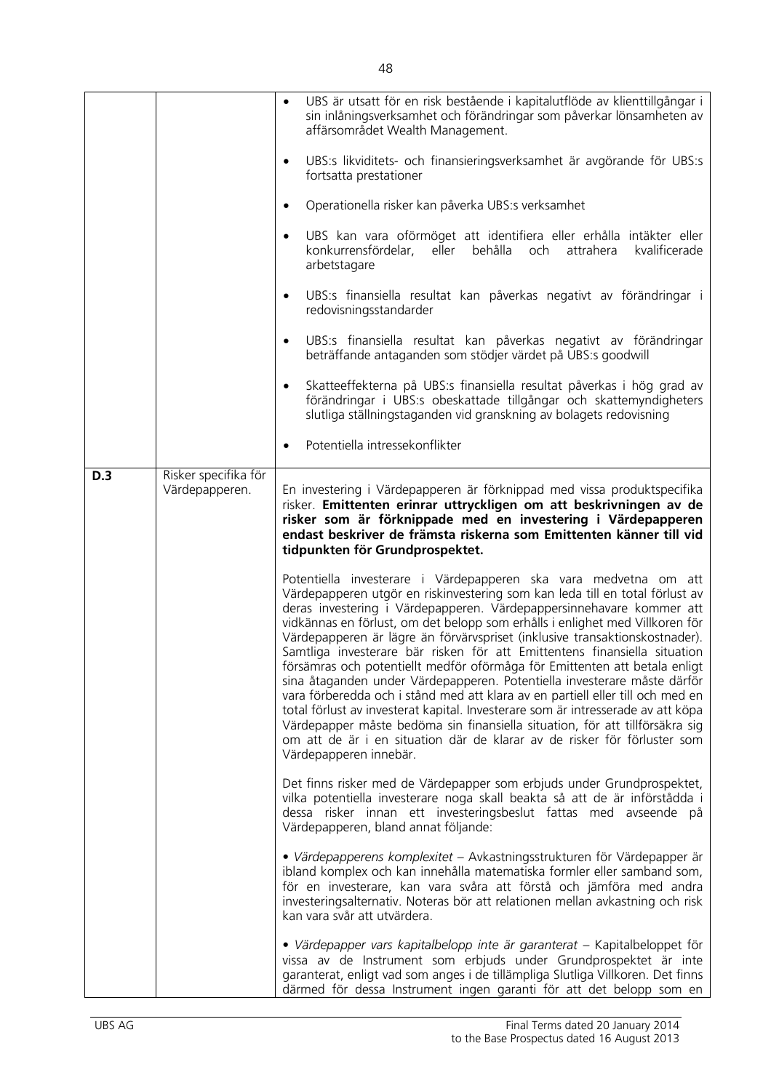|     |                                        | UBS är utsatt för en risk bestående i kapitalutflöde av klienttillgångar i<br>sin inlåningsverksamhet och förändringar som påverkar lönsamheten av<br>affärsområdet Wealth Management.                                                                                                                                                                                                                                                                                                                                                                                                                                                                                                                                                                                                                                                                                                                                                                                                     |
|-----|----------------------------------------|--------------------------------------------------------------------------------------------------------------------------------------------------------------------------------------------------------------------------------------------------------------------------------------------------------------------------------------------------------------------------------------------------------------------------------------------------------------------------------------------------------------------------------------------------------------------------------------------------------------------------------------------------------------------------------------------------------------------------------------------------------------------------------------------------------------------------------------------------------------------------------------------------------------------------------------------------------------------------------------------|
|     |                                        | UBS:s likviditets- och finansieringsverksamhet är avgörande för UBS:s<br>$\bullet$<br>fortsatta prestationer                                                                                                                                                                                                                                                                                                                                                                                                                                                                                                                                                                                                                                                                                                                                                                                                                                                                               |
|     |                                        | Operationella risker kan påverka UBS:s verksamhet<br>$\bullet$                                                                                                                                                                                                                                                                                                                                                                                                                                                                                                                                                                                                                                                                                                                                                                                                                                                                                                                             |
|     |                                        | UBS kan vara oförmöget att identifiera eller erhålla intäkter eller<br>$\bullet$<br>konkurrensfördelar, eller behålla och<br>attrahera<br>kvalificerade<br>arbetstagare                                                                                                                                                                                                                                                                                                                                                                                                                                                                                                                                                                                                                                                                                                                                                                                                                    |
|     |                                        | UBS:s finansiella resultat kan påverkas negativt av förändringar i<br>$\bullet$<br>redovisningsstandarder                                                                                                                                                                                                                                                                                                                                                                                                                                                                                                                                                                                                                                                                                                                                                                                                                                                                                  |
|     |                                        | UBS:s finansiella resultat kan påverkas negativt av förändringar<br>$\bullet$<br>beträffande antaganden som stödjer värdet på UBS:s goodwill                                                                                                                                                                                                                                                                                                                                                                                                                                                                                                                                                                                                                                                                                                                                                                                                                                               |
|     |                                        | Skatteeffekterna på UBS:s finansiella resultat påverkas i hög grad av<br>$\bullet$<br>förändringar i UBS:s obeskattade tillgångar och skattemyndigheters<br>slutliga ställningstaganden vid granskning av bolagets redovisning                                                                                                                                                                                                                                                                                                                                                                                                                                                                                                                                                                                                                                                                                                                                                             |
|     |                                        | Potentiella intressekonflikter<br>$\bullet$                                                                                                                                                                                                                                                                                                                                                                                                                                                                                                                                                                                                                                                                                                                                                                                                                                                                                                                                                |
| D.3 | Risker specifika för<br>Värdepapperen. | En investering i Värdepapperen är förknippad med vissa produktspecifika<br>risker. Emittenten erinrar uttryckligen om att beskrivningen av de<br>risker som är förknippade med en investering i Värdepapperen<br>endast beskriver de främsta riskerna som Emittenten känner till vid<br>tidpunkten för Grundprospektet.                                                                                                                                                                                                                                                                                                                                                                                                                                                                                                                                                                                                                                                                    |
|     |                                        | Potentiella investerare i Värdepapperen ska vara medvetna om att<br>Värdepapperen utgör en riskinvestering som kan leda till en total förlust av<br>deras investering i Värdepapperen. Värdepappersinnehavare kommer att<br>vidkännas en förlust, om det belopp som erhålls i enlighet med Villkoren för<br>Värdepapperen är lägre än förvärvspriset (inklusive transaktionskostnader).<br>Samtliga investerare bär risken för att Emittentens finansiella situation<br>försämras och potentiellt medför oförmåga för Emittenten att betala enligt<br>sina åtaganden under Värdepapperen. Potentiella investerare måste därför<br>vara förberedda och i stånd med att klara av en partiell eller till och med en<br>total förlust av investerat kapital. Investerare som är intresserade av att köpa<br>Värdepapper måste bedöma sin finansiella situation, för att tillförsäkra sig<br>om att de är i en situation där de klarar av de risker för förluster som<br>Värdepapperen innebär. |
|     |                                        | Det finns risker med de Värdepapper som erbjuds under Grundprospektet,<br>vilka potentiella investerare noga skall beakta så att de är införstådda i<br>dessa risker innan ett investeringsbeslut fattas med avseende på<br>Värdepapperen, bland annat följande:                                                                                                                                                                                                                                                                                                                                                                                                                                                                                                                                                                                                                                                                                                                           |
|     |                                        | · Värdepapperens komplexitet - Avkastningsstrukturen för Värdepapper är<br>ibland komplex och kan innehålla matematiska formler eller samband som,<br>för en investerare, kan vara svåra att förstå och jämföra med andra<br>investeringsalternativ. Noteras bör att relationen mellan avkastning och risk<br>kan vara svår att utvärdera.                                                                                                                                                                                                                                                                                                                                                                                                                                                                                                                                                                                                                                                 |
|     |                                        | · Värdepapper vars kapitalbelopp inte är garanterat – Kapitalbeloppet för<br>vissa av de Instrument som erbjuds under Grundprospektet är inte<br>garanterat, enligt vad som anges i de tillämpliga Slutliga Villkoren. Det finns<br>därmed för dessa Instrument ingen garanti för att det belopp som en                                                                                                                                                                                                                                                                                                                                                                                                                                                                                                                                                                                                                                                                                    |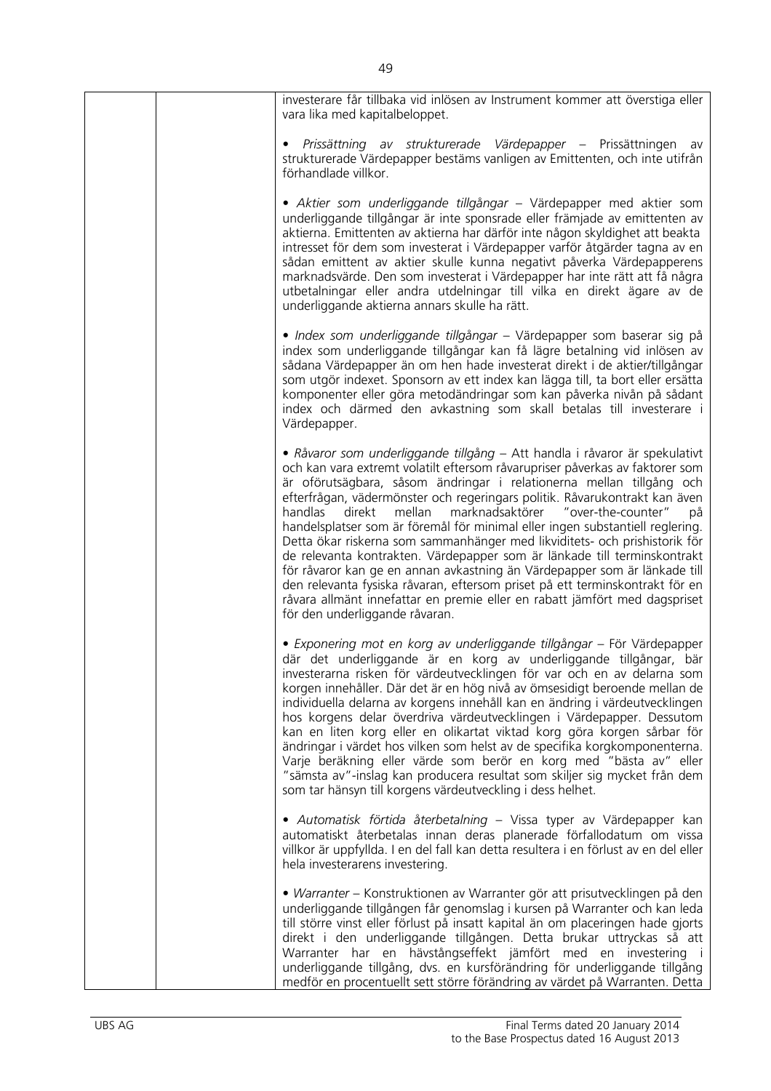| investerare får tillbaka vid inlösen av Instrument kommer att överstiga eller<br>vara lika med kapitalbeloppet.                                                                                                                                                                                                                                                                                                                                                                                                                                                                                                                                                                                                                                                                                                                                                                                                  |
|------------------------------------------------------------------------------------------------------------------------------------------------------------------------------------------------------------------------------------------------------------------------------------------------------------------------------------------------------------------------------------------------------------------------------------------------------------------------------------------------------------------------------------------------------------------------------------------------------------------------------------------------------------------------------------------------------------------------------------------------------------------------------------------------------------------------------------------------------------------------------------------------------------------|
| Prissättning av strukturerade Värdepapper – Prissättningen av<br>strukturerade Värdepapper bestäms vanligen av Emittenten, och inte utifrån<br>förhandlade villkor.                                                                                                                                                                                                                                                                                                                                                                                                                                                                                                                                                                                                                                                                                                                                              |
| · Aktier som underliggande tillgångar - Värdepapper med aktier som<br>underliggande tillgångar är inte sponsrade eller främjade av emittenten av<br>aktierna. Emittenten av aktierna har därför inte någon skyldighet att beakta<br>intresset för dem som investerat i Värdepapper varför åtgärder tagna av en<br>sådan emittent av aktier skulle kunna negativt påverka Värdepapperens<br>marknadsvärde. Den som investerat i Värdepapper har inte rätt att få några<br>utbetalningar eller andra utdelningar till vilka en direkt ägare av de<br>underliggande aktierna annars skulle ha rätt.                                                                                                                                                                                                                                                                                                                 |
| · Index som underliggande tillgångar - Värdepapper som baserar sig på<br>index som underliggande tillgångar kan få lägre betalning vid inlösen av<br>sådana Värdepapper än om hen hade investerat direkt i de aktier/tillgångar<br>som utgör indexet. Sponsorn av ett index kan lägga till, ta bort eller ersätta<br>komponenter eller göra metodändringar som kan påverka nivån på sådant<br>index och därmed den avkastning som skall betalas till investerare i<br>Värdepapper.                                                                                                                                                                                                                                                                                                                                                                                                                               |
| • Råvaror som underliggande tillgång – Att handla i råvaror är spekulativt<br>och kan vara extremt volatilt eftersom råvarupriser påverkas av faktorer som<br>är oförutsägbara, såsom ändringar i relationerna mellan tillgång och<br>efterfrågan, vädermönster och regeringars politik. Råvarukontrakt kan även<br>handlas<br>direkt<br>mellan marknadsaktörer "over-the-counter"<br>på<br>handelsplatser som är föremål för minimal eller ingen substantiell reglering.<br>Detta ökar riskerna som sammanhänger med likviditets- och prishistorik för<br>de relevanta kontrakten. Värdepapper som är länkade till terminskontrakt<br>för råvaror kan ge en annan avkastning än Värdepapper som är länkade till<br>den relevanta fysiska råvaran, eftersom priset på ett terminskontrakt för en<br>råvara allmänt innefattar en premie eller en rabatt jämfört med dagspriset<br>för den underliggande råvaran. |
| · Exponering mot en korg av underliggande tillgångar - För Värdepapper<br>där det underliggande är en korg av underliggande tillgångar, bär<br>investerarna risken för värdeutvecklingen för var och en av delarna som<br>korgen innehåller. Där det är en hög nivå av ömsesidigt beroende mellan de<br>individuella delarna av korgens innehåll kan en ändring i värdeutvecklingen<br>hos korgens delar överdriva värdeutvecklingen i Värdepapper. Dessutom<br>kan en liten korg eller en olikartat viktad korg göra korgen sårbar för<br>ändringar i värdet hos vilken som helst av de specifika korgkomponenterna.<br>Varje beräkning eller värde som berör en korg med "bästa av" eller<br>"sämsta av"-inslag kan producera resultat som skiljer sig mycket från dem<br>som tar hänsyn till korgens värdeutveckling i dess helhet.                                                                           |
| · Automatisk förtida återbetalning - Vissa typer av Värdepapper kan<br>automatiskt återbetalas innan deras planerade förfallodatum om vissa<br>villkor är uppfyllda. I en del fall kan detta resultera i en förlust av en del eller<br>hela investerarens investering.                                                                                                                                                                                                                                                                                                                                                                                                                                                                                                                                                                                                                                           |
| · Warranter - Konstruktionen av Warranter gör att prisutvecklingen på den<br>underliggande tillgången får genomslag i kursen på Warranter och kan leda<br>till större vinst eller förlust på insatt kapital än om placeringen hade gjorts<br>direkt i den underliggande tillgången. Detta brukar uttryckas så att<br>Warranter har en hävstångseffekt jämfört med en investering i<br>underliggande tillgång, dvs. en kursförändring för underliggande tillgång<br>medför en procentuellt sett större förändring av värdet på Warranten. Detta                                                                                                                                                                                                                                                                                                                                                                   |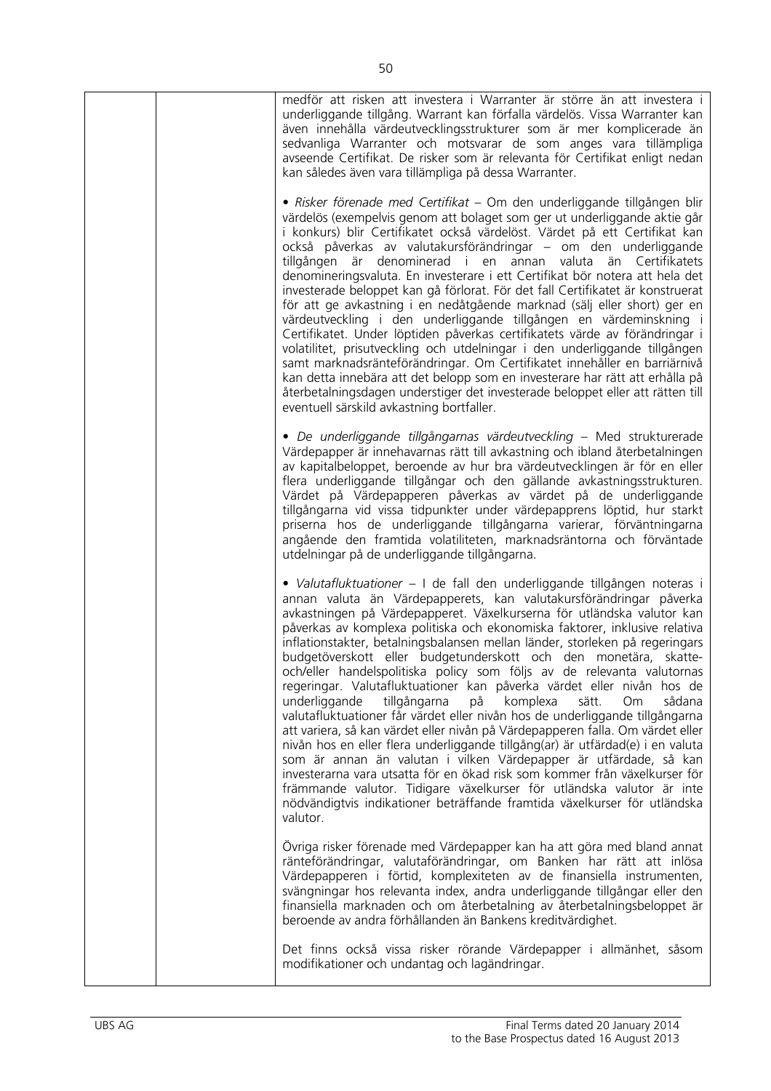| medför att risken att investera i Warranter är större än att investera i<br>underliggande tillgång. Warrant kan förfalla värdelös. Vissa Warranter kan<br>även innehålla värdeutvecklingsstrukturer som är mer komplicerade än<br>sedvanliga Warranter och motsvarar de som anges vara tillämpliga<br>avseende Certifikat. De risker som är relevanta för Certifikat enligt nedan<br>kan således även vara tillämpliga på dessa Warranter.                                                                                                                                                                                                                                                                                                                                                                                                                                                                                                                                                                                                                                                                                                                                                                                                                          |
|---------------------------------------------------------------------------------------------------------------------------------------------------------------------------------------------------------------------------------------------------------------------------------------------------------------------------------------------------------------------------------------------------------------------------------------------------------------------------------------------------------------------------------------------------------------------------------------------------------------------------------------------------------------------------------------------------------------------------------------------------------------------------------------------------------------------------------------------------------------------------------------------------------------------------------------------------------------------------------------------------------------------------------------------------------------------------------------------------------------------------------------------------------------------------------------------------------------------------------------------------------------------|
| • Risker förenade med Certifikat – Om den underliggande tillgången blir<br>värdelös (exempelvis genom att bolaget som ger ut underliggande aktie går<br>i konkurs) blir Certifikatet också värdelöst. Värdet på ett Certifikat kan<br>också påverkas av valutakursförändringar – om den underliggande<br>tillgången är denominerad i en annan valuta än Certifikatets<br>denomineringsvaluta. En investerare i ett Certifikat bör notera att hela det<br>investerade beloppet kan gå förlorat. För det fall Certifikatet är konstruerat<br>för att ge avkastning i en nedåtgående marknad (sälj eller short) ger en<br>värdeutveckling i den underliggande tillgången en värdeminskning i<br>Certifikatet. Under löptiden påverkas certifikatets värde av förändringar i<br>volatilitet, prisutveckling och utdelningar i den underliggande tillgången<br>samt marknadsränteförändringar. Om Certifikatet innehåller en barriärnivå<br>kan detta innebära att det belopp som en investerare har rätt att erhålla på<br>återbetalningsdagen understiger det investerade beloppet eller att rätten till<br>eventuell särskild avkastning bortfaller.                                                                                                                  |
| · De underliggande tillgångarnas värdeutveckling - Med strukturerade<br>Värdepapper är innehavarnas rätt till avkastning och ibland återbetalningen<br>av kapitalbeloppet, beroende av hur bra värdeutvecklingen är för en eller<br>flera underliggande tillgångar och den gällande avkastningsstrukturen.<br>Värdet på Värdepapperen påverkas av värdet på de underliggande<br>tillgångarna vid vissa tidpunkter under värdepapprens löptid, hur starkt<br>priserna hos de underliggande tillgångarna varierar, förväntningarna<br>angående den framtida volatiliteten, marknadsräntorna och förväntade<br>utdelningar på de underliggande tillgångarna.                                                                                                                                                                                                                                                                                                                                                                                                                                                                                                                                                                                                           |
| · Valutafluktuationer - I de fall den underliggande tillgången noteras i<br>annan valuta än Värdepapperets, kan valutakursförändringar påverka<br>avkastningen på Värdepapperet. Växelkurserna för utländska valutor kan<br>påverkas av komplexa politiska och ekonomiska faktorer, inklusive relativa<br>inflationstakter, betalningsbalansen mellan länder, storleken på regeringars<br>budgetöverskott eller budgetunderskott och den monetära, skatte-<br>och/eller handelspolitiska policy som följs av de relevanta valutornas<br>regeringar. Valutafluktuationer kan påverka värdet eller nivån hos de<br>underliggande<br>tillgångarna<br>sådana<br>komplexa<br>sätt.<br>Om.<br>på<br>valutafluktuationer får värdet eller nivån hos de underliggande tillgångarna<br>att variera, så kan värdet eller nivån på Värdepapperen falla. Om värdet eller<br>nivån hos en eller flera underliggande tillgång(ar) är utfärdad(e) i en valuta<br>som är annan än valutan i vilken Värdepapper är utfärdade, så kan<br>investerarna vara utsatta för en ökad risk som kommer från växelkurser för<br>främmande valutor. Tidigare växelkurser för utländska valutor är inte<br>nödvändigtvis indikationer beträffande framtida växelkurser för utländska<br>valutor. |
| Övriga risker förenade med Värdepapper kan ha att göra med bland annat<br>ränteförändringar, valutaförändringar, om Banken har rätt att inlösa<br>Värdepapperen i förtid, komplexiteten av de finansiella instrumenten,<br>svängningar hos relevanta index, andra underliggande tillgångar eller den<br>finansiella marknaden och om återbetalning av återbetalningsbeloppet är<br>beroende av andra förhållanden än Bankens kreditvärdighet.                                                                                                                                                                                                                                                                                                                                                                                                                                                                                                                                                                                                                                                                                                                                                                                                                       |
| Det finns också vissa risker rörande Värdepapper i allmänhet, såsom<br>modifikationer och undantag och lagändringar.                                                                                                                                                                                                                                                                                                                                                                                                                                                                                                                                                                                                                                                                                                                                                                                                                                                                                                                                                                                                                                                                                                                                                |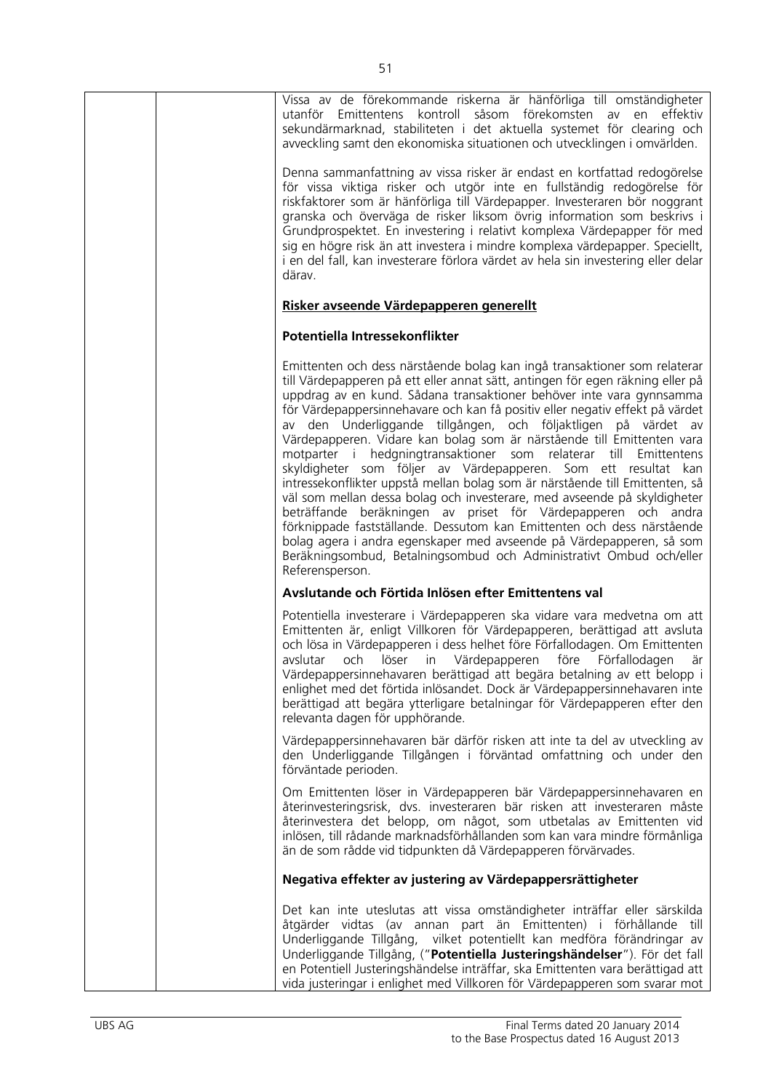| Vissa av de förekommande riskerna är hänförliga till omständigheter<br>utanför Emittentens kontroll såsom förekomsten av<br>en effektiv<br>sekundärmarknad, stabiliteten i det aktuella systemet för clearing och<br>avveckling samt den ekonomiska situationen och utvecklingen i omvärlden.                                                                                                                                                                                                                                                                                                                                                                                                                                                                                                                                                                                                                                                                                                                                                                                     |
|-----------------------------------------------------------------------------------------------------------------------------------------------------------------------------------------------------------------------------------------------------------------------------------------------------------------------------------------------------------------------------------------------------------------------------------------------------------------------------------------------------------------------------------------------------------------------------------------------------------------------------------------------------------------------------------------------------------------------------------------------------------------------------------------------------------------------------------------------------------------------------------------------------------------------------------------------------------------------------------------------------------------------------------------------------------------------------------|
| Denna sammanfattning av vissa risker är endast en kortfattad redogörelse<br>för vissa viktiga risker och utgör inte en fullständig redogörelse för<br>riskfaktorer som är hänförliga till Värdepapper. Investeraren bör noggrant<br>granska och överväga de risker liksom övrig information som beskrivs i<br>Grundprospektet. En investering i relativt komplexa Värdepapper för med<br>sig en högre risk än att investera i mindre komplexa värdepapper. Speciellt,<br>i en del fall, kan investerare förlora värdet av hela sin investering eller delar<br>därav.                                                                                                                                                                                                                                                                                                                                                                                                                                                                                                              |
| Risker avseende Värdepapperen generellt                                                                                                                                                                                                                                                                                                                                                                                                                                                                                                                                                                                                                                                                                                                                                                                                                                                                                                                                                                                                                                           |
| Potentiella Intressekonflikter                                                                                                                                                                                                                                                                                                                                                                                                                                                                                                                                                                                                                                                                                                                                                                                                                                                                                                                                                                                                                                                    |
| Emittenten och dess närstående bolag kan ingå transaktioner som relaterar<br>till Värdepapperen på ett eller annat sätt, antingen för egen räkning eller på<br>uppdrag av en kund. Sådana transaktioner behöver inte vara gynnsamma<br>för Värdepappersinnehavare och kan få positiv eller negativ effekt på värdet<br>av den Underliggande tillgången, och följaktligen på värdet av<br>Värdepapperen. Vidare kan bolag som är närstående till Emittenten vara<br>motparter i hedgningtransaktioner som relaterar till<br>Emittentens<br>skyldigheter som följer av Värdepapperen. Som ett resultat kan<br>intressekonflikter uppstå mellan bolag som är närstående till Emittenten, så<br>väl som mellan dessa bolag och investerare, med avseende på skyldigheter<br>beträffande beräkningen av priset för Värdepapperen och andra<br>förknippade fastställande. Dessutom kan Emittenten och dess närstående<br>bolag agera i andra egenskaper med avseende på Värdepapperen, så som<br>Beräkningsombud, Betalningsombud och Administrativt Ombud och/eller<br>Referensperson. |
| Avslutande och Förtida Inlösen efter Emittentens val                                                                                                                                                                                                                                                                                                                                                                                                                                                                                                                                                                                                                                                                                                                                                                                                                                                                                                                                                                                                                              |
| Potentiella investerare i Värdepapperen ska vidare vara medvetna om att<br>Emittenten är, enligt Villkoren för Värdepapperen, berättigad att avsluta<br>och lösa in Värdepapperen i dess helhet före Förfallodagen. Om Emittenten<br>avslutar<br>in Värdepapperen före Förfallodagen<br>och löser<br>är<br>Värdepappersinnehavaren berättigad att begära betalning av ett belopp i<br>enlighet med det förtida inlösandet. Dock är Värdepappersinnehavaren inte<br>berättigad att begära ytterligare betalningar för Värdepapperen efter den<br>relevanta dagen för upphörande.                                                                                                                                                                                                                                                                                                                                                                                                                                                                                                   |
| Värdepappersinnehavaren bär därför risken att inte ta del av utveckling av<br>den Underliggande Tillgången i förväntad omfattning och under den<br>förväntade perioden.                                                                                                                                                                                                                                                                                                                                                                                                                                                                                                                                                                                                                                                                                                                                                                                                                                                                                                           |
| Om Emittenten löser in Värdepapperen bär Värdepappersinnehavaren en<br>återinvesteringsrisk, dvs. investeraren bär risken att investeraren måste<br>återinvestera det belopp, om något, som utbetalas av Emittenten vid<br>inlösen, till rådande marknadsförhållanden som kan vara mindre förmånliga<br>än de som rådde vid tidpunkten då Värdepapperen förvärvades.                                                                                                                                                                                                                                                                                                                                                                                                                                                                                                                                                                                                                                                                                                              |
| Negativa effekter av justering av Värdepappersrättigheter                                                                                                                                                                                                                                                                                                                                                                                                                                                                                                                                                                                                                                                                                                                                                                                                                                                                                                                                                                                                                         |
| Det kan inte uteslutas att vissa omständigheter inträffar eller särskilda<br>åtgärder vidtas (av annan part än Emittenten) i förhållande till<br>Underliggande Tillgång, vilket potentiellt kan medföra förändringar av<br>Underliggande Tillgång, ("Potentiella Justeringshändelser"). För det fall<br>en Potentiell Justeringshändelse inträffar, ska Emittenten vara berättigad att<br>vida justeringar i enlighet med Villkoren för Värdepapperen som svarar mot                                                                                                                                                                                                                                                                                                                                                                                                                                                                                                                                                                                                              |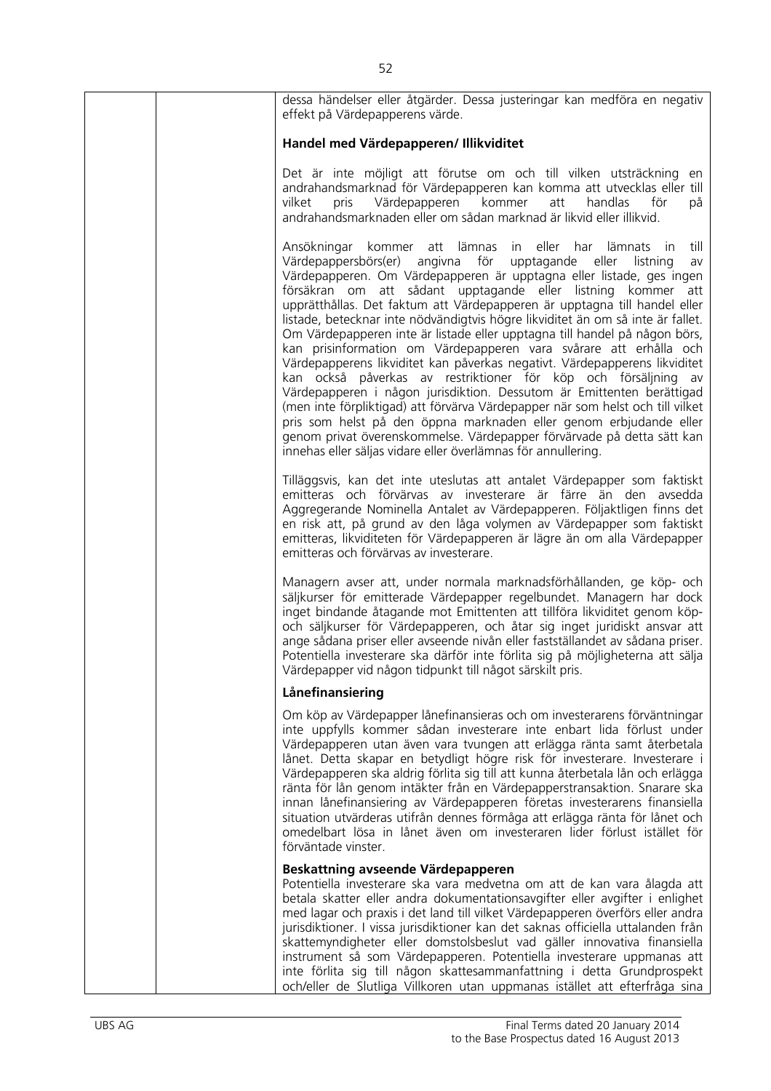| dessa händelser eller åtgärder. Dessa justeringar kan medföra en negativ<br>effekt på Värdepapperens värde.                                                                                                                                                                                                                                                                                                                                                                                                                                                                                                                                                                                                                                                                                                                                                                                                                                                                                                                                                                                                                              |
|------------------------------------------------------------------------------------------------------------------------------------------------------------------------------------------------------------------------------------------------------------------------------------------------------------------------------------------------------------------------------------------------------------------------------------------------------------------------------------------------------------------------------------------------------------------------------------------------------------------------------------------------------------------------------------------------------------------------------------------------------------------------------------------------------------------------------------------------------------------------------------------------------------------------------------------------------------------------------------------------------------------------------------------------------------------------------------------------------------------------------------------|
| Handel med Värdepapperen/ Illikviditet                                                                                                                                                                                                                                                                                                                                                                                                                                                                                                                                                                                                                                                                                                                                                                                                                                                                                                                                                                                                                                                                                                   |
| Det är inte möjligt att förutse om och till vilken utsträckning<br>en<br>andrahandsmarknad för Värdepapperen kan komma att utvecklas eller till<br>Värdepapperen kommer<br>handlas<br>för<br>pris<br>att<br>på<br>vilket<br>andrahandsmarknaden eller om sådan marknad är likvid eller illikvid.                                                                                                                                                                                                                                                                                                                                                                                                                                                                                                                                                                                                                                                                                                                                                                                                                                         |
| Ansökningar kommer att lämnas<br>in eller har lämnats<br>till<br>in.<br>angivna för upptagande<br>Värdepappersbörs(er)<br>eller<br>listning<br>av<br>Värdepapperen. Om Värdepapperen är upptagna eller listade, ges ingen<br>försäkran om att sådant upptagande eller listning kommer att<br>upprätthållas. Det faktum att Värdepapperen är upptagna till handel eller<br>listade, betecknar inte nödvändigtvis högre likviditet än om så inte är fallet.<br>Om Värdepapperen inte är listade eller upptagna till handel på någon börs,<br>kan prisinformation om Värdepapperen vara svårare att erhålla och<br>Värdepapperens likviditet kan påverkas negativt. Värdepapperens likviditet<br>kan också påverkas av restriktioner för köp och försäljning av<br>Värdepapperen i någon jurisdiktion. Dessutom är Emittenten berättigad<br>(men inte förpliktigad) att förvärva Värdepapper när som helst och till vilket<br>pris som helst på den öppna marknaden eller genom erbjudande eller<br>genom privat överenskommelse. Värdepapper förvärvade på detta sätt kan<br>innehas eller säljas vidare eller överlämnas för annullering. |
| Tilläggsvis, kan det inte uteslutas att antalet Värdepapper som faktiskt<br>emitteras och förvärvas av investerare är färre än den avsedda<br>Aggregerande Nominella Antalet av Värdepapperen. Följaktligen finns det<br>en risk att, på grund av den låga volymen av Värdepapper som faktiskt<br>emitteras, likviditeten för Värdepapperen är lägre än om alla Värdepapper<br>emitteras och förvärvas av investerare.                                                                                                                                                                                                                                                                                                                                                                                                                                                                                                                                                                                                                                                                                                                   |
| Managern avser att, under normala marknadsförhållanden, ge köp- och<br>säljkurser för emitterade Värdepapper regelbundet. Managern har dock<br>inget bindande åtagande mot Emittenten att tillföra likviditet genom köp-<br>och säljkurser för Värdepapperen, och åtar sig inget juridiskt ansvar att<br>ange sådana priser eller avseende nivån eller fastställandet av sådana priser.<br>Potentiella investerare ska därför inte förlita sig på möjligheterna att sälja<br>Värdepapper vid någon tidpunkt till något särskilt pris.                                                                                                                                                                                                                                                                                                                                                                                                                                                                                                                                                                                                    |
| Lånefinansiering                                                                                                                                                                                                                                                                                                                                                                                                                                                                                                                                                                                                                                                                                                                                                                                                                                                                                                                                                                                                                                                                                                                         |
| Om köp av Värdepapper lånefinansieras och om investerarens förväntningar<br>inte uppfylls kommer sådan investerare inte enbart lida förlust under<br>Värdepapperen utan även vara tvungen att erlägga ränta samt återbetala<br>lånet. Detta skapar en betydligt högre risk för investerare. Investerare i<br>Värdepapperen ska aldrig förlita sig till att kunna återbetala lån och erlägga<br>ränta för lån genom intäkter från en Värdepapperstransaktion. Snarare ska<br>innan lånefinansiering av Värdepapperen företas investerarens finansiella<br>situation utvärderas utifrån dennes förmåga att erlägga ränta för lånet och<br>omedelbart lösa in lånet även om investeraren lider förlust istället för<br>förväntade vinster.                                                                                                                                                                                                                                                                                                                                                                                                  |
| Beskattning avseende Värdepapperen                                                                                                                                                                                                                                                                                                                                                                                                                                                                                                                                                                                                                                                                                                                                                                                                                                                                                                                                                                                                                                                                                                       |
| Potentiella investerare ska vara medvetna om att de kan vara ålagda att<br>betala skatter eller andra dokumentationsavgifter eller avgifter i enlighet<br>med lagar och praxis i det land till vilket Värdepapperen överförs eller andra<br>jurisdiktioner. I vissa jurisdiktioner kan det saknas officiella uttalanden från<br>skattemyndigheter eller domstolsbeslut vad gäller innovativa finansiella<br>instrument så som Värdepapperen. Potentiella investerare uppmanas att<br>inte förlita sig till någon skattesammanfattning i detta Grundprospekt<br>och/eller de Slutliga Villkoren utan uppmanas istället att efterfråga sina                                                                                                                                                                                                                                                                                                                                                                                                                                                                                                |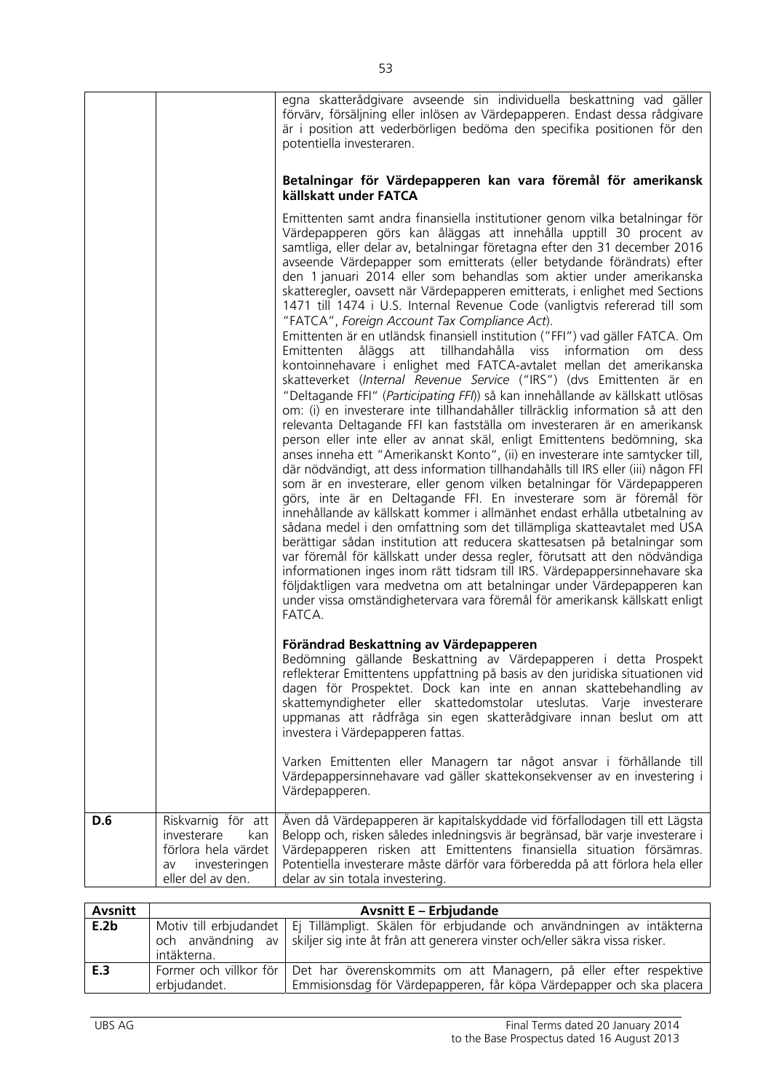|     |                                                                                       | egna skatterådgivare avseende sin individuella beskattning vad gäller<br>förvärv, försäljning eller inlösen av Värdepapperen. Endast dessa rådgivare<br>är i position att vederbörligen bedöma den specifika positionen för den<br>potentiella investeraren.<br>Betalningar för Värdepapperen kan vara föremål för amerikansk<br>källskatt under FATCA<br>Emittenten samt andra finansiella institutioner genom vilka betalningar för<br>Värdepapperen görs kan åläggas att innehålla upptill 30 procent av<br>samtliga, eller delar av, betalningar företagna efter den 31 december 2016<br>avseende Värdepapper som emitterats (eller betydande förändrats) efter<br>den 1 januari 2014 eller som behandlas som aktier under amerikanska<br>skatteregler, oavsett när Värdepapperen emitterats, i enlighet med Sections<br>1471 till 1474 i U.S. Internal Revenue Code (vanligtvis refererad till som<br>"FATCA", Foreign Account Tax Compliance Act).<br>Emittenten är en utländsk finansiell institution ("FFI") vad gäller FATCA. Om<br>åläggs att tillhandahålla viss information<br>Emittenten<br>dess<br><b>om</b><br>kontoinnehavare i enlighet med FATCA-avtalet mellan det amerikanska<br>skatteverket (Internal Revenue Service ("IRS") (dvs Emittenten är en<br>"Deltagande FFI" (Participating FFI)) så kan innehållande av källskatt utlösas<br>om: (i) en investerare inte tillhandahåller tillräcklig information så att den<br>relevanta Deltagande FFI kan fastställa om investeraren är en amerikansk<br>person eller inte eller av annat skäl, enligt Emittentens bedömning, ska<br>anses inneha ett "Amerikanskt Konto", (ii) en investerare inte samtycker till,<br>där nödvändigt, att dess information tillhandahålls till IRS eller (iii) någon FFI<br>som är en investerare, eller genom vilken betalningar för Värdepapperen<br>görs, inte är en Deltagande FFI. En investerare som är föremål för<br>innehållande av källskatt kommer i allmänhet endast erhålla utbetalning av<br>sådana medel i den omfattning som det tillämpliga skatteavtalet med USA<br>berättigar sådan institution att reducera skattesatsen på betalningar som |
|-----|---------------------------------------------------------------------------------------|----------------------------------------------------------------------------------------------------------------------------------------------------------------------------------------------------------------------------------------------------------------------------------------------------------------------------------------------------------------------------------------------------------------------------------------------------------------------------------------------------------------------------------------------------------------------------------------------------------------------------------------------------------------------------------------------------------------------------------------------------------------------------------------------------------------------------------------------------------------------------------------------------------------------------------------------------------------------------------------------------------------------------------------------------------------------------------------------------------------------------------------------------------------------------------------------------------------------------------------------------------------------------------------------------------------------------------------------------------------------------------------------------------------------------------------------------------------------------------------------------------------------------------------------------------------------------------------------------------------------------------------------------------------------------------------------------------------------------------------------------------------------------------------------------------------------------------------------------------------------------------------------------------------------------------------------------------------------------------------------------------------------------------------------------------------------------------------------------------------------------------------------------------------------|
| D.6 | Riskvarnig för att                                                                    | under vissa omständighetervara vara föremål för amerikansk källskatt enligt<br>FATCA.<br>Förändrad Beskattning av Värdepapperen<br>Bedömning gällande Beskattning av Värdepapperen i detta Prospekt<br>reflekterar Emittentens uppfattning på basis av den juridiska situationen vid<br>dagen för Prospektet. Dock kan inte en annan skattebehandling av<br>skattemyndigheter eller skattedomstolar uteslutas. Varje investerare<br>uppmanas att rådfråga sin egen skatterådgivare innan beslut om att<br>investera i Värdepapperen fattas.<br>Varken Emittenten eller Managern tar något ansvar i förhållande till<br>Värdepappersinnehavare vad gäller skattekonsekvenser av en investering i<br>Värdepapperen.<br>Även då Värdepapperen är kapitalskyddade vid förfallodagen till ett Lägsta                                                                                                                                                                                                                                                                                                                                                                                                                                                                                                                                                                                                                                                                                                                                                                                                                                                                                                                                                                                                                                                                                                                                                                                                                                                                                                                                                                      |
|     | investerare<br>kan<br>förlora hela värdet<br>investeringen<br>av<br>eller del av den. | Belopp och, risken således inledningsvis är begränsad, bär varje investerare i<br>Värdepapperen risken att Emittentens finansiella situation försämras.<br>Potentiella investerare måste därför vara förberedda på att förlora hela eller<br>delar av sin totala investering.                                                                                                                                                                                                                                                                                                                                                                                                                                                                                                                                                                                                                                                                                                                                                                                                                                                                                                                                                                                                                                                                                                                                                                                                                                                                                                                                                                                                                                                                                                                                                                                                                                                                                                                                                                                                                                                                                        |

| Avsnitt |                                          | <b>Avsnitt E - Erbjudande</b>                                                                                                                                                  |
|---------|------------------------------------------|--------------------------------------------------------------------------------------------------------------------------------------------------------------------------------|
| E.2b    | och användning av<br>intäkterna.         | Motiv till erbjudandet   Ej Tillämpligt. Skälen för erbjudande och användningen av intäkterna  <br>skiljer sig inte åt från att generera vinster och/eller säkra vissa risker. |
| E.3     | Former och villkor för I<br>erbjudandet. | Det har överenskommits om att Managern, på eller efter respektive<br>Emmisionsdag för Värdepapperen, får köpa Värdepapper och ska placera                                      |